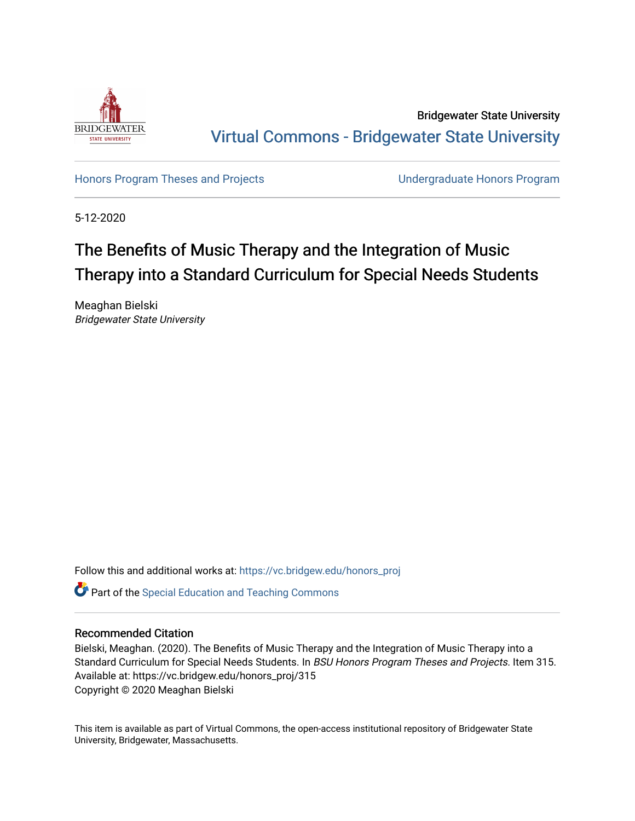

Bridgewater State University [Virtual Commons - Bridgewater State University](https://vc.bridgew.edu/) 

[Honors Program Theses and Projects](https://vc.bridgew.edu/honors_proj) [Undergraduate Honors Program](https://vc.bridgew.edu/honors) 

5-12-2020

# The Benefits of Music Therapy and the Integration of Music Therapy into a Standard Curriculum for Special Needs Students

Meaghan Bielski Bridgewater State University

Follow this and additional works at: [https://vc.bridgew.edu/honors\\_proj](https://vc.bridgew.edu/honors_proj?utm_source=vc.bridgew.edu%2Fhonors_proj%2F315&utm_medium=PDF&utm_campaign=PDFCoverPages)

**P** Part of the Special Education and Teaching Commons

## Recommended Citation

Bielski, Meaghan. (2020). The Benefits of Music Therapy and the Integration of Music Therapy into a Standard Curriculum for Special Needs Students. In BSU Honors Program Theses and Projects. Item 315. Available at: https://vc.bridgew.edu/honors\_proj/315 Copyright © 2020 Meaghan Bielski

This item is available as part of Virtual Commons, the open-access institutional repository of Bridgewater State University, Bridgewater, Massachusetts.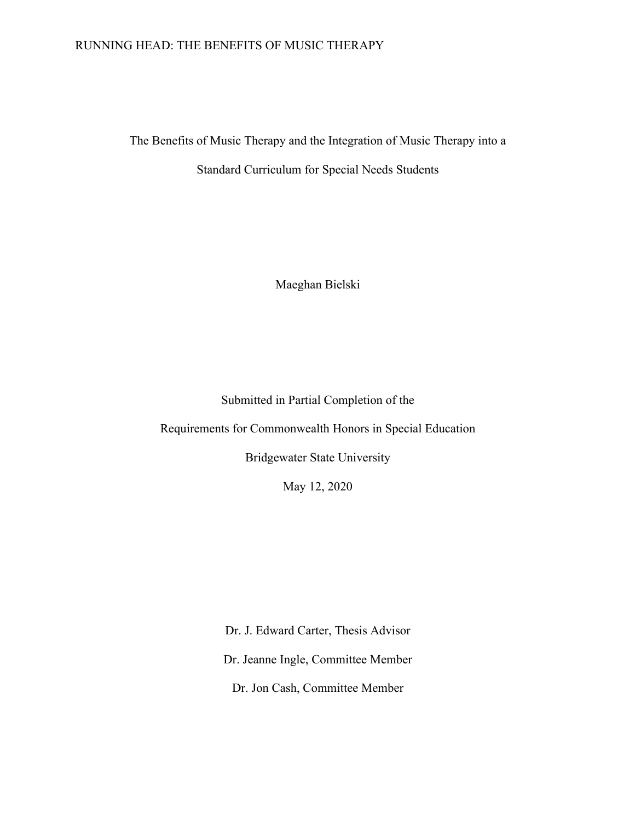## RUNNING HEAD: THE BENEFITS OF MUSIC THERAPY

The Benefits of Music Therapy and the Integration of Music Therapy into a Standard Curriculum for Special Needs Students

Maeghan Bielski

Submitted in Partial Completion of the

Requirements for Commonwealth Honors in Special Education

Bridgewater State University

May 12, 2020

Dr. J. Edward Carter, Thesis Advisor Dr. Jeanne Ingle, Committee Member Dr. Jon Cash, Committee Member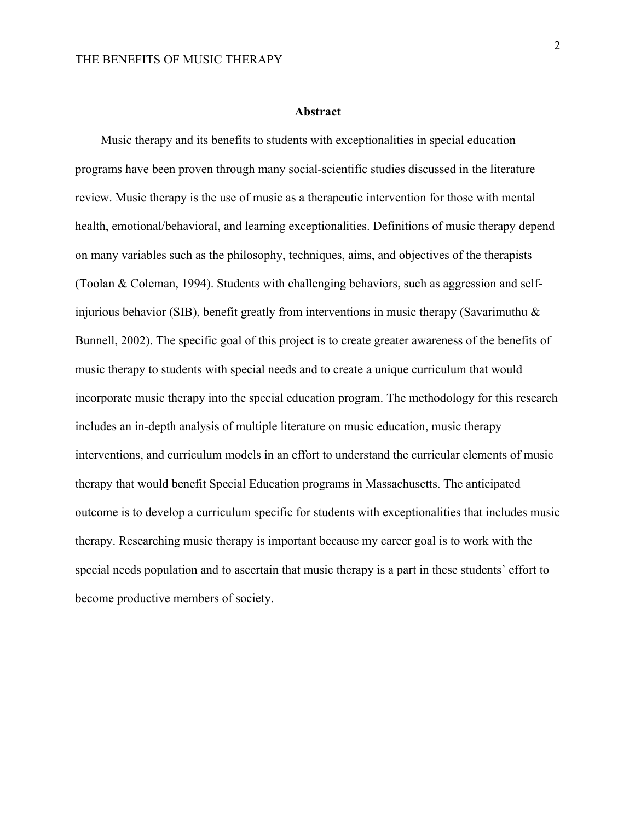### **Abstract**

Music therapy and its benefits to students with exceptionalities in special education programs have been proven through many social-scientific studies discussed in the literature review. Music therapy is the use of music as a therapeutic intervention for those with mental health, emotional/behavioral, and learning exceptionalities. Definitions of music therapy depend on many variables such as the philosophy, techniques, aims, and objectives of the therapists (Toolan & Coleman, 1994). Students with challenging behaviors, such as aggression and selfinjurious behavior (SIB), benefit greatly from interventions in music therapy (Savarimuthu  $\&$ Bunnell, 2002). The specific goal of this project is to create greater awareness of the benefits of music therapy to students with special needs and to create a unique curriculum that would incorporate music therapy into the special education program. The methodology for this research includes an in-depth analysis of multiple literature on music education, music therapy interventions, and curriculum models in an effort to understand the curricular elements of music therapy that would benefit Special Education programs in Massachusetts. The anticipated outcome is to develop a curriculum specific for students with exceptionalities that includes music therapy. Researching music therapy is important because my career goal is to work with the special needs population and to ascertain that music therapy is a part in these students' effort to become productive members of society.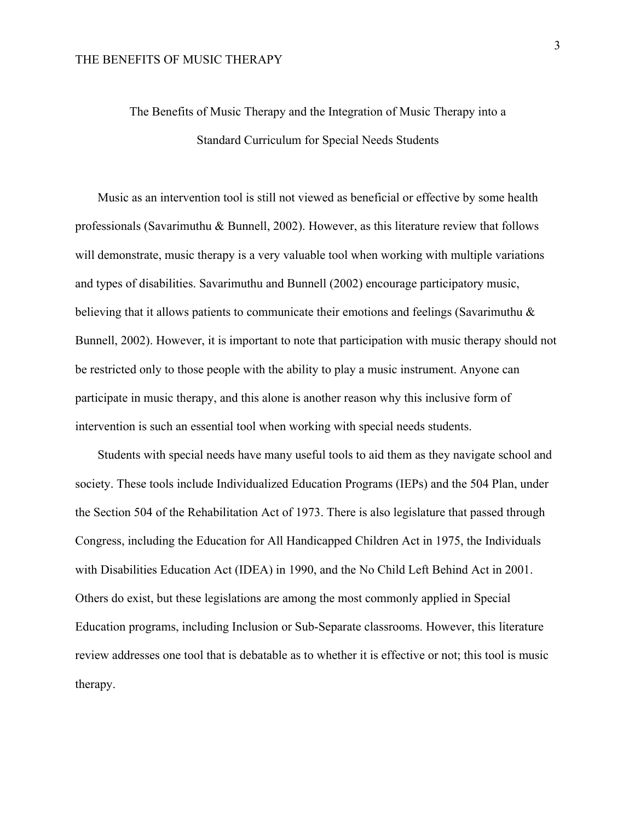# The Benefits of Music Therapy and the Integration of Music Therapy into a Standard Curriculum for Special Needs Students

Music as an intervention tool is still not viewed as beneficial or effective by some health professionals (Savarimuthu & Bunnell, 2002). However, as this literature review that follows will demonstrate, music therapy is a very valuable tool when working with multiple variations and types of disabilities. Savarimuthu and Bunnell (2002) encourage participatory music, believing that it allows patients to communicate their emotions and feelings (Savarimuthu & Bunnell, 2002). However, it is important to note that participation with music therapy should not be restricted only to those people with the ability to play a music instrument. Anyone can participate in music therapy, and this alone is another reason why this inclusive form of intervention is such an essential tool when working with special needs students.

Students with special needs have many useful tools to aid them as they navigate school and society. These tools include Individualized Education Programs (IEPs) and the 504 Plan, under the Section 504 of the Rehabilitation Act of 1973. There is also legislature that passed through Congress, including the Education for All Handicapped Children Act in 1975, the Individuals with Disabilities Education Act (IDEA) in 1990, and the No Child Left Behind Act in 2001. Others do exist, but these legislations are among the most commonly applied in Special Education programs, including Inclusion or Sub-Separate classrooms. However, this literature review addresses one tool that is debatable as to whether it is effective or not; this tool is music therapy.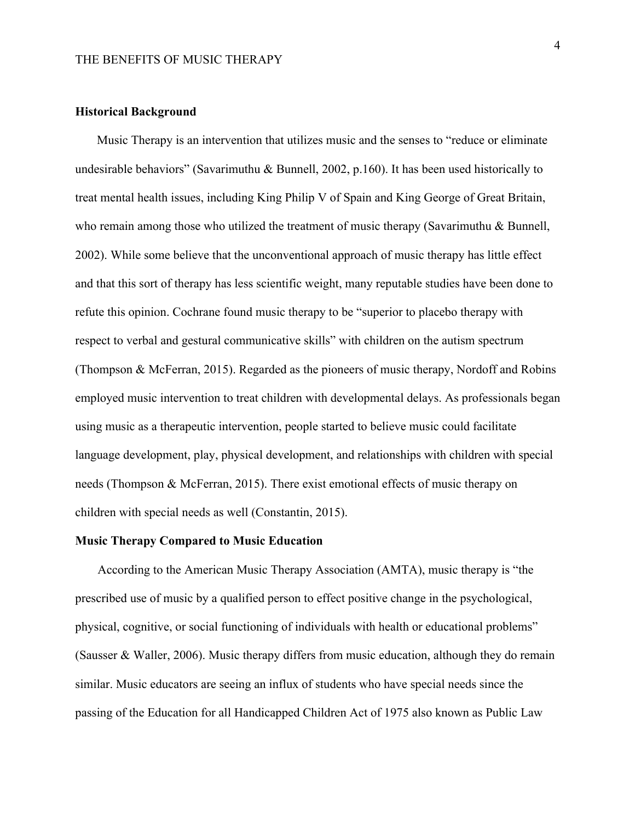### **Historical Background**

 Music Therapy is an intervention that utilizes music and the senses to "reduce or eliminate undesirable behaviors" (Savarimuthu & Bunnell, 2002, p.160). It has been used historically to treat mental health issues, including King Philip V of Spain and King George of Great Britain, who remain among those who utilized the treatment of music therapy (Savarimuthu & Bunnell, 2002). While some believe that the unconventional approach of music therapy has little effect and that this sort of therapy has less scientific weight, many reputable studies have been done to refute this opinion. Cochrane found music therapy to be "superior to placebo therapy with respect to verbal and gestural communicative skills" with children on the autism spectrum (Thompson & McFerran, 2015). Regarded as the pioneers of music therapy, Nordoff and Robins employed music intervention to treat children with developmental delays. As professionals began using music as a therapeutic intervention, people started to believe music could facilitate language development, play, physical development, and relationships with children with special needs (Thompson & McFerran, 2015). There exist emotional effects of music therapy on children with special needs as well (Constantin, 2015).

## **Music Therapy Compared to Music Education**

According to the American Music Therapy Association (AMTA), music therapy is "the prescribed use of music by a qualified person to effect positive change in the psychological, physical, cognitive, or social functioning of individuals with health or educational problems" (Sausser & Waller, 2006). Music therapy differs from music education, although they do remain similar. Music educators are seeing an influx of students who have special needs since the passing of the Education for all Handicapped Children Act of 1975 also known as Public Law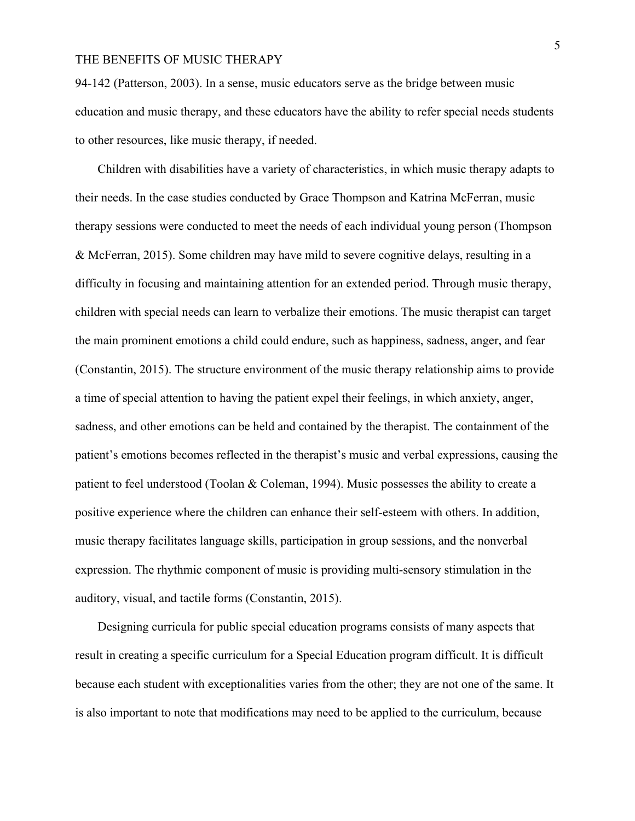94-142 (Patterson, 2003). In a sense, music educators serve as the bridge between music education and music therapy, and these educators have the ability to refer special needs students to other resources, like music therapy, if needed.

Children with disabilities have a variety of characteristics, in which music therapy adapts to their needs. In the case studies conducted by Grace Thompson and Katrina McFerran, music therapy sessions were conducted to meet the needs of each individual young person (Thompson & McFerran, 2015). Some children may have mild to severe cognitive delays, resulting in a difficulty in focusing and maintaining attention for an extended period. Through music therapy, children with special needs can learn to verbalize their emotions. The music therapist can target the main prominent emotions a child could endure, such as happiness, sadness, anger, and fear (Constantin, 2015). The structure environment of the music therapy relationship aims to provide a time of special attention to having the patient expel their feelings, in which anxiety, anger, sadness, and other emotions can be held and contained by the therapist. The containment of the patient's emotions becomes reflected in the therapist's music and verbal expressions, causing the patient to feel understood (Toolan & Coleman, 1994). Music possesses the ability to create a positive experience where the children can enhance their self-esteem with others. In addition, music therapy facilitates language skills, participation in group sessions, and the nonverbal expression. The rhythmic component of music is providing multi-sensory stimulation in the auditory, visual, and tactile forms (Constantin, 2015).

Designing curricula for public special education programs consists of many aspects that result in creating a specific curriculum for a Special Education program difficult. It is difficult because each student with exceptionalities varies from the other; they are not one of the same. It is also important to note that modifications may need to be applied to the curriculum, because

5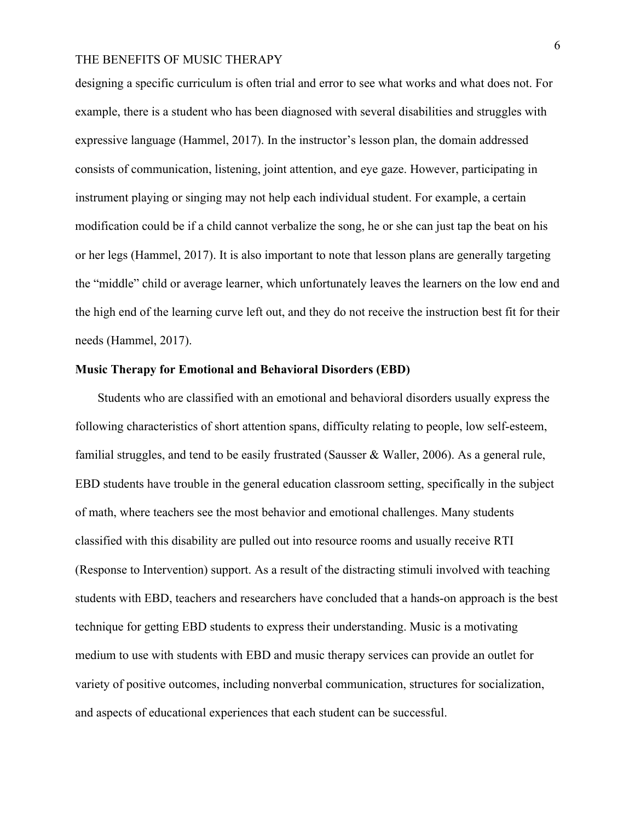designing a specific curriculum is often trial and error to see what works and what does not. For example, there is a student who has been diagnosed with several disabilities and struggles with expressive language (Hammel, 2017). In the instructor's lesson plan, the domain addressed consists of communication, listening, joint attention, and eye gaze. However, participating in instrument playing or singing may not help each individual student. For example, a certain modification could be if a child cannot verbalize the song, he or she can just tap the beat on his or her legs (Hammel, 2017). It is also important to note that lesson plans are generally targeting the "middle" child or average learner, which unfortunately leaves the learners on the low end and the high end of the learning curve left out, and they do not receive the instruction best fit for their needs (Hammel, 2017).

#### **Music Therapy for Emotional and Behavioral Disorders (EBD)**

Students who are classified with an emotional and behavioral disorders usually express the following characteristics of short attention spans, difficulty relating to people, low self-esteem, familial struggles, and tend to be easily frustrated (Sausser & Waller, 2006). As a general rule, EBD students have trouble in the general education classroom setting, specifically in the subject of math, where teachers see the most behavior and emotional challenges. Many students classified with this disability are pulled out into resource rooms and usually receive RTI (Response to Intervention) support. As a result of the distracting stimuli involved with teaching students with EBD, teachers and researchers have concluded that a hands-on approach is the best technique for getting EBD students to express their understanding. Music is a motivating medium to use with students with EBD and music therapy services can provide an outlet for variety of positive outcomes, including nonverbal communication, structures for socialization, and aspects of educational experiences that each student can be successful.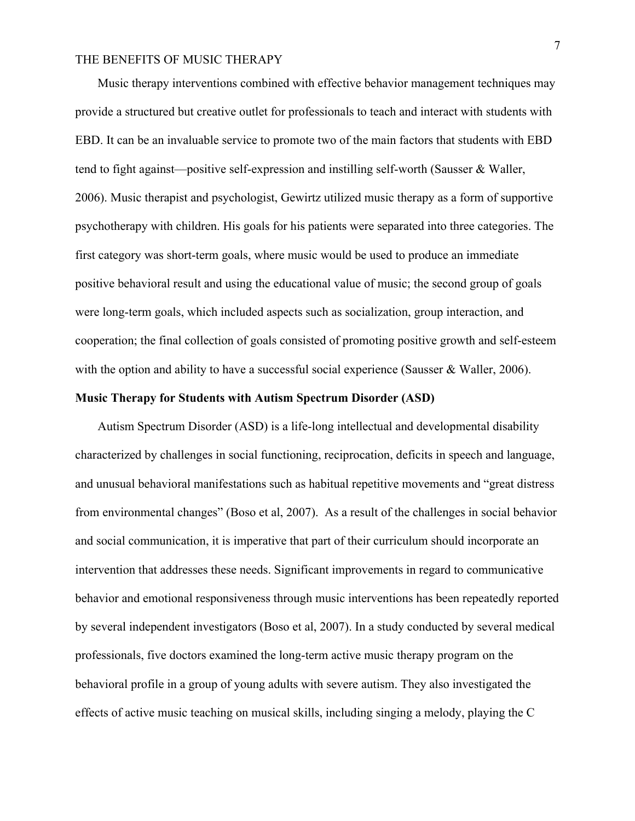Music therapy interventions combined with effective behavior management techniques may provide a structured but creative outlet for professionals to teach and interact with students with EBD. It can be an invaluable service to promote two of the main factors that students with EBD tend to fight against—positive self-expression and instilling self-worth (Sausser & Waller, 2006). Music therapist and psychologist, Gewirtz utilized music therapy as a form of supportive psychotherapy with children. His goals for his patients were separated into three categories. The first category was short-term goals, where music would be used to produce an immediate positive behavioral result and using the educational value of music; the second group of goals were long-term goals, which included aspects such as socialization, group interaction, and cooperation; the final collection of goals consisted of promoting positive growth and self-esteem with the option and ability to have a successful social experience (Sausser & Waller, 2006).

### **Music Therapy for Students with Autism Spectrum Disorder (ASD)**

Autism Spectrum Disorder (ASD) is a life-long intellectual and developmental disability characterized by challenges in social functioning, reciprocation, deficits in speech and language, and unusual behavioral manifestations such as habitual repetitive movements and "great distress from environmental changes" (Boso et al, 2007). As a result of the challenges in social behavior and social communication, it is imperative that part of their curriculum should incorporate an intervention that addresses these needs. Significant improvements in regard to communicative behavior and emotional responsiveness through music interventions has been repeatedly reported by several independent investigators (Boso et al, 2007). In a study conducted by several medical professionals, five doctors examined the long-term active music therapy program on the behavioral profile in a group of young adults with severe autism. They also investigated the effects of active music teaching on musical skills, including singing a melody, playing the C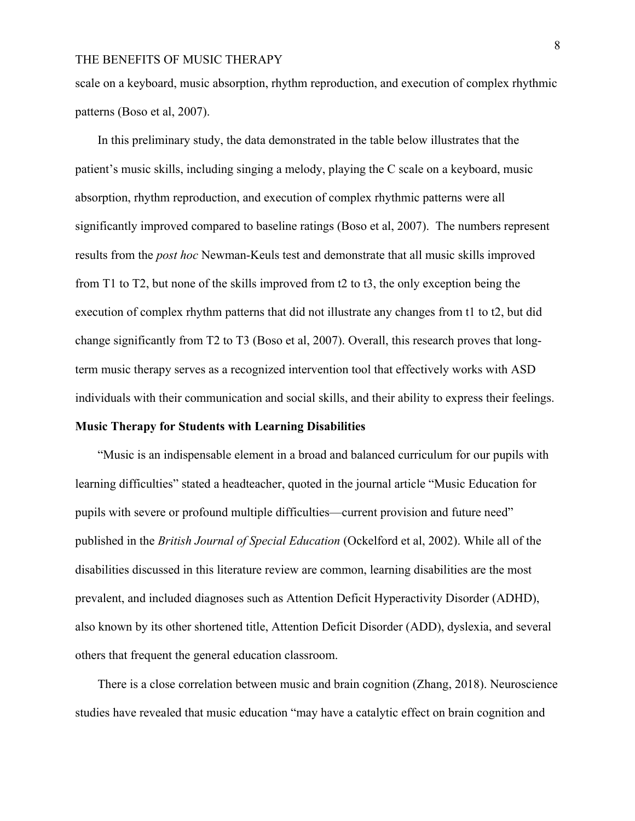scale on a keyboard, music absorption, rhythm reproduction, and execution of complex rhythmic patterns (Boso et al, 2007).

In this preliminary study, the data demonstrated in the table below illustrates that the patient's music skills, including singing a melody, playing the C scale on a keyboard, music absorption, rhythm reproduction, and execution of complex rhythmic patterns were all significantly improved compared to baseline ratings (Boso et al, 2007). The numbers represent results from the *post hoc* Newman-Keuls test and demonstrate that all music skills improved from T1 to T2, but none of the skills improved from t2 to t3, the only exception being the execution of complex rhythm patterns that did not illustrate any changes from t1 to t2, but did change significantly from T2 to T3 (Boso et al, 2007). Overall, this research proves that longterm music therapy serves as a recognized intervention tool that effectively works with ASD individuals with their communication and social skills, and their ability to express their feelings.

## **Music Therapy for Students with Learning Disabilities**

"Music is an indispensable element in a broad and balanced curriculum for our pupils with learning difficulties" stated a headteacher, quoted in the journal article "Music Education for pupils with severe or profound multiple difficulties—current provision and future need" published in the *British Journal of Special Education* (Ockelford et al, 2002). While all of the disabilities discussed in this literature review are common, learning disabilities are the most prevalent, and included diagnoses such as Attention Deficit Hyperactivity Disorder (ADHD), also known by its other shortened title, Attention Deficit Disorder (ADD), dyslexia, and several others that frequent the general education classroom.

There is a close correlation between music and brain cognition (Zhang, 2018). Neuroscience studies have revealed that music education "may have a catalytic effect on brain cognition and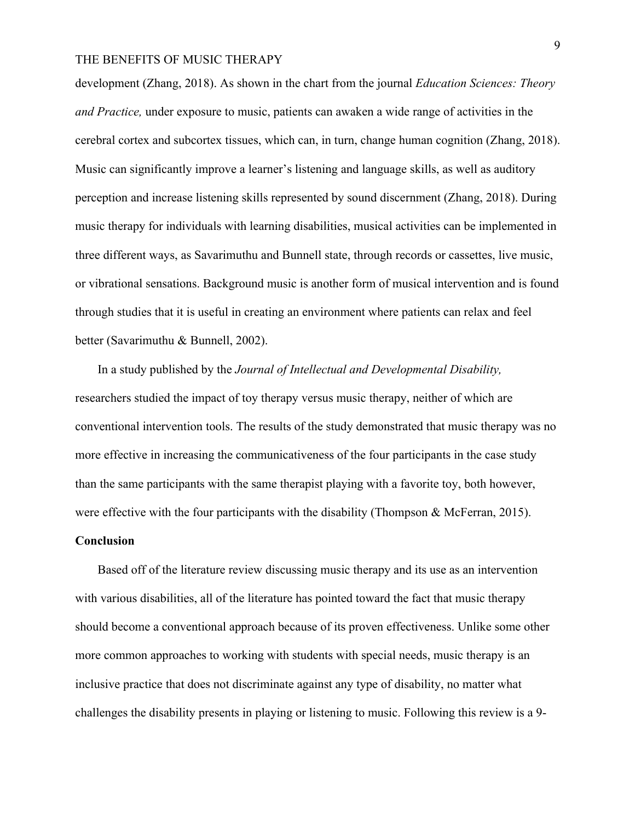development (Zhang, 2018). As shown in the chart from the journal *Education Sciences: Theory and Practice,* under exposure to music, patients can awaken a wide range of activities in the cerebral cortex and subcortex tissues, which can, in turn, change human cognition (Zhang, 2018). Music can significantly improve a learner's listening and language skills, as well as auditory perception and increase listening skills represented by sound discernment (Zhang, 2018). During music therapy for individuals with learning disabilities, musical activities can be implemented in three different ways, as Savarimuthu and Bunnell state, through records or cassettes, live music, or vibrational sensations. Background music is another form of musical intervention and is found through studies that it is useful in creating an environment where patients can relax and feel better (Savarimuthu & Bunnell, 2002).

In a study published by the *Journal of Intellectual and Developmental Disability,*  researchers studied the impact of toy therapy versus music therapy, neither of which are conventional intervention tools. The results of the study demonstrated that music therapy was no more effective in increasing the communicativeness of the four participants in the case study than the same participants with the same therapist playing with a favorite toy, both however, were effective with the four participants with the disability (Thompson & McFerran, 2015).

### **Conclusion**

Based off of the literature review discussing music therapy and its use as an intervention with various disabilities, all of the literature has pointed toward the fact that music therapy should become a conventional approach because of its proven effectiveness. Unlike some other more common approaches to working with students with special needs, music therapy is an inclusive practice that does not discriminate against any type of disability, no matter what challenges the disability presents in playing or listening to music. Following this review is a 9-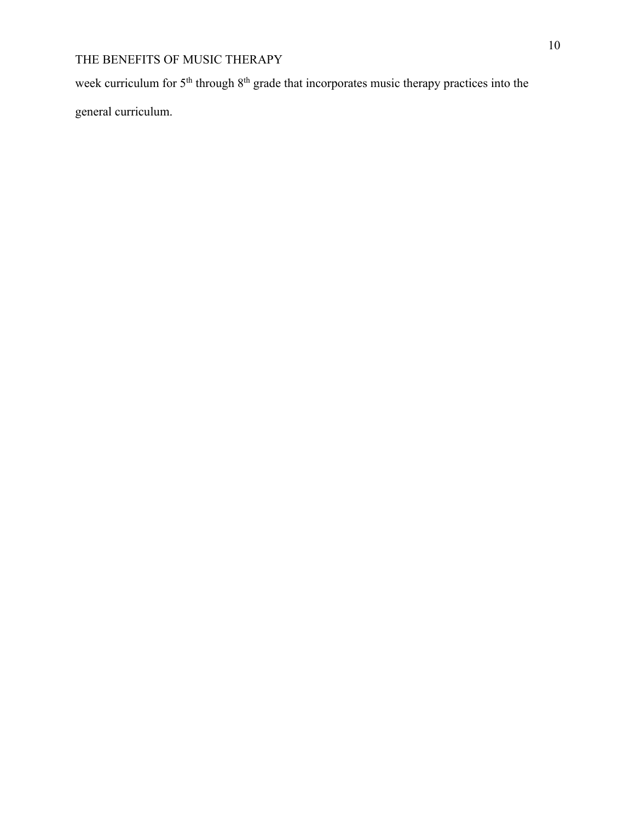week curriculum for 5<sup>th</sup> through 8<sup>th</sup> grade that incorporates music therapy practices into the

general curriculum.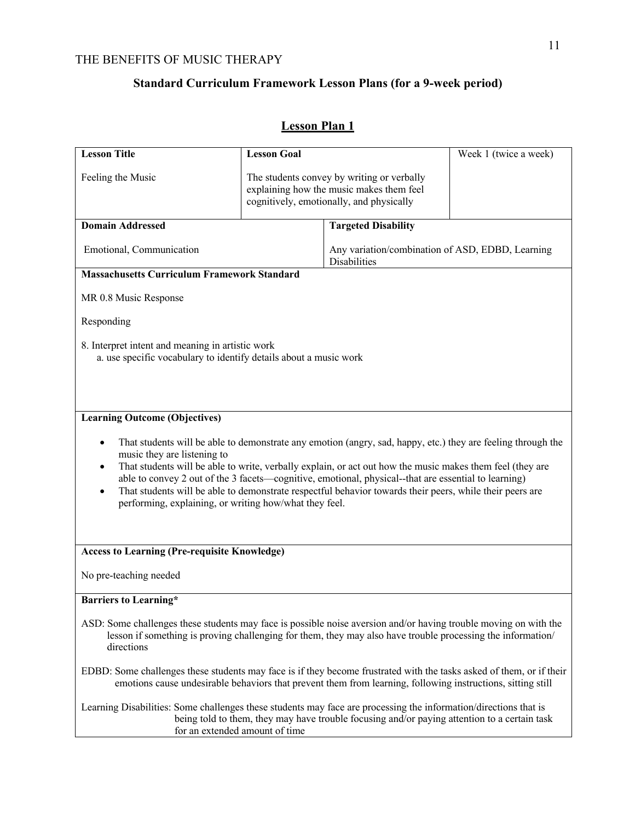# **Standard Curriculum Framework Lesson Plans (for a 9-week period)**

# **Lesson Plan 1**

| <b>Lesson Title</b>                                                                                                                                                                                                                                                                                                                                                                                                                                                                                                                                                                                   | <b>Lesson Goal</b> |                                                                                                                                    | Week 1 (twice a week) |  |  |
|-------------------------------------------------------------------------------------------------------------------------------------------------------------------------------------------------------------------------------------------------------------------------------------------------------------------------------------------------------------------------------------------------------------------------------------------------------------------------------------------------------------------------------------------------------------------------------------------------------|--------------------|------------------------------------------------------------------------------------------------------------------------------------|-----------------------|--|--|
| Feeling the Music                                                                                                                                                                                                                                                                                                                                                                                                                                                                                                                                                                                     |                    | The students convey by writing or verbally<br>explaining how the music makes them feel<br>cognitively, emotionally, and physically |                       |  |  |
| <b>Domain Addressed</b>                                                                                                                                                                                                                                                                                                                                                                                                                                                                                                                                                                               |                    | <b>Targeted Disability</b>                                                                                                         |                       |  |  |
| Emotional, Communication                                                                                                                                                                                                                                                                                                                                                                                                                                                                                                                                                                              |                    | Any variation/combination of ASD, EDBD, Learning<br><b>Disabilities</b>                                                            |                       |  |  |
| <b>Massachusetts Curriculum Framework Standard</b>                                                                                                                                                                                                                                                                                                                                                                                                                                                                                                                                                    |                    |                                                                                                                                    |                       |  |  |
| MR 0.8 Music Response                                                                                                                                                                                                                                                                                                                                                                                                                                                                                                                                                                                 |                    |                                                                                                                                    |                       |  |  |
| Responding                                                                                                                                                                                                                                                                                                                                                                                                                                                                                                                                                                                            |                    |                                                                                                                                    |                       |  |  |
| 8. Interpret intent and meaning in artistic work<br>a. use specific vocabulary to identify details about a music work                                                                                                                                                                                                                                                                                                                                                                                                                                                                                 |                    |                                                                                                                                    |                       |  |  |
| <b>Learning Outcome (Objectives)</b><br>That students will be able to demonstrate any emotion (angry, sad, happy, etc.) they are feeling through the<br>$\bullet$<br>music they are listening to<br>That students will be able to write, verbally explain, or act out how the music makes them feel (they are<br>٠<br>able to convey 2 out of the 3 facets—cognitive, emotional, physical--that are essential to learning)<br>That students will be able to demonstrate respectful behavior towards their peers, while their peers are<br>٠<br>performing, explaining, or writing how/what they feel. |                    |                                                                                                                                    |                       |  |  |
| <b>Access to Learning (Pre-requisite Knowledge)</b>                                                                                                                                                                                                                                                                                                                                                                                                                                                                                                                                                   |                    |                                                                                                                                    |                       |  |  |
| No pre-teaching needed                                                                                                                                                                                                                                                                                                                                                                                                                                                                                                                                                                                |                    |                                                                                                                                    |                       |  |  |
| <b>Barriers to Learning*</b>                                                                                                                                                                                                                                                                                                                                                                                                                                                                                                                                                                          |                    |                                                                                                                                    |                       |  |  |
| ASD: Some challenges these students may face is possible noise aversion and/or having trouble moving on with the<br>lesson if something is proving challenging for them, they may also have trouble processing the information/<br>directions                                                                                                                                                                                                                                                                                                                                                         |                    |                                                                                                                                    |                       |  |  |
| EDBD: Some challenges these students may face is if they become frustrated with the tasks asked of them, or if their<br>emotions cause undesirable behaviors that prevent them from learning, following instructions, sitting still                                                                                                                                                                                                                                                                                                                                                                   |                    |                                                                                                                                    |                       |  |  |
| Learning Disabilities: Some challenges these students may face are processing the information/directions that is<br>being told to them, they may have trouble focusing and/or paying attention to a certain task<br>for an extended amount of time                                                                                                                                                                                                                                                                                                                                                    |                    |                                                                                                                                    |                       |  |  |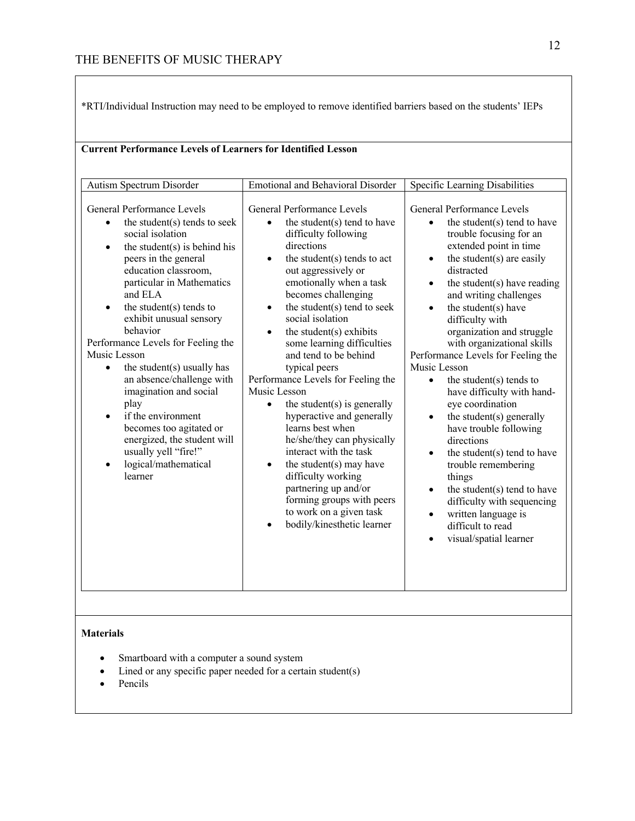\*RTI/Individual Instruction may need to be employed to remove identified barriers based on the students' IEPs

| <b>Emotional and Behavioral Disorder</b><br>Autism Spectrum Disorder<br>Specific Learning Disabilities<br>General Performance Levels<br>General Performance Levels<br>General Performance Levels<br>the student(s) tends to seek<br>the student(s) tend to have<br>the student(s) tend to have<br>$\bullet$<br>$\bullet$<br>$\bullet$<br>social isolation<br>difficulty following<br>trouble focusing for an<br>directions<br>extended point in time<br>the student $(s)$ is behind his<br>$\bullet$<br>the student(s) are easily<br>the student(s) tends to act<br>peers in the general<br>$\bullet$<br>$\bullet$<br>education classroom,<br>out aggressively or<br>distracted<br>particular in Mathematics<br>emotionally when a task<br>the student(s) have reading<br>$\bullet$<br>becomes challenging<br>and ELA<br>and writing challenges<br>the student $(s)$ tends to<br>the student(s) tend to seek<br>the student(s) have<br>$\bullet$<br>$\bullet$<br>$\bullet$<br>exhibit unusual sensory<br>social isolation<br>difficulty with<br>behavior<br>the student(s) exhibits<br>organization and struggle<br>$\bullet$<br>Performance Levels for Feeling the<br>some learning difficulties<br>with organizational skills<br>Music Lesson<br>and tend to be behind<br>Performance Levels for Feeling the<br>Music Lesson<br>the student(s) usually has<br>typical peers<br>$\bullet$<br>an absence/challenge with<br>Performance Levels for Feeling the<br>the student $(s)$ tends to<br>$\bullet$<br>imagination and social<br>Music Lesson<br>have difficulty with hand-<br>play<br>eye coordination<br>the student $(s)$ is generally<br>if the environment<br>hyperactive and generally<br>the student(s) generally<br>$\bullet$<br>$\bullet$<br>learns best when<br>becomes too agitated or<br>have trouble following<br>energized, the student will<br>he/she/they can physically<br>directions<br>usually yell "fire!"<br>interact with the task<br>the student(s) tend to have<br>$\bullet$<br>logical/mathematical<br>the student(s) may have<br>trouble remembering<br>$\bullet$<br>$\bullet$<br>learner<br>difficulty working<br>things<br>partnering up and/or<br>the student(s) tend to have<br>$\bullet$<br>forming groups with peers<br>difficulty with sequencing<br>to work on a given task<br>written language is<br>$\bullet$<br>bodily/kinesthetic learner<br>difficult to read<br>visual/spatial learner | <b>Current Performance Levels of Learners for Identified Lesson</b> |  |  |  |  |  |
|-------------------------------------------------------------------------------------------------------------------------------------------------------------------------------------------------------------------------------------------------------------------------------------------------------------------------------------------------------------------------------------------------------------------------------------------------------------------------------------------------------------------------------------------------------------------------------------------------------------------------------------------------------------------------------------------------------------------------------------------------------------------------------------------------------------------------------------------------------------------------------------------------------------------------------------------------------------------------------------------------------------------------------------------------------------------------------------------------------------------------------------------------------------------------------------------------------------------------------------------------------------------------------------------------------------------------------------------------------------------------------------------------------------------------------------------------------------------------------------------------------------------------------------------------------------------------------------------------------------------------------------------------------------------------------------------------------------------------------------------------------------------------------------------------------------------------------------------------------------------------------------------------------------------------------------------------------------------------------------------------------------------------------------------------------------------------------------------------------------------------------------------------------------------------------------------------------------------------------------------------------------------------------------------------------------------------------------------------------------------------------------------------------------------------------------|---------------------------------------------------------------------|--|--|--|--|--|
|                                                                                                                                                                                                                                                                                                                                                                                                                                                                                                                                                                                                                                                                                                                                                                                                                                                                                                                                                                                                                                                                                                                                                                                                                                                                                                                                                                                                                                                                                                                                                                                                                                                                                                                                                                                                                                                                                                                                                                                                                                                                                                                                                                                                                                                                                                                                                                                                                                     |                                                                     |  |  |  |  |  |
|                                                                                                                                                                                                                                                                                                                                                                                                                                                                                                                                                                                                                                                                                                                                                                                                                                                                                                                                                                                                                                                                                                                                                                                                                                                                                                                                                                                                                                                                                                                                                                                                                                                                                                                                                                                                                                                                                                                                                                                                                                                                                                                                                                                                                                                                                                                                                                                                                                     |                                                                     |  |  |  |  |  |

### **Materials**

- Smartboard with a computer a sound system
- Lined or any specific paper needed for a certain student(s)
- Pencils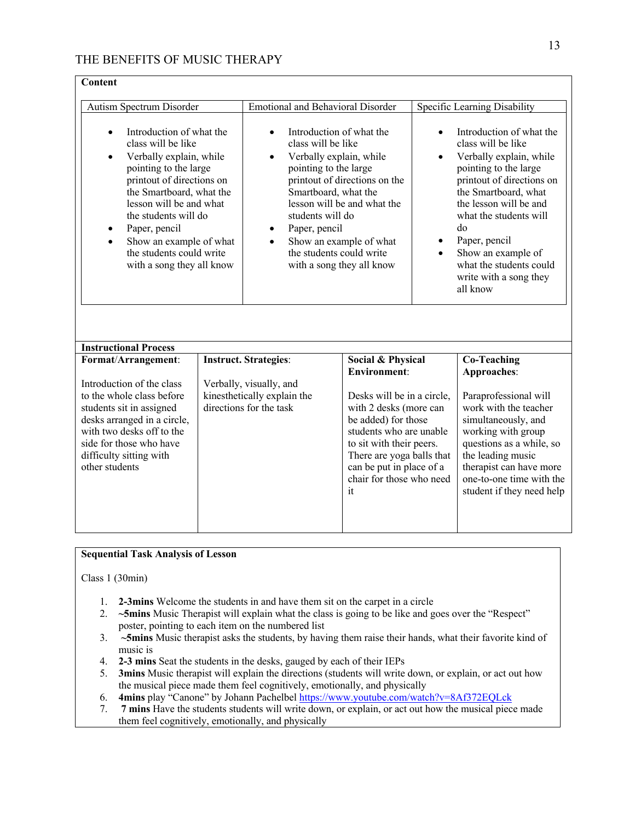| Content                                                                                                                                                                                                                                                                                                                                                                                                                                                                                                                                                                                                                                                                                                                                                                                |  |                                                                                   |                                                                                                                                                                                                                               |                                                                                                                                                                                                                                                                                                                           |                                                                                                                                                                                                                                  |
|----------------------------------------------------------------------------------------------------------------------------------------------------------------------------------------------------------------------------------------------------------------------------------------------------------------------------------------------------------------------------------------------------------------------------------------------------------------------------------------------------------------------------------------------------------------------------------------------------------------------------------------------------------------------------------------------------------------------------------------------------------------------------------------|--|-----------------------------------------------------------------------------------|-------------------------------------------------------------------------------------------------------------------------------------------------------------------------------------------------------------------------------|---------------------------------------------------------------------------------------------------------------------------------------------------------------------------------------------------------------------------------------------------------------------------------------------------------------------------|----------------------------------------------------------------------------------------------------------------------------------------------------------------------------------------------------------------------------------|
| Autism Spectrum Disorder                                                                                                                                                                                                                                                                                                                                                                                                                                                                                                                                                                                                                                                                                                                                                               |  |                                                                                   |                                                                                                                                                                                                                               |                                                                                                                                                                                                                                                                                                                           | Specific Learning Disability                                                                                                                                                                                                     |
| <b>Emotional and Behavioral Disorder</b><br>Introduction of what the<br>Introduction of what the<br>$\bullet$<br>class will be like<br>class will be like<br>Verbally explain, while<br>Verbally explain, while<br>$\bullet$<br>$\bullet$<br>$\bullet$<br>pointing to the large<br>pointing to the large<br>printout of directions on<br>printout of directions on the<br>the Smartboard, what the<br>Smartboard, what the<br>lesson will be and what<br>lesson will be and what the<br>the students will do<br>students will do<br>Paper, pencil<br>Paper, pencil<br>٠<br>$\bullet$<br>Show an example of what<br>Show an example of what<br>$\bullet$<br>$\bullet$<br>the students could write<br>the students could write<br>with a song they all know<br>with a song they all know |  |                                                                                   |                                                                                                                                                                                                                               | Introduction of what the<br>class will be like<br>Verbally explain, while<br>pointing to the large<br>printout of directions on<br>the Smartboard, what<br>the lesson will be and<br>what the students will<br>do<br>Paper, pencil<br>Show an example of<br>what the students could<br>write with a song they<br>all know |                                                                                                                                                                                                                                  |
| <b>Instructional Process</b>                                                                                                                                                                                                                                                                                                                                                                                                                                                                                                                                                                                                                                                                                                                                                           |  |                                                                                   |                                                                                                                                                                                                                               |                                                                                                                                                                                                                                                                                                                           |                                                                                                                                                                                                                                  |
| Format/Arrangement:<br>Introduction of the class                                                                                                                                                                                                                                                                                                                                                                                                                                                                                                                                                                                                                                                                                                                                       |  | <b>Instruct. Strategies:</b>                                                      | Social & Physical<br><b>Environment:</b>                                                                                                                                                                                      |                                                                                                                                                                                                                                                                                                                           | <b>Co-Teaching</b><br>Approaches:                                                                                                                                                                                                |
| to the whole class before<br>students sit in assigned<br>desks arranged in a circle,<br>with two desks off to the<br>side for those who have<br>difficulty sitting with<br>other students                                                                                                                                                                                                                                                                                                                                                                                                                                                                                                                                                                                              |  | Verbally, visually, and<br>kinesthetically explain the<br>directions for the task | Desks will be in a circle,<br>with 2 desks (more can<br>be added) for those<br>students who are unable<br>to sit with their peers.<br>There are yoga balls that<br>can be put in place of a<br>chair for those who need<br>it |                                                                                                                                                                                                                                                                                                                           | Paraprofessional will<br>work with the teacher<br>simultaneously, and<br>working with group<br>questions as a while, so<br>the leading music<br>therapist can have more<br>one-to-one time with the<br>student if they need help |

### **Sequential Task Analysis of Lesson**

Class 1 (30min)

- 1. **2-3mins** Welcome the students in and have them sit on the carpet in a circle
- 2. **~5mins** Music Therapist will explain what the class is going to be like and goes over the "Respect" poster, pointing to each item on the numbered list
- 3. **~5mins** Music therapist asks the students, by having them raise their hands, what their favorite kind of music is
- 4. **2-3 mins** Seat the students in the desks, gauged by each of their IEPs
- 5. **3mins** Music therapist will explain the directions (students will write down, or explain, or act out how the musical piece made them feel cognitively, emotionally, and physically
- 6. **4mins** play "Canone" by Johann Pachelbel https://www.youtube.com/watch?v=8Af372EQLck
- 7. **7 mins** Have the students students will write down, or explain, or act out how the musical piece made them feel cognitively, emotionally, and physically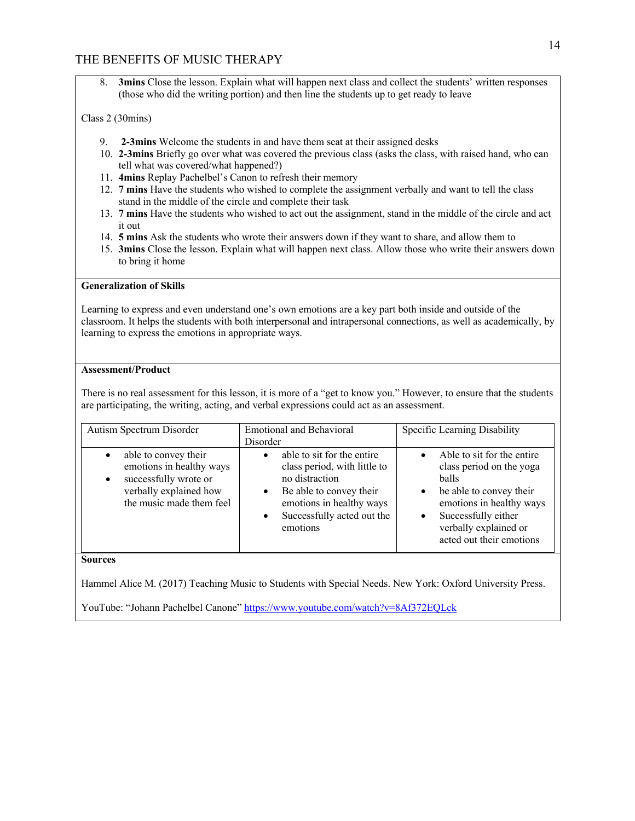8. **3mins** Close the lesson. Explain what will happen next class and collect the students' written responses (those who did the writing portion) and then line the students up to get ready to leave

### Class 2 (30mins)

- 9. **2-3mins** Welcome the students in and have them seat at their assigned desks
- 10. **2-3mins** Briefly go over what was covered the previous class (asks the class, with raised hand, who can tell what was covered/what happened?)
- 11. **4mins** Replay Pachelbel's Canon to refresh their memory
- 12. **7 mins** Have the students who wished to complete the assignment verbally and want to tell the class stand in the middle of the circle and complete their task
- 13. **7 mins** Have the students who wished to act out the assignment, stand in the middle of the circle and act it out
- 14. **5 mins** Ask the students who wrote their answers down if they want to share, and allow them to
- 15. **3mins** Close the lesson. Explain what will happen next class. Allow those who write their answers down to bring it home

### **Generalization of Skills**

Learning to express and even understand one's own emotions are a key part both inside and outside of the classroom. It helps the students with both interpersonal and intrapersonal connections, as well as academically, by learning to express the emotions in appropriate ways.

### **Assessment/Product**

There is no real assessment for this lesson, it is more of a "get to know you." However, to ensure that the students are participating, the writing, acting, and verbal expressions could act as an assessment.

| Autism Spectrum Disorder                                                                                                                                  | <b>Emotional and Behavioral</b><br>Disorder                                                                                                                                                                          | Specific Learning Disability                                                                                                                                                                       |
|-----------------------------------------------------------------------------------------------------------------------------------------------------------|----------------------------------------------------------------------------------------------------------------------------------------------------------------------------------------------------------------------|----------------------------------------------------------------------------------------------------------------------------------------------------------------------------------------------------|
| able to convey their<br>$\bullet$<br>emotions in healthy ways<br>successfully wrote or<br>$\bullet$<br>verbally explained how<br>the music made them feel | able to sit for the entire<br>$\bullet$<br>class period, with little to<br>no distraction<br>Be able to convey their<br>$\bullet$<br>emotions in healthy ways<br>Successfully acted out the<br>$\bullet$<br>emotions | Able to sit for the entire<br>class period on the yoga<br>balls<br>be able to convey their<br>emotions in healthy ways<br>Successfully either<br>verbally explained or<br>acted out their emotions |

**Sources**

Hammel Alice M. (2017) Teaching Music to Students with Special Needs. New York: Oxford University Press.

YouTube: "Johann Pachelbel Canone" https://www.youtube.com/watch?v=8Af372EQLck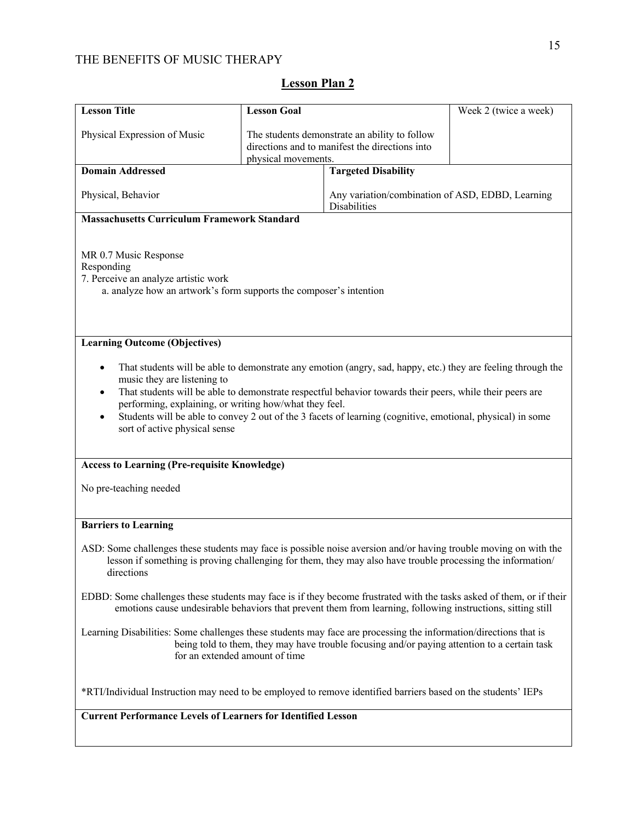| <b>Lesson Title</b>                                                                                                                                                                                                                                                                                                                                                                                                                                              | <b>Lesson Goal</b>  |                                                                                                             | Week 2 (twice a week) |  |  |
|------------------------------------------------------------------------------------------------------------------------------------------------------------------------------------------------------------------------------------------------------------------------------------------------------------------------------------------------------------------------------------------------------------------------------------------------------------------|---------------------|-------------------------------------------------------------------------------------------------------------|-----------------------|--|--|
| Physical Expression of Music                                                                                                                                                                                                                                                                                                                                                                                                                                     | physical movements. | The students demonstrate an ability to follow<br>directions and to manifest the directions into             |                       |  |  |
| <b>Domain Addressed</b>                                                                                                                                                                                                                                                                                                                                                                                                                                          |                     | <b>Targeted Disability</b>                                                                                  |                       |  |  |
| Physical, Behavior                                                                                                                                                                                                                                                                                                                                                                                                                                               |                     | Any variation/combination of ASD, EDBD, Learning<br>Disabilities                                            |                       |  |  |
| <b>Massachusetts Curriculum Framework Standard</b>                                                                                                                                                                                                                                                                                                                                                                                                               |                     |                                                                                                             |                       |  |  |
| MR 0.7 Music Response<br>Responding<br>7. Perceive an analyze artistic work<br>a. analyze how an artwork's form supports the composer's intention                                                                                                                                                                                                                                                                                                                |                     |                                                                                                             |                       |  |  |
| <b>Learning Outcome (Objectives)</b>                                                                                                                                                                                                                                                                                                                                                                                                                             |                     |                                                                                                             |                       |  |  |
| That students will be able to demonstrate any emotion (angry, sad, happy, etc.) they are feeling through the<br>music they are listening to<br>That students will be able to demonstrate respectful behavior towards their peers, while their peers are<br>performing, explaining, or writing how/what they feel.<br>Students will be able to convey 2 out of the 3 facets of learning (cognitive, emotional, physical) in some<br>sort of active physical sense |                     |                                                                                                             |                       |  |  |
| <b>Access to Learning (Pre-requisite Knowledge)</b>                                                                                                                                                                                                                                                                                                                                                                                                              |                     |                                                                                                             |                       |  |  |
| No pre-teaching needed                                                                                                                                                                                                                                                                                                                                                                                                                                           |                     |                                                                                                             |                       |  |  |
| <b>Barriers to Learning</b>                                                                                                                                                                                                                                                                                                                                                                                                                                      |                     |                                                                                                             |                       |  |  |
| ASD: Some challenges these students may face is possible noise aversion and/or having trouble moving on with the<br>directions                                                                                                                                                                                                                                                                                                                                   |                     | lesson if something is proving challenging for them, they may also have trouble processing the information/ |                       |  |  |
| EDBD: Some challenges these students may face is if they become frustrated with the tasks asked of them, or if their<br>emotions cause undesirable behaviors that prevent them from learning, following instructions, sitting still                                                                                                                                                                                                                              |                     |                                                                                                             |                       |  |  |
| Learning Disabilities: Some challenges these students may face are processing the information/directions that is<br>being told to them, they may have trouble focusing and/or paying attention to a certain task<br>for an extended amount of time                                                                                                                                                                                                               |                     |                                                                                                             |                       |  |  |
| *RTI/Individual Instruction may need to be employed to remove identified barriers based on the students' IEPs                                                                                                                                                                                                                                                                                                                                                    |                     |                                                                                                             |                       |  |  |
| <b>Current Performance Levels of Learners for Identified Lesson</b>                                                                                                                                                                                                                                                                                                                                                                                              |                     |                                                                                                             |                       |  |  |
|                                                                                                                                                                                                                                                                                                                                                                                                                                                                  |                     |                                                                                                             |                       |  |  |

# **Lesson Plan 2**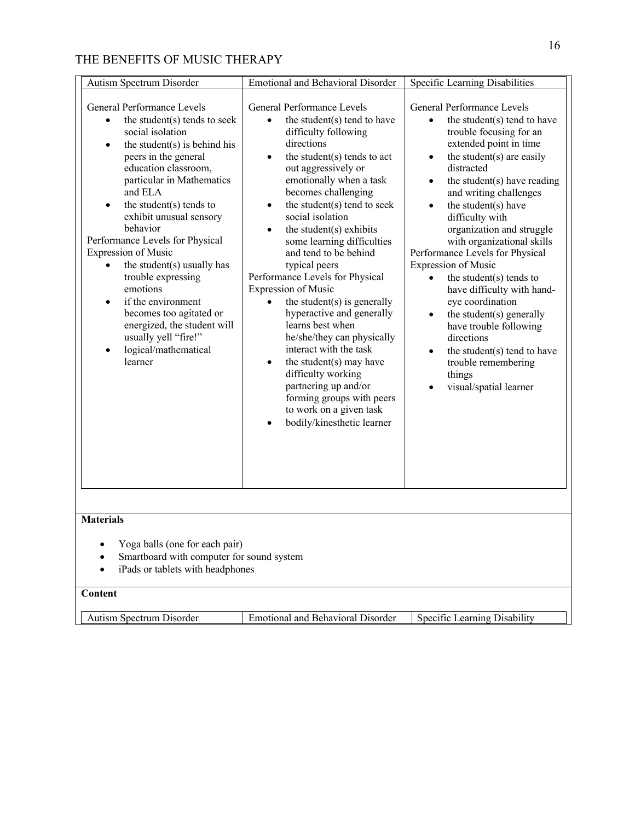| <b>Autism Spectrum Disorder</b>                                                                                                                                                                                                                                                                                                                                                                                                                                                                                                                                                                                | Emotional and Behavioral Disorder                                                                                                                                                                                                                                                                                                                                                                                                                                                                                                                                                                                                                                                                                                                                                            | Specific Learning Disabilities                                                                                                                                                                                                                                                                                                                                                                                                                                                                                                                                                                                                                                                                                          |  |  |  |
|----------------------------------------------------------------------------------------------------------------------------------------------------------------------------------------------------------------------------------------------------------------------------------------------------------------------------------------------------------------------------------------------------------------------------------------------------------------------------------------------------------------------------------------------------------------------------------------------------------------|----------------------------------------------------------------------------------------------------------------------------------------------------------------------------------------------------------------------------------------------------------------------------------------------------------------------------------------------------------------------------------------------------------------------------------------------------------------------------------------------------------------------------------------------------------------------------------------------------------------------------------------------------------------------------------------------------------------------------------------------------------------------------------------------|-------------------------------------------------------------------------------------------------------------------------------------------------------------------------------------------------------------------------------------------------------------------------------------------------------------------------------------------------------------------------------------------------------------------------------------------------------------------------------------------------------------------------------------------------------------------------------------------------------------------------------------------------------------------------------------------------------------------------|--|--|--|
| General Performance Levels<br>the student(s) tends to seek<br>$\bullet$<br>social isolation<br>the student $(s)$ is behind his<br>$\bullet$<br>peers in the general<br>education classroom,<br>particular in Mathematics<br>and ELA<br>the student $(s)$ tends to<br>$\bullet$<br>exhibit unusual sensory<br>behavior<br>Performance Levels for Physical<br><b>Expression of Music</b><br>the student(s) usually has<br>trouble expressing<br>emotions<br>if the environment<br>becomes too agitated or<br>energized, the student will<br>usually yell "fire!"<br>logical/mathematical<br>$\bullet$<br>learner | General Performance Levels<br>the student(s) tend to have<br>$\bullet$<br>difficulty following<br>directions<br>the student(s) tends to act<br>$\bullet$<br>out aggressively or<br>emotionally when a task<br>becomes challenging<br>the student(s) tend to seek<br>$\bullet$<br>social isolation<br>the student(s) exhibits<br>$\bullet$<br>some learning difficulties<br>and tend to be behind<br>typical peers<br>Performance Levels for Physical<br><b>Expression of Music</b><br>the student $(s)$ is generally<br>hyperactive and generally<br>learns best when<br>he/she/they can physically<br>interact with the task<br>the student(s) may have<br>difficulty working<br>partnering up and/or<br>forming groups with peers<br>to work on a given task<br>bodily/kinesthetic learner | General Performance Levels<br>the student(s) tend to have<br>$\bullet$<br>trouble focusing for an<br>extended point in time<br>the student(s) are easily<br>$\bullet$<br>distracted<br>the student $(s)$ have reading<br>$\bullet$<br>and writing challenges<br>the student(s) have<br>$\bullet$<br>difficulty with<br>organization and struggle<br>with organizational skills<br>Performance Levels for Physical<br><b>Expression of Music</b><br>the student $(s)$ tends to<br>have difficulty with hand-<br>eye coordination<br>the student(s) generally<br>$\bullet$<br>have trouble following<br>directions<br>the student(s) tend to have<br>$\bullet$<br>trouble remembering<br>things<br>visual/spatial learner |  |  |  |
| <b>Materials</b>                                                                                                                                                                                                                                                                                                                                                                                                                                                                                                                                                                                               |                                                                                                                                                                                                                                                                                                                                                                                                                                                                                                                                                                                                                                                                                                                                                                                              |                                                                                                                                                                                                                                                                                                                                                                                                                                                                                                                                                                                                                                                                                                                         |  |  |  |
| Yoga balls (one for each pair)<br>Smartboard with computer for sound system<br>iPads or tablets with headphones<br>٠                                                                                                                                                                                                                                                                                                                                                                                                                                                                                           |                                                                                                                                                                                                                                                                                                                                                                                                                                                                                                                                                                                                                                                                                                                                                                                              |                                                                                                                                                                                                                                                                                                                                                                                                                                                                                                                                                                                                                                                                                                                         |  |  |  |
| Content                                                                                                                                                                                                                                                                                                                                                                                                                                                                                                                                                                                                        |                                                                                                                                                                                                                                                                                                                                                                                                                                                                                                                                                                                                                                                                                                                                                                                              |                                                                                                                                                                                                                                                                                                                                                                                                                                                                                                                                                                                                                                                                                                                         |  |  |  |
| <b>Autism Spectrum Disorder</b>                                                                                                                                                                                                                                                                                                                                                                                                                                                                                                                                                                                | <b>Emotional and Behavioral Disorder</b>                                                                                                                                                                                                                                                                                                                                                                                                                                                                                                                                                                                                                                                                                                                                                     | Specific Learning Disability                                                                                                                                                                                                                                                                                                                                                                                                                                                                                                                                                                                                                                                                                            |  |  |  |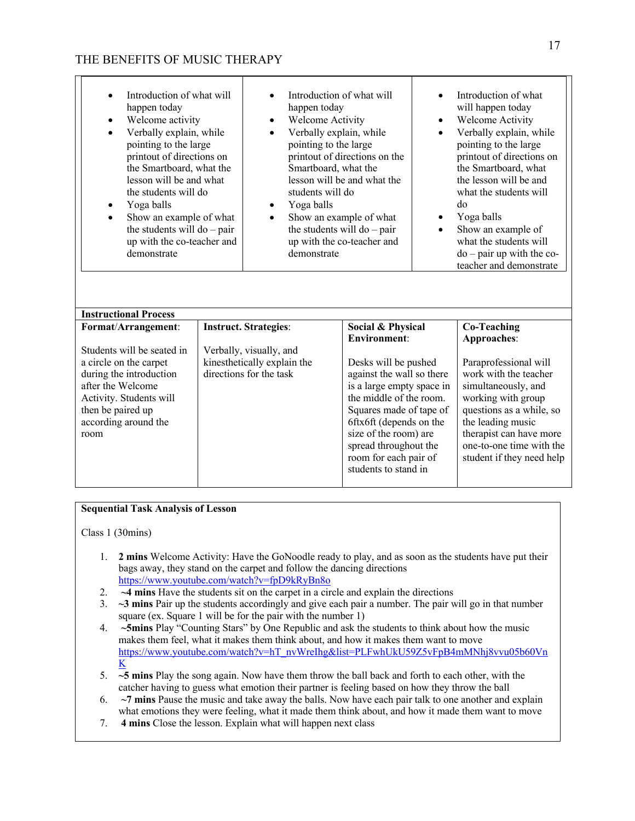| Introduction of what will<br>happen today<br>Welcome activity<br>Verbally explain, while<br>$\bullet$<br>pointing to the large<br>printout of directions on<br>the Smartboard, what the<br>lesson will be and what<br>the students will do<br>Yoga balls<br>Show an example of what<br>$\bullet$<br>the students will do $-$ pair<br>up with the co-teacher and<br>demonstrate<br><b>Instructional Process</b> | Introduction of what will<br>happen today<br>Welcome Activity<br>٠<br>Verbally explain, while<br>$\bullet$<br>pointing to the large<br>Smartboard, what the<br>students will do<br>Yoga balls<br>٠<br>Show an example of what<br>$\bullet$<br>the students will do $-$ pair<br>demonstrate | printout of directions on the<br>lesson will be and what the<br>up with the co-teacher and                                                                                                                                                                                                | $\bullet$<br>$\bullet$<br>٠ | Introduction of what<br>will happen today<br>Welcome Activity<br>Verbally explain, while<br>pointing to the large<br>printout of directions on<br>the Smartboard, what<br>the lesson will be and<br>what the students will<br>do<br>Yoga balls<br>Show an example of<br>what the students will<br>$do$ – pair up with the co-<br>teacher and demonstrate |
|----------------------------------------------------------------------------------------------------------------------------------------------------------------------------------------------------------------------------------------------------------------------------------------------------------------------------------------------------------------------------------------------------------------|--------------------------------------------------------------------------------------------------------------------------------------------------------------------------------------------------------------------------------------------------------------------------------------------|-------------------------------------------------------------------------------------------------------------------------------------------------------------------------------------------------------------------------------------------------------------------------------------------|-----------------------------|----------------------------------------------------------------------------------------------------------------------------------------------------------------------------------------------------------------------------------------------------------------------------------------------------------------------------------------------------------|
| Format/Arrangement:                                                                                                                                                                                                                                                                                                                                                                                            | <b>Instruct. Strategies:</b>                                                                                                                                                                                                                                                               | Social & Physical                                                                                                                                                                                                                                                                         |                             | <b>Co-Teaching</b>                                                                                                                                                                                                                                                                                                                                       |
| Students will be seated in<br>a circle on the carpet<br>during the introduction<br>after the Welcome<br>Activity. Students will<br>then be paired up<br>according around the<br>room                                                                                                                                                                                                                           | Verbally, visually, and<br>kinesthetically explain the<br>directions for the task                                                                                                                                                                                                          | <b>Environment:</b><br>Desks will be pushed<br>against the wall so there<br>is a large empty space in<br>the middle of the room.<br>Squares made of tape of<br>6ftx6ft (depends on the<br>size of the room) are<br>spread throughout the<br>room for each pair of<br>students to stand in |                             | Approaches:<br>Paraprofessional will<br>work with the teacher<br>simultaneously, and<br>working with group<br>questions as a while, so<br>the leading music<br>therapist can have more<br>one-to-one time with the<br>student if they need help                                                                                                          |

### **Sequential Task Analysis of Lesson**

Class 1 (30mins)

- 1. **2 mins** Welcome Activity: Have the GoNoodle ready to play, and as soon as the students have put their bags away, they stand on the carpet and follow the dancing directions https://www.youtube.com/watch?v=fpD9kRyBn8o
- 2. **~4 mins** Have the students sit on the carpet in a circle and explain the directions
- 3. **~3 mins** Pair up the students accordingly and give each pair a number. The pair will go in that number square (ex. Square 1 will be for the pair with the number 1)
- 4. **~5mins** Play "Counting Stars" by One Republic and ask the students to think about how the music makes them feel, what it makes them think about, and how it makes them want to move https://www.youtube.com/watch?v=hT\_nvWreIhg&list=PLFwhUkU59Z5vFpB4mMNhj8vvu05b60Vn K
- 5. **~5 mins** Play the song again. Now have them throw the ball back and forth to each other, with the catcher having to guess what emotion their partner is feeling based on how they throw the ball
- 6. **~7 mins** Pause the music and take away the balls. Now have each pair talk to one another and explain what emotions they were feeling, what it made them think about, and how it made them want to move
- 7. **4 mins** Close the lesson. Explain what will happen next class

П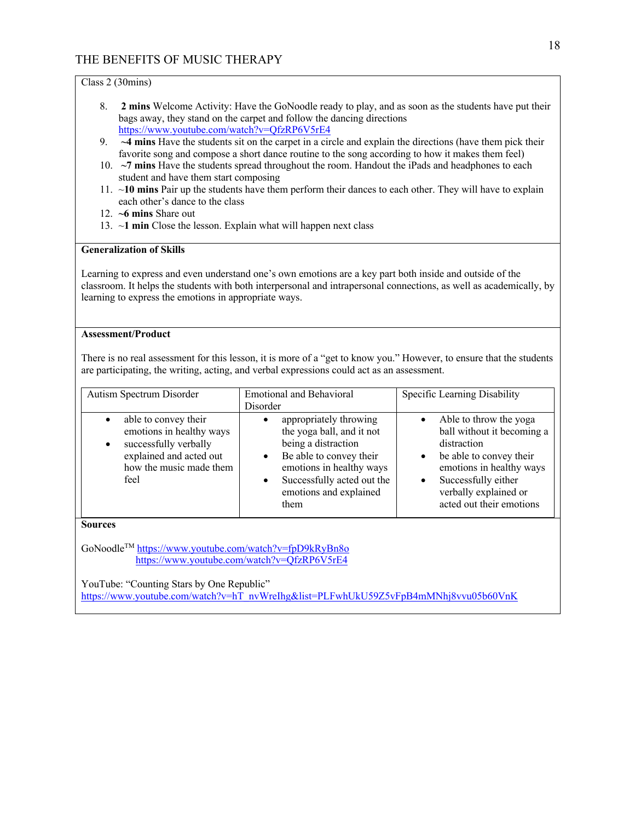Class 2 (30mins)

- 8. **2 mins** Welcome Activity: Have the GoNoodle ready to play, and as soon as the students have put their bags away, they stand on the carpet and follow the dancing directions https://www.youtube.com/watch?v=QfzRP6V5rE4
- 9. **~4 mins** Have the students sit on the carpet in a circle and explain the directions (have them pick their favorite song and compose a short dance routine to the song according to how it makes them feel)
- 10. **~7 mins** Have the students spread throughout the room. Handout the iPads and headphones to each student and have them start composing
- 11. ~**10 mins** Pair up the students have them perform their dances to each other. They will have to explain each other's dance to the class
- 12. **~6 mins** Share out
- 13. ~**1 min** Close the lesson. Explain what will happen next class

#### **Generalization of Skills**

Learning to express and even understand one's own emotions are a key part both inside and outside of the classroom. It helps the students with both interpersonal and intrapersonal connections, as well as academically, by learning to express the emotions in appropriate ways.

### **Assessment/Product**

There is no real assessment for this lesson, it is more of a "get to know you." However, to ensure that the students are participating, the writing, acting, and verbal expressions could act as an assessment.

| Autism Spectrum Disorder                                                                                                                                          | <b>Emotional and Behavioral</b><br>Disorder                                                                                                                                                                                 | Specific Learning Disability                                                                                                                                                                                                                  |  |  |  |  |
|-------------------------------------------------------------------------------------------------------------------------------------------------------------------|-----------------------------------------------------------------------------------------------------------------------------------------------------------------------------------------------------------------------------|-----------------------------------------------------------------------------------------------------------------------------------------------------------------------------------------------------------------------------------------------|--|--|--|--|
| able to convey their<br>$\bullet$<br>emotions in healthy ways<br>successfully verbally<br>$\bullet$<br>explained and acted out<br>how the music made them<br>feel | appropriately throwing<br>the yoga ball, and it not<br>being a distraction<br>Be able to convey their<br>$\bullet$<br>emotions in healthy ways<br>Successfully acted out the<br>$\bullet$<br>emotions and explained<br>them | Able to throw the yoga<br>$\bullet$<br>ball without it becoming a<br>distraction<br>be able to convey their<br>$\bullet$<br>emotions in healthy ways<br>Successfully either<br>$\bullet$<br>verbally explained or<br>acted out their emotions |  |  |  |  |
| <b>Sources</b>                                                                                                                                                    |                                                                                                                                                                                                                             |                                                                                                                                                                                                                                               |  |  |  |  |
| GoNoodle <sup>™</sup> https://www.youtube.com/watch?v=fpD9kRyBn8o<br>https://www.youtube.com/watch?v=QfzRP6V5rE4                                                  |                                                                                                                                                                                                                             |                                                                                                                                                                                                                                               |  |  |  |  |
| YouTube: "Counting Stars by One Republic"                                                                                                                         |                                                                                                                                                                                                                             |                                                                                                                                                                                                                                               |  |  |  |  |
| https://www.youtube.com/watch?v=hT_nvWreIhg&list=PLFwhUkU59Z5vFpB4mMNhj8vvu05b60VnK                                                                               |                                                                                                                                                                                                                             |                                                                                                                                                                                                                                               |  |  |  |  |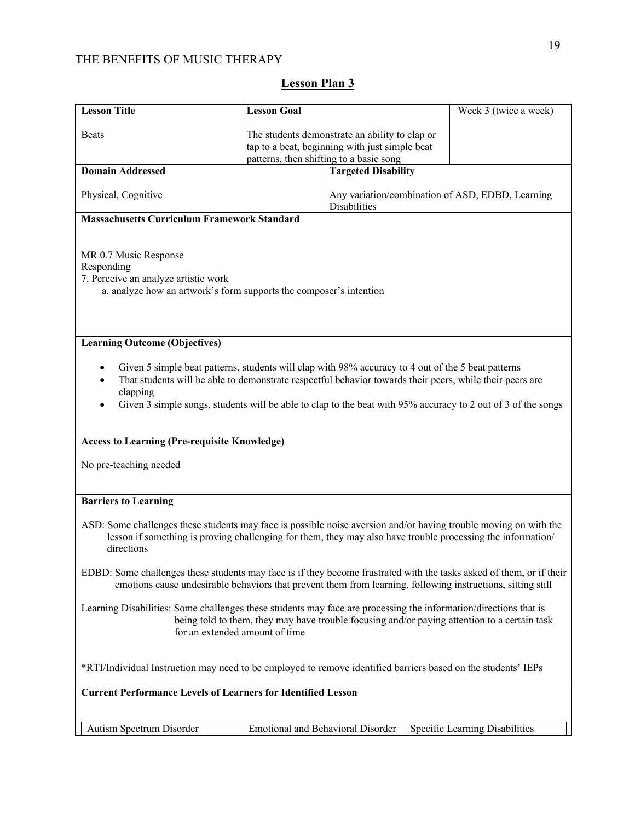| <b>Lesson Title</b>                                                                                                                                                                                                                                                                                                                        | <b>Lesson Goal</b> |                                                                                                                                             | Week 3 (twice a week)                                                                                                                                                                                                           |  |  |
|--------------------------------------------------------------------------------------------------------------------------------------------------------------------------------------------------------------------------------------------------------------------------------------------------------------------------------------------|--------------------|---------------------------------------------------------------------------------------------------------------------------------------------|---------------------------------------------------------------------------------------------------------------------------------------------------------------------------------------------------------------------------------|--|--|
| <b>Beats</b>                                                                                                                                                                                                                                                                                                                               |                    | The students demonstrate an ability to clap or<br>tap to a beat, beginning with just simple beat<br>patterns, then shifting to a basic song |                                                                                                                                                                                                                                 |  |  |
| <b>Domain Addressed</b>                                                                                                                                                                                                                                                                                                                    |                    | <b>Targeted Disability</b>                                                                                                                  |                                                                                                                                                                                                                                 |  |  |
| Physical, Cognitive                                                                                                                                                                                                                                                                                                                        |                    | Disabilities                                                                                                                                | Any variation/combination of ASD, EDBD, Learning                                                                                                                                                                                |  |  |
| <b>Massachusetts Curriculum Framework Standard</b>                                                                                                                                                                                                                                                                                         |                    |                                                                                                                                             |                                                                                                                                                                                                                                 |  |  |
| MR 0.7 Music Response<br>Responding<br>7. Perceive an analyze artistic work<br>a. analyze how an artwork's form supports the composer's intention                                                                                                                                                                                          |                    |                                                                                                                                             |                                                                                                                                                                                                                                 |  |  |
| <b>Learning Outcome (Objectives)</b>                                                                                                                                                                                                                                                                                                       |                    |                                                                                                                                             |                                                                                                                                                                                                                                 |  |  |
| Given 5 simple beat patterns, students will clap with 98% accuracy to 4 out of the 5 beat patterns<br>That students will be able to demonstrate respectful behavior towards their peers, while their peers are<br>clapping<br>Given 3 simple songs, students will be able to clap to the beat with 95% accuracy to 2 out of 3 of the songs |                    |                                                                                                                                             |                                                                                                                                                                                                                                 |  |  |
| <b>Access to Learning (Pre-requisite Knowledge)</b>                                                                                                                                                                                                                                                                                        |                    |                                                                                                                                             |                                                                                                                                                                                                                                 |  |  |
| No pre-teaching needed                                                                                                                                                                                                                                                                                                                     |                    |                                                                                                                                             |                                                                                                                                                                                                                                 |  |  |
| <b>Barriers to Learning</b>                                                                                                                                                                                                                                                                                                                |                    |                                                                                                                                             |                                                                                                                                                                                                                                 |  |  |
| directions                                                                                                                                                                                                                                                                                                                                 |                    |                                                                                                                                             | ASD: Some challenges these students may face is possible noise aversion and/or having trouble moving on with the<br>lesson if something is proving challenging for them, they may also have trouble processing the information/ |  |  |
| EDBD: Some challenges these students may face is if they become frustrated with the tasks asked of them, or if their<br>emotions cause undesirable behaviors that prevent them from learning, following instructions, sitting still                                                                                                        |                    |                                                                                                                                             |                                                                                                                                                                                                                                 |  |  |
| Learning Disabilities: Some challenges these students may face are processing the information/directions that is<br>being told to them, they may have trouble focusing and/or paying attention to a certain task<br>for an extended amount of time                                                                                         |                    |                                                                                                                                             |                                                                                                                                                                                                                                 |  |  |
| *RTI/Individual Instruction may need to be employed to remove identified barriers based on the students' IEPs                                                                                                                                                                                                                              |                    |                                                                                                                                             |                                                                                                                                                                                                                                 |  |  |
| <b>Current Performance Levels of Learners for Identified Lesson</b>                                                                                                                                                                                                                                                                        |                    |                                                                                                                                             |                                                                                                                                                                                                                                 |  |  |
|                                                                                                                                                                                                                                                                                                                                            |                    |                                                                                                                                             |                                                                                                                                                                                                                                 |  |  |
| Autism Spectrum Disorder                                                                                                                                                                                                                                                                                                                   |                    | Emotional and Behavioral Disorder                                                                                                           | Specific Learning Disabilities                                                                                                                                                                                                  |  |  |

# **Lesson Plan 3**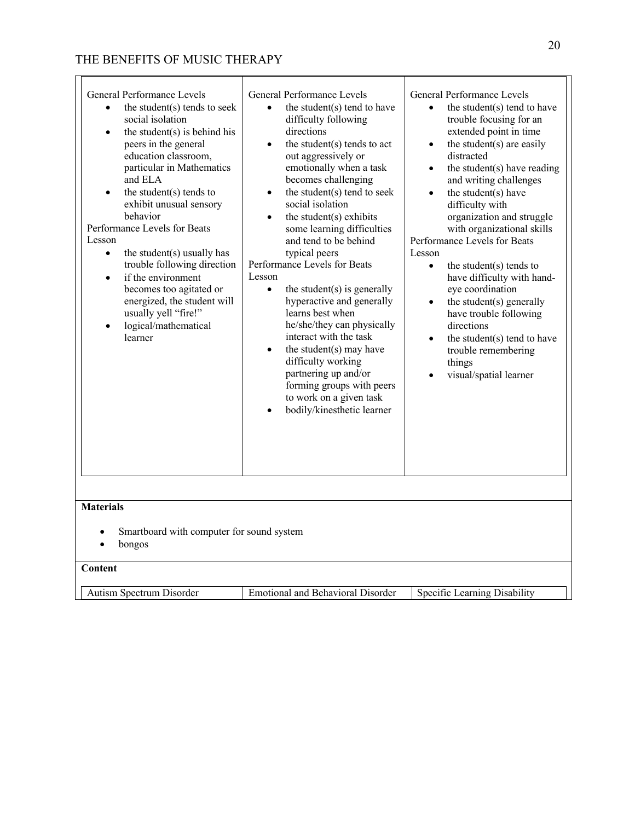| General Performance Levels<br>the student(s) tends to seek<br>$\bullet$<br>social isolation<br>the student(s) is behind his<br>$\bullet$<br>peers in the general<br>education classroom,<br>particular in Mathematics<br>and ELA<br>the student $(s)$ tends to<br>$\bullet$<br>exhibit unusual sensory<br>behavior<br>Performance Levels for Beats<br>Lesson<br>the student(s) usually has<br>$\bullet$<br>trouble following direction<br>if the environment<br>$\bullet$<br>becomes too agitated or<br>energized, the student will<br>usually yell "fire!"<br>logical/mathematical<br>learner | General Performance Levels<br>the student(s) tend to have<br>difficulty following<br>directions<br>the student $(s)$ tends to act<br>out aggressively or<br>emotionally when a task<br>becomes challenging<br>the student(s) tend to seek<br>$\bullet$<br>social isolation<br>the student $(s)$ exhibits<br>some learning difficulties<br>and tend to be behind<br>typical peers<br>Performance Levels for Beats<br>Lesson<br>the student(s) is generally<br>$\bullet$<br>hyperactive and generally<br>learns best when<br>he/she/they can physically<br>interact with the task<br>the student(s) may have<br>difficulty working<br>partnering up and/or<br>forming groups with peers<br>to work on a given task<br>bodily/kinesthetic learner | General Performance Levels<br>the student(s) tend to have<br>$\bullet$<br>trouble focusing for an<br>extended point in time<br>the student(s) are easily<br>$\bullet$<br>distracted<br>the student $(s)$ have reading<br>$\bullet$<br>and writing challenges<br>the student(s) have<br>$\bullet$<br>difficulty with<br>organization and struggle<br>with organizational skills<br>Performance Levels for Beats<br>Lesson<br>the student $(s)$ tends to<br>$\bullet$<br>have difficulty with hand-<br>eye coordination<br>the student(s) generally<br>$\bullet$<br>have trouble following<br>directions<br>the student(s) tend to have<br>$\bullet$<br>trouble remembering<br>things<br>visual/spatial learner |
|------------------------------------------------------------------------------------------------------------------------------------------------------------------------------------------------------------------------------------------------------------------------------------------------------------------------------------------------------------------------------------------------------------------------------------------------------------------------------------------------------------------------------------------------------------------------------------------------|------------------------------------------------------------------------------------------------------------------------------------------------------------------------------------------------------------------------------------------------------------------------------------------------------------------------------------------------------------------------------------------------------------------------------------------------------------------------------------------------------------------------------------------------------------------------------------------------------------------------------------------------------------------------------------------------------------------------------------------------|---------------------------------------------------------------------------------------------------------------------------------------------------------------------------------------------------------------------------------------------------------------------------------------------------------------------------------------------------------------------------------------------------------------------------------------------------------------------------------------------------------------------------------------------------------------------------------------------------------------------------------------------------------------------------------------------------------------|
| <b>Materials</b><br>Smartboard with computer for sound system<br>bongos                                                                                                                                                                                                                                                                                                                                                                                                                                                                                                                        |                                                                                                                                                                                                                                                                                                                                                                                                                                                                                                                                                                                                                                                                                                                                                |                                                                                                                                                                                                                                                                                                                                                                                                                                                                                                                                                                                                                                                                                                               |
| Content                                                                                                                                                                                                                                                                                                                                                                                                                                                                                                                                                                                        |                                                                                                                                                                                                                                                                                                                                                                                                                                                                                                                                                                                                                                                                                                                                                |                                                                                                                                                                                                                                                                                                                                                                                                                                                                                                                                                                                                                                                                                                               |
| Autism Spectrum Disorder                                                                                                                                                                                                                                                                                                                                                                                                                                                                                                                                                                       | <b>Emotional and Behavioral Disorder</b>                                                                                                                                                                                                                                                                                                                                                                                                                                                                                                                                                                                                                                                                                                       | Specific Learning Disability                                                                                                                                                                                                                                                                                                                                                                                                                                                                                                                                                                                                                                                                                  |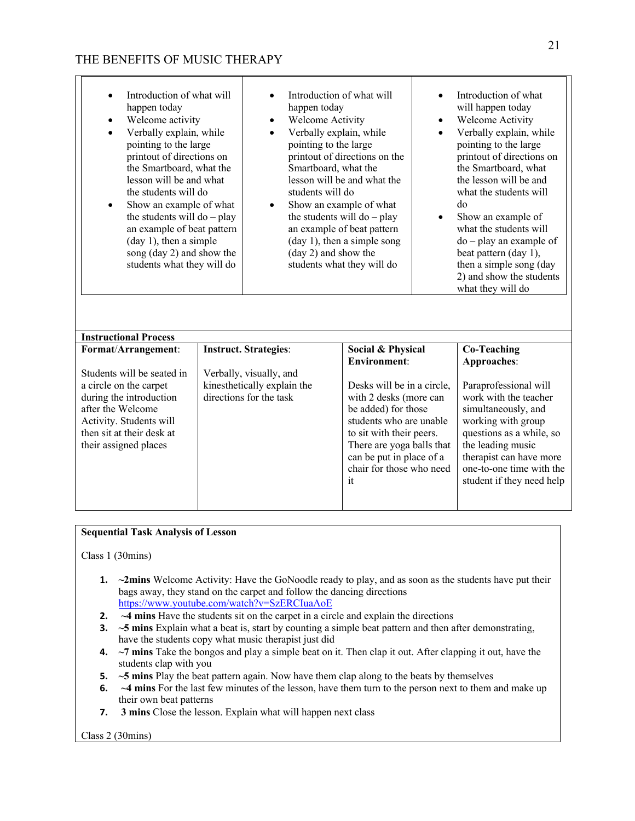| Introduction of what will<br>$\bullet$<br>happen today<br>Welcome activity<br>$\bullet$<br>Verbally explain, while<br>$\bullet$<br>pointing to the large<br>printout of directions on<br>the Smartboard, what the<br>lesson will be and what<br>the students will do<br>Show an example of what<br>$\bullet$<br>the students will $do - play$<br>an example of beat pattern<br>$(\text{day 1})$ , then a simple<br>song (day 2) and show the<br>students what they will do | Introduction of what will<br>$\bullet$<br>happen today<br>Welcome Activity<br>$\bullet$<br>Verbally explain, while<br>$\bullet$<br>pointing to the large<br>Smartboard, what the<br>students will do<br>Show an example of what<br>$\bullet$<br>(day 2) and show the | printout of directions on the<br>lesson will be and what the<br>the students will do $-$ play<br>an example of beat pattern<br>$(\text{day 1})$ , then a simple song<br>students what they will do | $\bullet$<br>$\bullet$<br>$\bullet$<br>$\bullet$ | Introduction of what<br>will happen today<br>Welcome Activity<br>Verbally explain, while<br>pointing to the large<br>printout of directions on<br>the Smartboard, what<br>the lesson will be and<br>what the students will<br>do<br>Show an example of<br>what the students will<br>$do$ – play an example of<br>beat pattern (day 1),<br>then a simple song (day<br>2) and show the students<br>what they will do |
|----------------------------------------------------------------------------------------------------------------------------------------------------------------------------------------------------------------------------------------------------------------------------------------------------------------------------------------------------------------------------------------------------------------------------------------------------------------------------|----------------------------------------------------------------------------------------------------------------------------------------------------------------------------------------------------------------------------------------------------------------------|----------------------------------------------------------------------------------------------------------------------------------------------------------------------------------------------------|--------------------------------------------------|--------------------------------------------------------------------------------------------------------------------------------------------------------------------------------------------------------------------------------------------------------------------------------------------------------------------------------------------------------------------------------------------------------------------|
| <b>Instructional Process</b>                                                                                                                                                                                                                                                                                                                                                                                                                                               |                                                                                                                                                                                                                                                                      |                                                                                                                                                                                                    |                                                  |                                                                                                                                                                                                                                                                                                                                                                                                                    |
| Format/Arrangement:                                                                                                                                                                                                                                                                                                                                                                                                                                                        | <b>Instruct. Strategies:</b>                                                                                                                                                                                                                                         | Social & Physical                                                                                                                                                                                  |                                                  | <b>Co-Teaching</b>                                                                                                                                                                                                                                                                                                                                                                                                 |
|                                                                                                                                                                                                                                                                                                                                                                                                                                                                            |                                                                                                                                                                                                                                                                      | <b>Environment:</b>                                                                                                                                                                                |                                                  | Approaches:                                                                                                                                                                                                                                                                                                                                                                                                        |
| Students will be seated in                                                                                                                                                                                                                                                                                                                                                                                                                                                 | Verbally, visually, and                                                                                                                                                                                                                                              |                                                                                                                                                                                                    |                                                  |                                                                                                                                                                                                                                                                                                                                                                                                                    |
| a circle on the carpet                                                                                                                                                                                                                                                                                                                                                                                                                                                     | kinesthetically explain the                                                                                                                                                                                                                                          | Desks will be in a circle,                                                                                                                                                                         |                                                  | Paraprofessional will                                                                                                                                                                                                                                                                                                                                                                                              |
| during the introduction                                                                                                                                                                                                                                                                                                                                                                                                                                                    | directions for the task                                                                                                                                                                                                                                              | with 2 desks (more can                                                                                                                                                                             |                                                  | work with the teacher                                                                                                                                                                                                                                                                                                                                                                                              |
| after the Welcome                                                                                                                                                                                                                                                                                                                                                                                                                                                          |                                                                                                                                                                                                                                                                      | be added) for those                                                                                                                                                                                |                                                  | simultaneously, and                                                                                                                                                                                                                                                                                                                                                                                                |
| Activity. Students will                                                                                                                                                                                                                                                                                                                                                                                                                                                    |                                                                                                                                                                                                                                                                      | students who are unable                                                                                                                                                                            |                                                  | working with group                                                                                                                                                                                                                                                                                                                                                                                                 |
| then sit at their desk at                                                                                                                                                                                                                                                                                                                                                                                                                                                  |                                                                                                                                                                                                                                                                      | to sit with their peers.                                                                                                                                                                           |                                                  | questions as a while, so                                                                                                                                                                                                                                                                                                                                                                                           |
| their assigned places                                                                                                                                                                                                                                                                                                                                                                                                                                                      |                                                                                                                                                                                                                                                                      | There are yoga balls that<br>can be put in place of a                                                                                                                                              |                                                  | the leading music<br>therapist can have more                                                                                                                                                                                                                                                                                                                                                                       |
|                                                                                                                                                                                                                                                                                                                                                                                                                                                                            |                                                                                                                                                                                                                                                                      | chair for those who need                                                                                                                                                                           |                                                  | one-to-one time with the                                                                                                                                                                                                                                                                                                                                                                                           |
|                                                                                                                                                                                                                                                                                                                                                                                                                                                                            |                                                                                                                                                                                                                                                                      | it                                                                                                                                                                                                 |                                                  | student if they need help                                                                                                                                                                                                                                                                                                                                                                                          |
|                                                                                                                                                                                                                                                                                                                                                                                                                                                                            |                                                                                                                                                                                                                                                                      |                                                                                                                                                                                                    |                                                  |                                                                                                                                                                                                                                                                                                                                                                                                                    |

### **Sequential Task Analysis of Lesson**

Class 1 (30mins)

- **1. ~2mins** Welcome Activity: Have the GoNoodle ready to play, and as soon as the students have put their bags away, they stand on the carpet and follow the dancing directions https://www.youtube.com/watch?v=SzERCIuaAoE
- **2. ~4 mins** Have the students sit on the carpet in a circle and explain the directions
- **3. ~5 mins** Explain what a beat is, start by counting a simple beat pattern and then after demonstrating, have the students copy what music therapist just did
- **4. ~7 mins** Take the bongos and play a simple beat on it. Then clap it out. After clapping it out, have the students clap with you
- **5. ~5 mins** Play the beat pattern again. Now have them clap along to the beats by themselves
- **6. ~4 mins** For the last few minutes of the lesson, have them turn to the person next to them and make up their own beat patterns
- **7. 3 mins** Close the lesson. Explain what will happen next class

### Class 2 (30mins)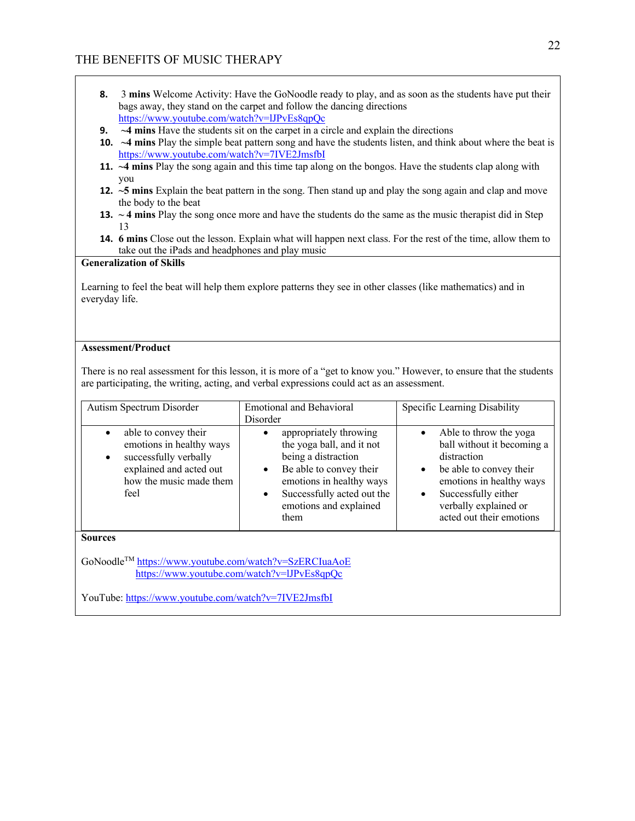- **8.** 3 **mins** Welcome Activity: Have the GoNoodle ready to play, and as soon as the students have put their bags away, they stand on the carpet and follow the dancing directions https://www.youtube.com/watch?v=lJPvEs8qpQc
- **9. ~4 mins** Have the students sit on the carpet in a circle and explain the directions
- **10. ~4 mins** Play the simple beat pattern song and have the students listen, and think about where the beat is https://www.youtube.com/watch?v=7IVE2JmsfbI
- **11. ~4 mins** Play the song again and this time tap along on the bongos. Have the students clap along with you
- **12. ~5 mins** Explain the beat pattern in the song. Then stand up and play the song again and clap and move the body to the beat
- **13. ~ 4 mins** Play the song once more and have the students do the same as the music therapist did in Step 13
- **14. 6 mins** Close out the lesson. Explain what will happen next class. For the rest of the time, allow them to take out the iPads and headphones and play music

### **Generalization of Skills**

Learning to feel the beat will help them explore patterns they see in other classes (like mathematics) and in everyday life.

### **Assessment/Product**

There is no real assessment for this lesson, it is more of a "get to know you." However, to ensure that the students are participating, the writing, acting, and verbal expressions could act as an assessment.

| Autism Spectrum Disorder                                                                                                                                          | <b>Emotional and Behavioral</b><br>Disorder                                                                                                                                                                                 | Specific Learning Disability                                                                                                                                                                                                                  |  |  |  |  |
|-------------------------------------------------------------------------------------------------------------------------------------------------------------------|-----------------------------------------------------------------------------------------------------------------------------------------------------------------------------------------------------------------------------|-----------------------------------------------------------------------------------------------------------------------------------------------------------------------------------------------------------------------------------------------|--|--|--|--|
| able to convey their<br>$\bullet$<br>emotions in healthy ways<br>successfully verbally<br>$\bullet$<br>explained and acted out<br>how the music made them<br>feel | appropriately throwing<br>the yoga ball, and it not<br>being a distraction<br>Be able to convey their<br>$\bullet$<br>emotions in healthy ways<br>Successfully acted out the<br>$\bullet$<br>emotions and explained<br>them | Able to throw the yoga<br>$\bullet$<br>ball without it becoming a<br>distraction<br>be able to convey their<br>$\bullet$<br>emotions in healthy ways<br>Successfully either<br>$\bullet$<br>verbally explained or<br>acted out their emotions |  |  |  |  |
| <b>Sources</b>                                                                                                                                                    |                                                                                                                                                                                                                             |                                                                                                                                                                                                                                               |  |  |  |  |
| GoNoodle <sup>TM</sup> https://www.youtube.com/watch?v=SzERCIuaAoE<br>https://www.youtube.com/watch?v=IJPvEs8qpQc                                                 |                                                                                                                                                                                                                             |                                                                                                                                                                                                                                               |  |  |  |  |
| YouTube: https://www.youtube.com/watch?v=7IVE2JmsfbI                                                                                                              |                                                                                                                                                                                                                             |                                                                                                                                                                                                                                               |  |  |  |  |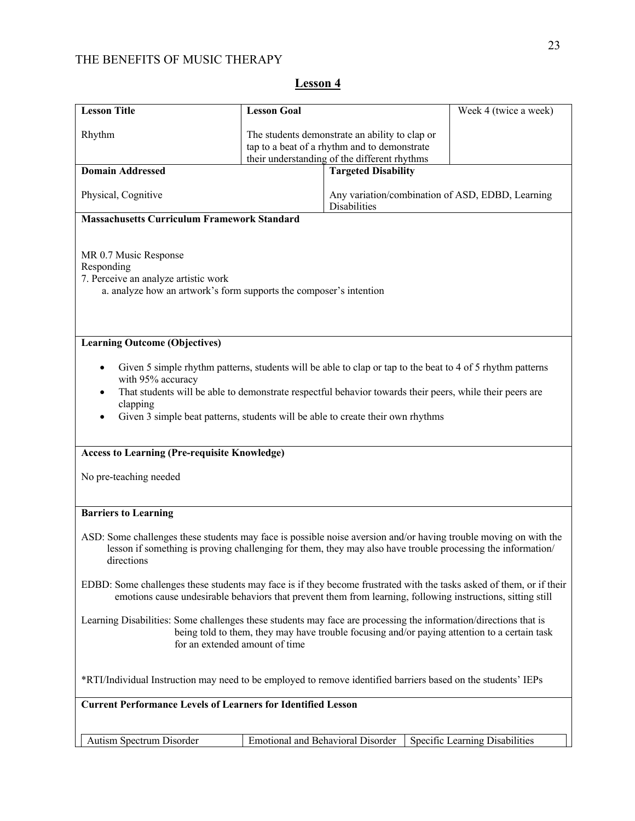| <b>Lesson Title</b>                                                                                                                                                                                                                                                                                                                                                       | <b>Lesson Goal</b>                                                                                                                             |                            | Week 4 (twice a week)                                                                                       |  |
|---------------------------------------------------------------------------------------------------------------------------------------------------------------------------------------------------------------------------------------------------------------------------------------------------------------------------------------------------------------------------|------------------------------------------------------------------------------------------------------------------------------------------------|----------------------------|-------------------------------------------------------------------------------------------------------------|--|
| Rhythm                                                                                                                                                                                                                                                                                                                                                                    | The students demonstrate an ability to clap or<br>tap to a beat of a rhythm and to demonstrate<br>their understanding of the different rhythms |                            |                                                                                                             |  |
| <b>Domain Addressed</b>                                                                                                                                                                                                                                                                                                                                                   |                                                                                                                                                | <b>Targeted Disability</b> |                                                                                                             |  |
| Physical, Cognitive                                                                                                                                                                                                                                                                                                                                                       |                                                                                                                                                | <b>Disabilities</b>        | Any variation/combination of ASD, EDBD, Learning                                                            |  |
| <b>Massachusetts Curriculum Framework Standard</b>                                                                                                                                                                                                                                                                                                                        |                                                                                                                                                |                            |                                                                                                             |  |
| MR 0.7 Music Response<br>Responding<br>7. Perceive an analyze artistic work<br>a. analyze how an artwork's form supports the composer's intention                                                                                                                                                                                                                         |                                                                                                                                                |                            |                                                                                                             |  |
| <b>Learning Outcome (Objectives)</b>                                                                                                                                                                                                                                                                                                                                      |                                                                                                                                                |                            |                                                                                                             |  |
| Given 5 simple rhythm patterns, students will be able to clap or tap to the beat to 4 of 5 rhythm patterns<br>٠<br>with 95% accuracy<br>That students will be able to demonstrate respectful behavior towards their peers, while their peers are<br>$\bullet$<br>clapping<br>Given 3 simple beat patterns, students will be able to create their own rhythms<br>$\bullet$ |                                                                                                                                                |                            |                                                                                                             |  |
| <b>Access to Learning (Pre-requisite Knowledge)</b>                                                                                                                                                                                                                                                                                                                       |                                                                                                                                                |                            |                                                                                                             |  |
| No pre-teaching needed                                                                                                                                                                                                                                                                                                                                                    |                                                                                                                                                |                            |                                                                                                             |  |
| <b>Barriers to Learning</b>                                                                                                                                                                                                                                                                                                                                               |                                                                                                                                                |                            |                                                                                                             |  |
| ASD: Some challenges these students may face is possible noise aversion and/or having trouble moving on with the<br>directions                                                                                                                                                                                                                                            |                                                                                                                                                |                            | lesson if something is proving challenging for them, they may also have trouble processing the information/ |  |
| EDBD: Some challenges these students may face is if they become frustrated with the tasks asked of them, or if their<br>emotions cause undesirable behaviors that prevent them from learning, following instructions, sitting still                                                                                                                                       |                                                                                                                                                |                            |                                                                                                             |  |
| Learning Disabilities: Some challenges these students may face are processing the information/directions that is<br>being told to them, they may have trouble focusing and/or paying attention to a certain task<br>for an extended amount of time                                                                                                                        |                                                                                                                                                |                            |                                                                                                             |  |
| *RTI/Individual Instruction may need to be employed to remove identified barriers based on the students' IEPs                                                                                                                                                                                                                                                             |                                                                                                                                                |                            |                                                                                                             |  |
| <b>Current Performance Levels of Learners for Identified Lesson</b>                                                                                                                                                                                                                                                                                                       |                                                                                                                                                |                            |                                                                                                             |  |
|                                                                                                                                                                                                                                                                                                                                                                           |                                                                                                                                                |                            |                                                                                                             |  |
| Autism Spectrum Disorder                                                                                                                                                                                                                                                                                                                                                  | <b>Emotional and Behavioral Disorder</b>                                                                                                       |                            | Specific Learning Disabilities                                                                              |  |

**Lesson 4**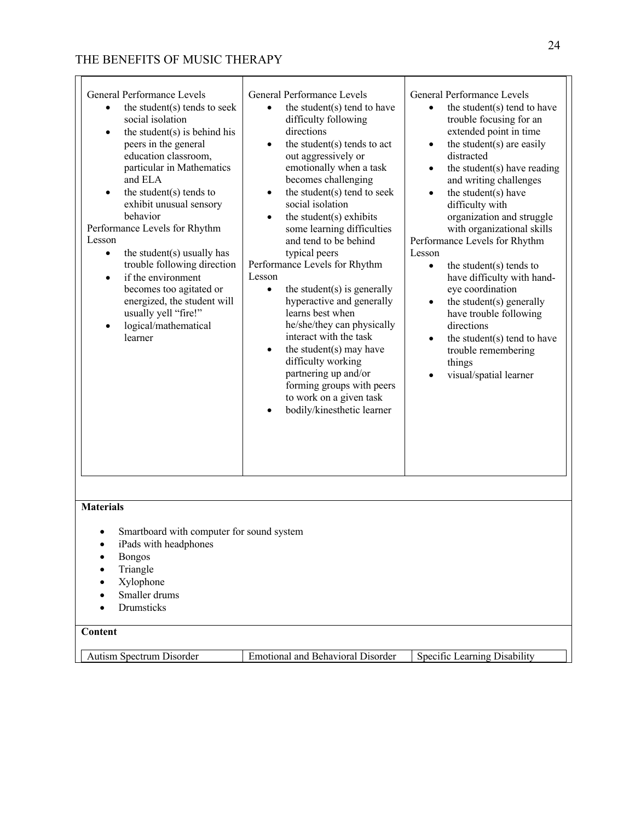| General Performance Levels<br>the student(s) tends to seek<br>$\bullet$<br>social isolation<br>the student $(s)$ is behind his<br>$\bullet$<br>peers in the general<br>education classroom,<br>particular in Mathematics<br>and ELA<br>the student $(s)$ tends to<br>$\bullet$<br>exhibit unusual sensory<br>behavior<br>Performance Levels for Rhythm<br>Lesson<br>the student(s) usually has<br>$\bullet$<br>trouble following direction<br>if the environment<br>$\bullet$<br>becomes too agitated or<br>energized, the student will<br>usually yell "fire!"<br>logical/mathematical<br>$\bullet$<br>learner | General Performance Levels<br>the student(s) tend to have<br>$\bullet$<br>difficulty following<br>directions<br>the student(s) tends to act<br>$\bullet$<br>out aggressively or<br>emotionally when a task<br>becomes challenging<br>the student(s) tend to seek<br>$\bullet$<br>social isolation<br>the student(s) exhibits<br>$\bullet$<br>some learning difficulties<br>and tend to be behind<br>typical peers<br>Performance Levels for Rhythm<br>Lesson<br>the student $(s)$ is generally<br>$\bullet$<br>hyperactive and generally<br>learns best when<br>he/she/they can physically<br>interact with the task<br>the student(s) may have<br>$\bullet$<br>difficulty working<br>partnering up and/or<br>forming groups with peers<br>to work on a given task<br>bodily/kinesthetic learner | General Performance Levels<br>the student(s) tend to have<br>$\bullet$<br>trouble focusing for an<br>extended point in time<br>the student(s) are easily<br>$\bullet$<br>distracted<br>the student $(s)$ have reading<br>$\bullet$<br>and writing challenges<br>the student(s) have<br>$\bullet$<br>difficulty with<br>organization and struggle<br>with organizational skills<br>Performance Levels for Rhythm<br>Lesson<br>the student(s) tends to<br>$\bullet$<br>have difficulty with hand-<br>eye coordination<br>the student(s) generally<br>$\bullet$<br>have trouble following<br>directions<br>the student(s) tend to have<br>$\bullet$<br>trouble remembering<br>things<br>visual/spatial learner |
|-----------------------------------------------------------------------------------------------------------------------------------------------------------------------------------------------------------------------------------------------------------------------------------------------------------------------------------------------------------------------------------------------------------------------------------------------------------------------------------------------------------------------------------------------------------------------------------------------------------------|--------------------------------------------------------------------------------------------------------------------------------------------------------------------------------------------------------------------------------------------------------------------------------------------------------------------------------------------------------------------------------------------------------------------------------------------------------------------------------------------------------------------------------------------------------------------------------------------------------------------------------------------------------------------------------------------------------------------------------------------------------------------------------------------------|-------------------------------------------------------------------------------------------------------------------------------------------------------------------------------------------------------------------------------------------------------------------------------------------------------------------------------------------------------------------------------------------------------------------------------------------------------------------------------------------------------------------------------------------------------------------------------------------------------------------------------------------------------------------------------------------------------------|
| <b>Materials</b>                                                                                                                                                                                                                                                                                                                                                                                                                                                                                                                                                                                                |                                                                                                                                                                                                                                                                                                                                                                                                                                                                                                                                                                                                                                                                                                                                                                                                  |                                                                                                                                                                                                                                                                                                                                                                                                                                                                                                                                                                                                                                                                                                             |
| Smartboard with computer for sound system<br>iPads with headphones                                                                                                                                                                                                                                                                                                                                                                                                                                                                                                                                              |                                                                                                                                                                                                                                                                                                                                                                                                                                                                                                                                                                                                                                                                                                                                                                                                  |                                                                                                                                                                                                                                                                                                                                                                                                                                                                                                                                                                                                                                                                                                             |
| <b>Bongos</b>                                                                                                                                                                                                                                                                                                                                                                                                                                                                                                                                                                                                   |                                                                                                                                                                                                                                                                                                                                                                                                                                                                                                                                                                                                                                                                                                                                                                                                  |                                                                                                                                                                                                                                                                                                                                                                                                                                                                                                                                                                                                                                                                                                             |
| Triangle<br>Xylophone                                                                                                                                                                                                                                                                                                                                                                                                                                                                                                                                                                                           |                                                                                                                                                                                                                                                                                                                                                                                                                                                                                                                                                                                                                                                                                                                                                                                                  |                                                                                                                                                                                                                                                                                                                                                                                                                                                                                                                                                                                                                                                                                                             |
| Smaller drums                                                                                                                                                                                                                                                                                                                                                                                                                                                                                                                                                                                                   |                                                                                                                                                                                                                                                                                                                                                                                                                                                                                                                                                                                                                                                                                                                                                                                                  |                                                                                                                                                                                                                                                                                                                                                                                                                                                                                                                                                                                                                                                                                                             |
| Drumsticks                                                                                                                                                                                                                                                                                                                                                                                                                                                                                                                                                                                                      |                                                                                                                                                                                                                                                                                                                                                                                                                                                                                                                                                                                                                                                                                                                                                                                                  |                                                                                                                                                                                                                                                                                                                                                                                                                                                                                                                                                                                                                                                                                                             |
| Content                                                                                                                                                                                                                                                                                                                                                                                                                                                                                                                                                                                                         |                                                                                                                                                                                                                                                                                                                                                                                                                                                                                                                                                                                                                                                                                                                                                                                                  |                                                                                                                                                                                                                                                                                                                                                                                                                                                                                                                                                                                                                                                                                                             |
|                                                                                                                                                                                                                                                                                                                                                                                                                                                                                                                                                                                                                 | <b>Emotional and Behavioral Disorder</b>                                                                                                                                                                                                                                                                                                                                                                                                                                                                                                                                                                                                                                                                                                                                                         |                                                                                                                                                                                                                                                                                                                                                                                                                                                                                                                                                                                                                                                                                                             |
| Autism Spectrum Disorder                                                                                                                                                                                                                                                                                                                                                                                                                                                                                                                                                                                        |                                                                                                                                                                                                                                                                                                                                                                                                                                                                                                                                                                                                                                                                                                                                                                                                  | Specific Learning Disability                                                                                                                                                                                                                                                                                                                                                                                                                                                                                                                                                                                                                                                                                |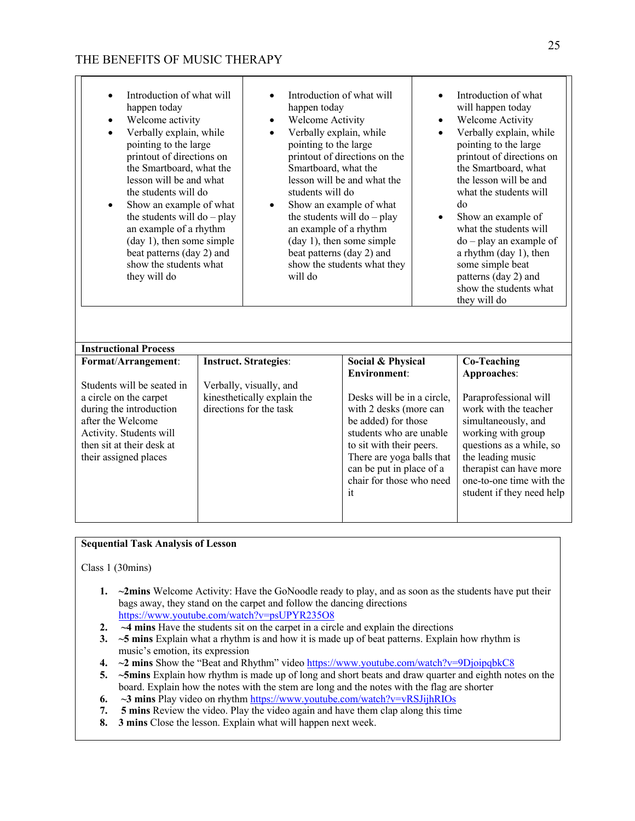П

| Introduction of what will<br>$\bullet$<br>happen today<br>Welcome activity<br>$\bullet$<br>Verbally explain, while<br>$\bullet$<br>pointing to the large<br>printout of directions on<br>the Smartboard, what the<br>lesson will be and what<br>the students will do<br>Show an example of what<br>٠<br>the students will $do - play$<br>an example of a rhythm<br>$(\text{day 1})$ , then some simple<br>beat patterns (day 2) and<br>show the students what<br>they will do | happen today<br>Welcome Activity<br>$\bullet$<br>Verbally explain, while<br>$\bullet$<br>pointing to the large<br>Smartboard, what the<br>students will do<br>an example of a rhythm<br>beat patterns (day 2) and<br>will do | Introduction of what will<br>printout of directions on the<br>lesson will be and what the<br>Show an example of what<br>the students will $do - play$<br>(day 1), then some simple<br>show the students what they                                                         | $\bullet$<br>$\bullet$<br>$\bullet$<br>٠ | Introduction of what<br>will happen today<br>Welcome Activity<br>Verbally explain, while<br>pointing to the large<br>printout of directions on<br>the Smartboard, what<br>the lesson will be and<br>what the students will<br>do<br>Show an example of<br>what the students will<br>$do$ – play an example of<br>a rhythm $(\text{day 1})$ , then<br>some simple beat<br>patterns (day 2) and<br>show the students what<br>they will do |
|-------------------------------------------------------------------------------------------------------------------------------------------------------------------------------------------------------------------------------------------------------------------------------------------------------------------------------------------------------------------------------------------------------------------------------------------------------------------------------|------------------------------------------------------------------------------------------------------------------------------------------------------------------------------------------------------------------------------|---------------------------------------------------------------------------------------------------------------------------------------------------------------------------------------------------------------------------------------------------------------------------|------------------------------------------|-----------------------------------------------------------------------------------------------------------------------------------------------------------------------------------------------------------------------------------------------------------------------------------------------------------------------------------------------------------------------------------------------------------------------------------------|
| <b>Instructional Process</b>                                                                                                                                                                                                                                                                                                                                                                                                                                                  |                                                                                                                                                                                                                              |                                                                                                                                                                                                                                                                           |                                          |                                                                                                                                                                                                                                                                                                                                                                                                                                         |
| Format/Arrangement:<br>Students will be seated in<br>a circle on the carpet<br>during the introduction<br>after the Welcome<br>Activity. Students will<br>then sit at their desk at<br>their assigned places                                                                                                                                                                                                                                                                  | <b>Instruct. Strategies:</b><br>Verbally, visually, and<br>kinesthetically explain the<br>directions for the task                                                                                                            | Social & Physical<br><b>Environment:</b><br>Desks will be in a circle,<br>with 2 desks (more can<br>be added) for those<br>students who are unable<br>to sit with their peers.<br>There are yoga balls that<br>can be put in place of a<br>chair for those who need<br>it |                                          | <b>Co-Teaching</b><br>Approaches:<br>Paraprofessional will<br>work with the teacher<br>simultaneously, and<br>working with group<br>questions as a while, so<br>the leading music<br>therapist can have more<br>one-to-one time with the<br>student if they need help                                                                                                                                                                   |

### **Sequential Task Analysis of Lesson**

Class 1 (30mins)

- **1. ~2mins** Welcome Activity: Have the GoNoodle ready to play, and as soon as the students have put their bags away, they stand on the carpet and follow the dancing directions https://www.youtube.com/watch?v=psUPYR235O8
- **2. ~4 mins** Have the students sit on the carpet in a circle and explain the directions
- **3. ~5 mins** Explain what a rhythm is and how it is made up of beat patterns. Explain how rhythm is music's emotion, its expression
- **4. ~2 mins** Show the "Beat and Rhythm" video https://www.youtube.com/watch?v=9DjoipqbkC8
- **5. ~5mins** Explain how rhythm is made up of long and short beats and draw quarter and eighth notes on the board. Explain how the notes with the stem are long and the notes with the flag are shorter
- **6. ~3 mins** Play video on rhythm https://www.youtube.com/watch?v=vRSJijhRIOs
- **7. 5 mins** Review the video. Play the video again and have them clap along this time
- **8. 3 mins** Close the lesson. Explain what will happen next week.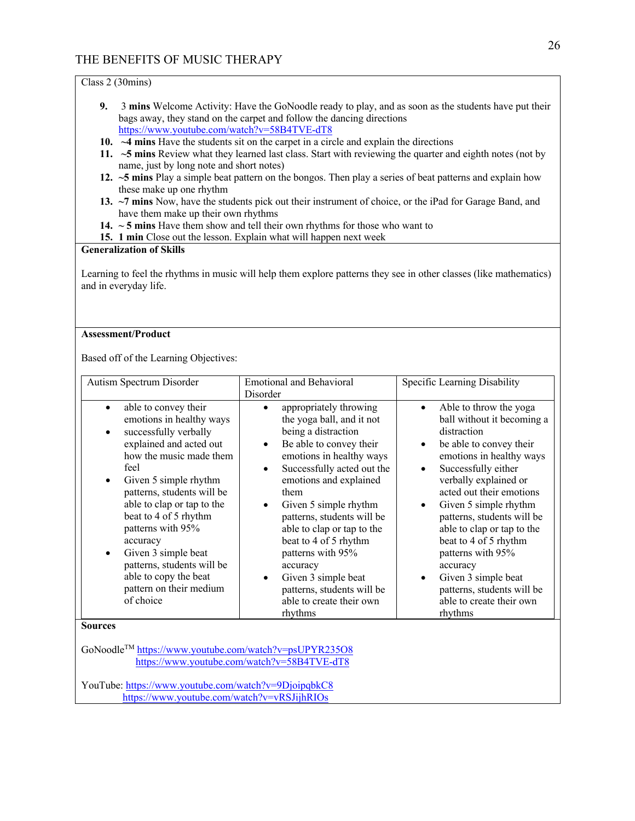Class 2 (30mins)

- **9.** 3 **mins** Welcome Activity: Have the GoNoodle ready to play, and as soon as the students have put their bags away, they stand on the carpet and follow the dancing directions https://www.youtube.com/watch?v=58B4TVE-dT8
- **10. ~4 mins** Have the students sit on the carpet in a circle and explain the directions
- **11. ~5 mins** Review what they learned last class. Start with reviewing the quarter and eighth notes (not by name, just by long note and short notes)
- **12. ~5 mins** Play a simple beat pattern on the bongos. Then play a series of beat patterns and explain how these make up one rhythm
- **13. ~7 mins** Now, have the students pick out their instrument of choice, or the iPad for Garage Band, and have them make up their own rhythms
- **14. ~ 5 mins** Have them show and tell their own rhythms for those who want to
- **15. 1 min** Close out the lesson. Explain what will happen next week

### **Generalization of Skills**

Learning to feel the rhythms in music will help them explore patterns they see in other classes (like mathematics) and in everyday life.

### **Assessment/Product**

Based off of the Learning Objectives:

| Autism Spectrum Disorder                                                                                                                                                                                                                                                                                                                                                                                                                                         | <b>Emotional and Behavioral</b>                                                                                                                                                                                                                                                                                                                                                                                                                                        | Specific Learning Disability                                                                                                                                                                                                                                                                                                                                                                                                                                                             |  |  |  |
|------------------------------------------------------------------------------------------------------------------------------------------------------------------------------------------------------------------------------------------------------------------------------------------------------------------------------------------------------------------------------------------------------------------------------------------------------------------|------------------------------------------------------------------------------------------------------------------------------------------------------------------------------------------------------------------------------------------------------------------------------------------------------------------------------------------------------------------------------------------------------------------------------------------------------------------------|------------------------------------------------------------------------------------------------------------------------------------------------------------------------------------------------------------------------------------------------------------------------------------------------------------------------------------------------------------------------------------------------------------------------------------------------------------------------------------------|--|--|--|
|                                                                                                                                                                                                                                                                                                                                                                                                                                                                  | Disorder                                                                                                                                                                                                                                                                                                                                                                                                                                                               |                                                                                                                                                                                                                                                                                                                                                                                                                                                                                          |  |  |  |
| able to convey their<br>$\bullet$<br>emotions in healthy ways<br>successfully verbally<br>$\bullet$<br>explained and acted out<br>how the music made them<br>feel<br>Given 5 simple rhythm<br>$\bullet$<br>patterns, students will be<br>able to clap or tap to the<br>beat to 4 of 5 rhythm<br>patterns with 95%<br>accuracy<br>Given 3 simple beat<br>$\bullet$<br>patterns, students will be<br>able to copy the beat<br>pattern on their medium<br>of choice | appropriately throwing<br>the yoga ball, and it not<br>being a distraction<br>Be able to convey their<br>$\bullet$<br>emotions in healthy ways<br>Successfully acted out the<br>$\bullet$<br>emotions and explained<br>them<br>Given 5 simple rhythm<br>patterns, students will be<br>able to clap or tap to the<br>beat to 4 of 5 rhythm<br>patterns with 95%<br>accuracy<br>Given 3 simple beat<br>patterns, students will be<br>able to create their own<br>rhythms | Able to throw the yoga<br>$\bullet$<br>ball without it becoming a<br>distraction<br>be able to convey their<br>$\bullet$<br>emotions in healthy ways<br>Successfully either<br>$\bullet$<br>verbally explained or<br>acted out their emotions<br>Given 5 simple rhythm<br>patterns, students will be<br>able to clap or tap to the<br>beat to 4 of 5 rhythm<br>patterns with 95%<br>accuracy<br>Given 3 simple beat<br>patterns, students will be<br>able to create their own<br>rhythms |  |  |  |
| <b>Sources</b>                                                                                                                                                                                                                                                                                                                                                                                                                                                   |                                                                                                                                                                                                                                                                                                                                                                                                                                                                        |                                                                                                                                                                                                                                                                                                                                                                                                                                                                                          |  |  |  |
| GoNoodle <sup>TM</sup> https://www.youtube.com/watch?v=psUPYR235O8<br>https://www.youtube.com/watch?v=58B4TVE-dT8                                                                                                                                                                                                                                                                                                                                                |                                                                                                                                                                                                                                                                                                                                                                                                                                                                        |                                                                                                                                                                                                                                                                                                                                                                                                                                                                                          |  |  |  |
| YouTube: https://www.youtube.com/watch?v=9DjoipqbkC8                                                                                                                                                                                                                                                                                                                                                                                                             |                                                                                                                                                                                                                                                                                                                                                                                                                                                                        |                                                                                                                                                                                                                                                                                                                                                                                                                                                                                          |  |  |  |

https://www.youtube.com/watch?v=vRSJijhRIOs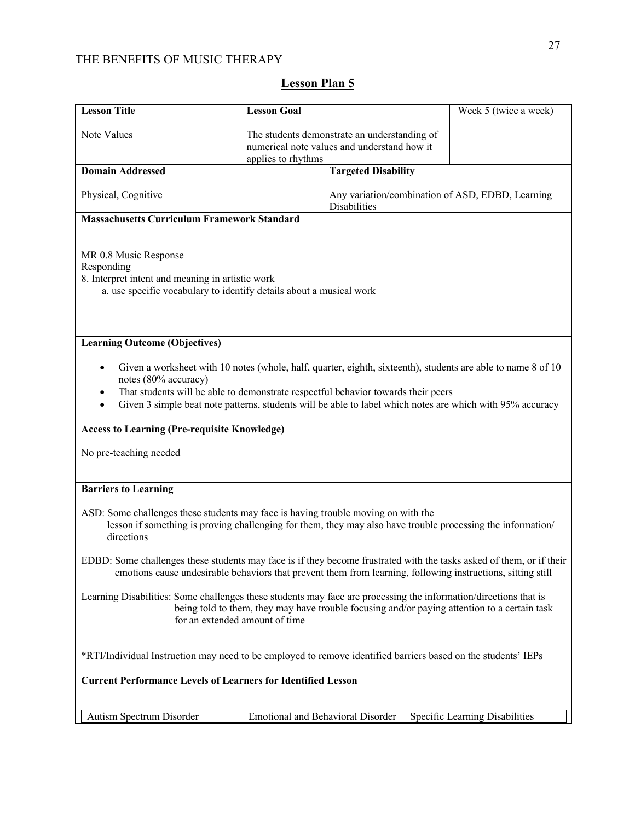| <b>Lesson Title</b>                                                                                                                                                                                                                                | <b>Lesson Goal</b>                                                                                                |                                   | Week 5 (twice a week)                                                                                                                                                                                                     |  |
|----------------------------------------------------------------------------------------------------------------------------------------------------------------------------------------------------------------------------------------------------|-------------------------------------------------------------------------------------------------------------------|-----------------------------------|---------------------------------------------------------------------------------------------------------------------------------------------------------------------------------------------------------------------------|--|
| Note Values                                                                                                                                                                                                                                        | The students demonstrate an understanding of<br>numerical note values and understand how it<br>applies to rhythms |                                   |                                                                                                                                                                                                                           |  |
| <b>Domain Addressed</b>                                                                                                                                                                                                                            |                                                                                                                   | <b>Targeted Disability</b>        |                                                                                                                                                                                                                           |  |
| Physical, Cognitive<br>Any variation/combination of ASD, EDBD, Learning<br>Disabilities                                                                                                                                                            |                                                                                                                   |                                   |                                                                                                                                                                                                                           |  |
| <b>Massachusetts Curriculum Framework Standard</b>                                                                                                                                                                                                 |                                                                                                                   |                                   |                                                                                                                                                                                                                           |  |
| MR 0.8 Music Response<br>Responding<br>8. Interpret intent and meaning in artistic work<br>a. use specific vocabulary to identify details about a musical work                                                                                     |                                                                                                                   |                                   |                                                                                                                                                                                                                           |  |
| <b>Learning Outcome (Objectives)</b>                                                                                                                                                                                                               |                                                                                                                   |                                   |                                                                                                                                                                                                                           |  |
| notes (80% accuracy)<br>That students will be able to demonstrate respectful behavior towards their peers<br>٠                                                                                                                                     |                                                                                                                   |                                   | Given a worksheet with 10 notes (whole, half, quarter, eighth, sixteenth), students are able to name 8 of 10<br>Given 3 simple beat note patterns, students will be able to label which notes are which with 95% accuracy |  |
| <b>Access to Learning (Pre-requisite Knowledge)</b>                                                                                                                                                                                                |                                                                                                                   |                                   |                                                                                                                                                                                                                           |  |
| No pre-teaching needed                                                                                                                                                                                                                             |                                                                                                                   |                                   |                                                                                                                                                                                                                           |  |
| <b>Barriers to Learning</b>                                                                                                                                                                                                                        |                                                                                                                   |                                   |                                                                                                                                                                                                                           |  |
| ASD: Some challenges these students may face is having trouble moving on with the<br>directions                                                                                                                                                    |                                                                                                                   |                                   | lesson if something is proving challenging for them, they may also have trouble processing the information/                                                                                                               |  |
| EDBD: Some challenges these students may face is if they become frustrated with the tasks asked of them, or if their<br>emotions cause undesirable behaviors that prevent them from learning, following instructions, sitting still                |                                                                                                                   |                                   |                                                                                                                                                                                                                           |  |
| Learning Disabilities: Some challenges these students may face are processing the information/directions that is<br>being told to them, they may have trouble focusing and/or paying attention to a certain task<br>for an extended amount of time |                                                                                                                   |                                   |                                                                                                                                                                                                                           |  |
| *RTI/Individual Instruction may need to be employed to remove identified barriers based on the students' IEPs                                                                                                                                      |                                                                                                                   |                                   |                                                                                                                                                                                                                           |  |
| <b>Current Performance Levels of Learners for Identified Lesson</b>                                                                                                                                                                                |                                                                                                                   |                                   |                                                                                                                                                                                                                           |  |
|                                                                                                                                                                                                                                                    |                                                                                                                   |                                   |                                                                                                                                                                                                                           |  |
| Autism Spectrum Disorder                                                                                                                                                                                                                           |                                                                                                                   | Emotional and Behavioral Disorder | Specific Learning Disabilities                                                                                                                                                                                            |  |

# **Lesson Plan 5**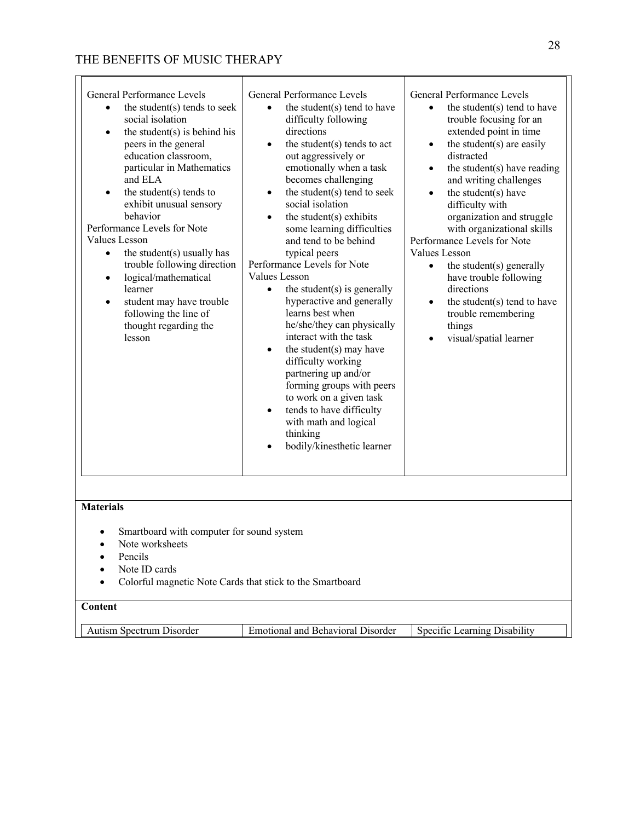| thinking<br>bodily/kinesthetic learner |
|----------------------------------------|
|----------------------------------------|

- Smartboard with computer for sound system
- Note worksheets
- Pencils
- Note ID cards
- Colorful magnetic Note Cards that stick to the Smartboard

## **Content**

| spectrum<br>. Disorder<br>Auusm | Disorder<br>Behavioral<br>and<br>amotional a | earning<br>Jisabi!<br>Specific |
|---------------------------------|----------------------------------------------|--------------------------------|

 $\blacksquare$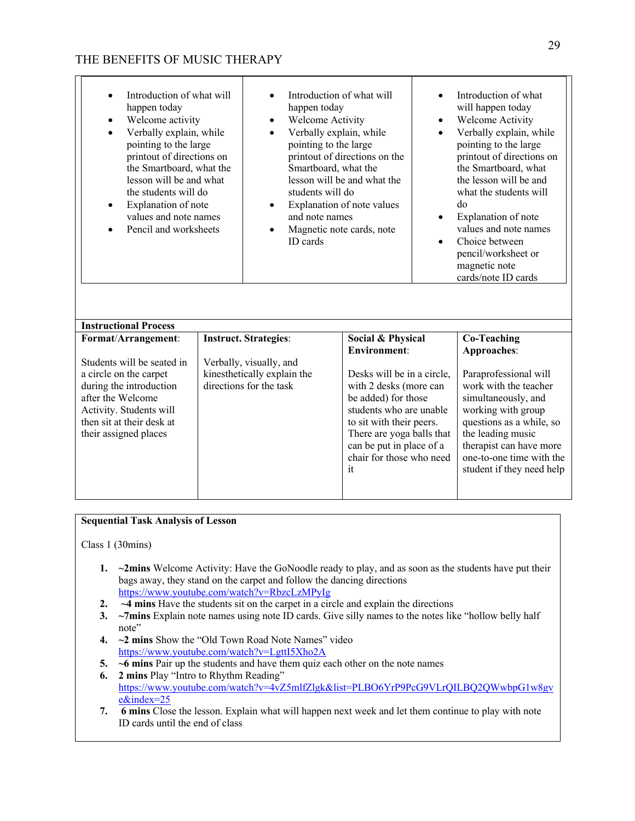| Introduction of what will<br>happen today<br>Welcome activity<br>$\bullet$<br>Verbally explain, while<br>$\bullet$<br>pointing to the large<br>printout of directions on<br>the Smartboard, what the<br>lesson will be and what<br>the students will do<br>Explanation of note<br>$\bullet$<br>values and note names<br>Pencil and worksheets | Introduction of what will<br>happen today<br>Welcome Activity<br>$\bullet$<br>Verbally explain, while<br>$\bullet$<br>pointing to the large<br>Smartboard, what the<br>students will do<br>$\bullet$<br>and note names<br>Magnetic note cards, note<br>$\bullet$<br>ID cards | printout of directions on the<br>lesson will be and what the<br>Explanation of note values                                                                                                                                    | $\bullet$<br>$\bullet$<br>$\bullet$<br>$\bullet$ | Introduction of what<br>will happen today<br>Welcome Activity<br>Verbally explain, while<br>pointing to the large<br>printout of directions on<br>the Smartboard, what<br>the lesson will be and<br>what the students will<br>do<br>Explanation of note<br>values and note names<br>Choice between<br>pencil/worksheet or<br>magnetic note<br>cards/note ID cards |
|-----------------------------------------------------------------------------------------------------------------------------------------------------------------------------------------------------------------------------------------------------------------------------------------------------------------------------------------------|------------------------------------------------------------------------------------------------------------------------------------------------------------------------------------------------------------------------------------------------------------------------------|-------------------------------------------------------------------------------------------------------------------------------------------------------------------------------------------------------------------------------|--------------------------------------------------|-------------------------------------------------------------------------------------------------------------------------------------------------------------------------------------------------------------------------------------------------------------------------------------------------------------------------------------------------------------------|
| <b>Instructional Process</b>                                                                                                                                                                                                                                                                                                                  |                                                                                                                                                                                                                                                                              |                                                                                                                                                                                                                               |                                                  |                                                                                                                                                                                                                                                                                                                                                                   |
| Format/Arrangement:                                                                                                                                                                                                                                                                                                                           | <b>Instruct. Strategies:</b>                                                                                                                                                                                                                                                 | Social & Physical                                                                                                                                                                                                             |                                                  | <b>Co-Teaching</b>                                                                                                                                                                                                                                                                                                                                                |
|                                                                                                                                                                                                                                                                                                                                               |                                                                                                                                                                                                                                                                              | <b>Environment:</b>                                                                                                                                                                                                           |                                                  | Approaches:                                                                                                                                                                                                                                                                                                                                                       |
| Students will be seated in<br>a circle on the carpet<br>during the introduction<br>after the Welcome<br>Activity. Students will<br>then sit at their desk at<br>their assigned places                                                                                                                                                         | Verbally, visually, and<br>kinesthetically explain the<br>directions for the task                                                                                                                                                                                            | Desks will be in a circle,<br>with 2 desks (more can<br>be added) for those<br>students who are unable<br>to sit with their peers.<br>There are yoga balls that<br>can be put in place of a<br>chair for those who need<br>it |                                                  | Paraprofessional will<br>work with the teacher<br>simultaneously, and<br>working with group<br>questions as a while, so<br>the leading music<br>therapist can have more<br>one-to-one time with the<br>student if they need help                                                                                                                                  |

### **Sequential Task Analysis of Lesson**

Class 1 (30mins)

- **1. ~2mins** Welcome Activity: Have the GoNoodle ready to play, and as soon as the students have put their bags away, they stand on the carpet and follow the dancing directions https://www.youtube.com/watch?v=RbzcLzMPyIg
- **2. ~4 mins** Have the students sit on the carpet in a circle and explain the directions
- **3. ~7mins** Explain note names using note ID cards. Give silly names to the notes like "hollow belly half note"
- **4. ~2 mins** Show the "Old Town Road Note Names" video https://www.youtube.com/watch?v=LgttI5Xho2A
- **5. ~6 mins** Pair up the students and have them quiz each other on the note names
- **6. 2 mins** Play "Intro to Rhythm Reading"
- https://www.youtube.com/watch?v=4vZ5mlfZlgk&list=PLBO6YrP9PcG9VLrQILBQ2QWwbpG1w8gv e&index=25
- **7. 6 mins** Close the lesson. Explain what will happen next week and let them continue to play with note ID cards until the end of class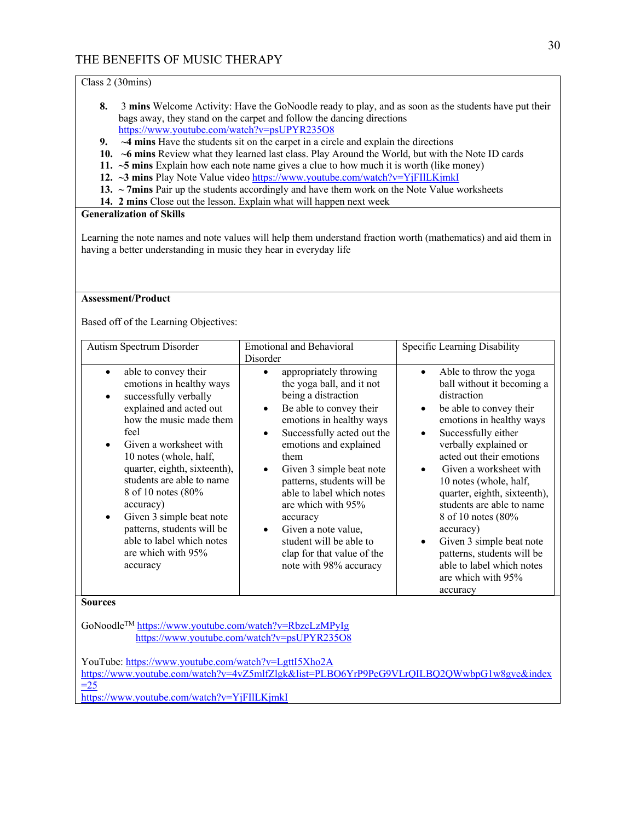### Class 2 (30mins)

- **8.** 3 **mins** Welcome Activity: Have the GoNoodle ready to play, and as soon as the students have put their bags away, they stand on the carpet and follow the dancing directions https://www.youtube.com/watch?v=psUPYR235O8
- **9. ~4 mins** Have the students sit on the carpet in a circle and explain the directions
- **10. ~6 mins** Review what they learned last class. Play Around the World, but with the Note ID cards
- **11. ~5 mins** Explain how each note name gives a clue to how much it is worth (like money)
- **12. ~3 mins** Play Note Value video https://www.youtube.com/watch?v=YjFIlLKjmkI
- **13. ~ 7mins** Pair up the students accordingly and have them work on the Note Value worksheets
- **14. 2 mins** Close out the lesson. Explain what will happen next week

#### **Generalization of Skills**

Learning the note names and note values will help them understand fraction worth (mathematics) and aid them in having a better understanding in music they hear in everyday life

### **Assessment/Product**

Based off of the Learning Objectives:

| Autism Spectrum Disorder                                                                                                                                                                                                                                                                                                                                                                                                                                    | <b>Emotional and Behavioral</b>                                                                                                                                                                                                                                                                                                                                                                                                                                                         |                                                                                                                                                                                                                                                                                                                                                                                                                                                                                                                                                                         |
|-------------------------------------------------------------------------------------------------------------------------------------------------------------------------------------------------------------------------------------------------------------------------------------------------------------------------------------------------------------------------------------------------------------------------------------------------------------|-----------------------------------------------------------------------------------------------------------------------------------------------------------------------------------------------------------------------------------------------------------------------------------------------------------------------------------------------------------------------------------------------------------------------------------------------------------------------------------------|-------------------------------------------------------------------------------------------------------------------------------------------------------------------------------------------------------------------------------------------------------------------------------------------------------------------------------------------------------------------------------------------------------------------------------------------------------------------------------------------------------------------------------------------------------------------------|
| able to convey their<br>$\bullet$<br>emotions in healthy ways<br>successfully verbally<br>$\bullet$<br>explained and acted out<br>how the music made them<br>feel<br>Given a worksheet with<br>10 notes (whole, half,<br>quarter, eighth, sixteenth),<br>students are able to name<br>8 of 10 notes (80%<br>accuracy)<br>Given 3 simple beat note<br>$\bullet$<br>patterns, students will be<br>able to label which notes<br>are which with 95%<br>accuracy | Disorder<br>appropriately throwing<br>the yoga ball, and it not<br>being a distraction<br>Be able to convey their<br>$\bullet$<br>emotions in healthy ways<br>Successfully acted out the<br>$\bullet$<br>emotions and explained<br>them<br>Given 3 simple beat note<br>patterns, students will be<br>able to label which notes<br>are which with 95%<br>accuracy<br>Given a note value,<br>$\bullet$<br>student will be able to<br>clap for that value of the<br>note with 98% accuracy | Specific Learning Disability<br>Able to throw the yoga<br>$\bullet$<br>ball without it becoming a<br>distraction<br>be able to convey their<br>$\bullet$<br>emotions in healthy ways<br>Successfully either<br>$\bullet$<br>verbally explained or<br>acted out their emotions<br>Given a worksheet with<br>10 notes (whole, half,<br>quarter, eighth, sixteenth),<br>students are able to name<br>8 of 10 notes (80%<br>accuracy)<br>Given 3 simple beat note<br>$\bullet$<br>patterns, students will be<br>able to label which notes<br>are which with 95%<br>accuracy |
| <b>Sources</b>                                                                                                                                                                                                                                                                                                                                                                                                                                              |                                                                                                                                                                                                                                                                                                                                                                                                                                                                                         |                                                                                                                                                                                                                                                                                                                                                                                                                                                                                                                                                                         |

GoNoodleTM https://www.youtube.com/watch?v=RbzcLzMPyIg https://www.youtube.com/watch?v=psUPYR235O8

YouTube: https://www.youtube.com/watch?v=LgttI5Xho2A https://www.youtube.com/watch?v=4vZ5mlfZlgk&list=PLBO6YrP9PcG9VLrQILBQ2QWwbpG1w8gve&index  $=25$ https://www.youtube.com/watch?v=YjFIlLKjmkI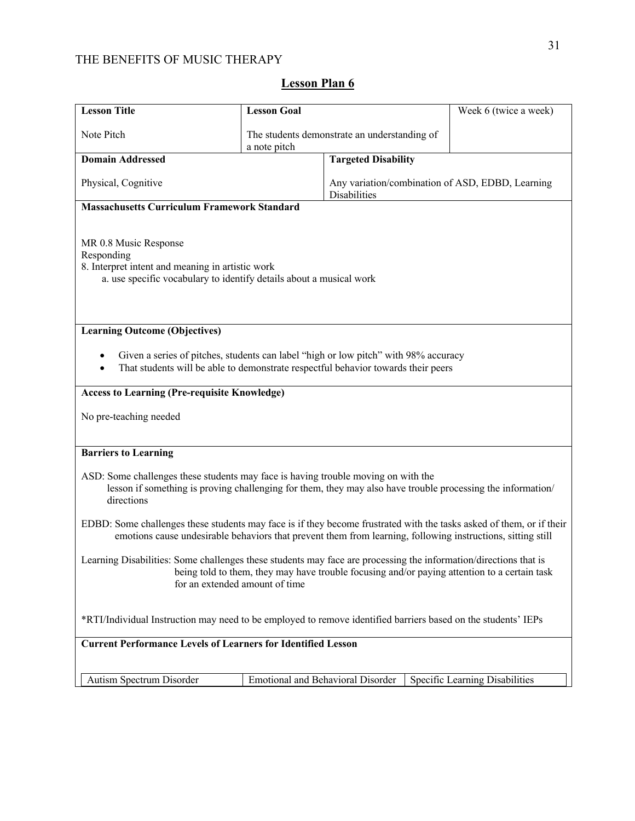| Note Pitch                                                                                                                                                                                                                                         | a note pitch | The students demonstrate an understanding of                                                                                                                             |                                |  |
|----------------------------------------------------------------------------------------------------------------------------------------------------------------------------------------------------------------------------------------------------|--------------|--------------------------------------------------------------------------------------------------------------------------------------------------------------------------|--------------------------------|--|
| <b>Domain Addressed</b>                                                                                                                                                                                                                            |              | <b>Targeted Disability</b>                                                                                                                                               |                                |  |
| Physical, Cognitive<br>Any variation/combination of ASD, EDBD, Learning<br>Disabilities                                                                                                                                                            |              |                                                                                                                                                                          |                                |  |
| <b>Massachusetts Curriculum Framework Standard</b>                                                                                                                                                                                                 |              |                                                                                                                                                                          |                                |  |
| MR 0.8 Music Response<br>Responding<br>8. Interpret intent and meaning in artistic work<br>a. use specific vocabulary to identify details about a musical work                                                                                     |              |                                                                                                                                                                          |                                |  |
| <b>Learning Outcome (Objectives)</b>                                                                                                                                                                                                               |              |                                                                                                                                                                          |                                |  |
|                                                                                                                                                                                                                                                    |              | Given a series of pitches, students can label "high or low pitch" with 98% accuracy<br>That students will be able to demonstrate respectful behavior towards their peers |                                |  |
| <b>Access to Learning (Pre-requisite Knowledge)</b>                                                                                                                                                                                                |              |                                                                                                                                                                          |                                |  |
| No pre-teaching needed                                                                                                                                                                                                                             |              |                                                                                                                                                                          |                                |  |
| <b>Barriers to Learning</b>                                                                                                                                                                                                                        |              |                                                                                                                                                                          |                                |  |
| ASD: Some challenges these students may face is having trouble moving on with the<br>lesson if something is proving challenging for them, they may also have trouble processing the information/<br>directions                                     |              |                                                                                                                                                                          |                                |  |
| EDBD: Some challenges these students may face is if they become frustrated with the tasks asked of them, or if their<br>emotions cause undesirable behaviors that prevent them from learning, following instructions, sitting still                |              |                                                                                                                                                                          |                                |  |
| Learning Disabilities: Some challenges these students may face are processing the information/directions that is<br>being told to them, they may have trouble focusing and/or paying attention to a certain task<br>for an extended amount of time |              |                                                                                                                                                                          |                                |  |
| *RTI/Individual Instruction may need to be employed to remove identified barriers based on the students' IEPs                                                                                                                                      |              |                                                                                                                                                                          |                                |  |
| <b>Current Performance Levels of Learners for Identified Lesson</b>                                                                                                                                                                                |              |                                                                                                                                                                          |                                |  |
| Autism Spectrum Disorder                                                                                                                                                                                                                           |              | <b>Emotional and Behavioral Disorder</b>                                                                                                                                 | Specific Learning Disabilities |  |

# **Lesson Plan 6**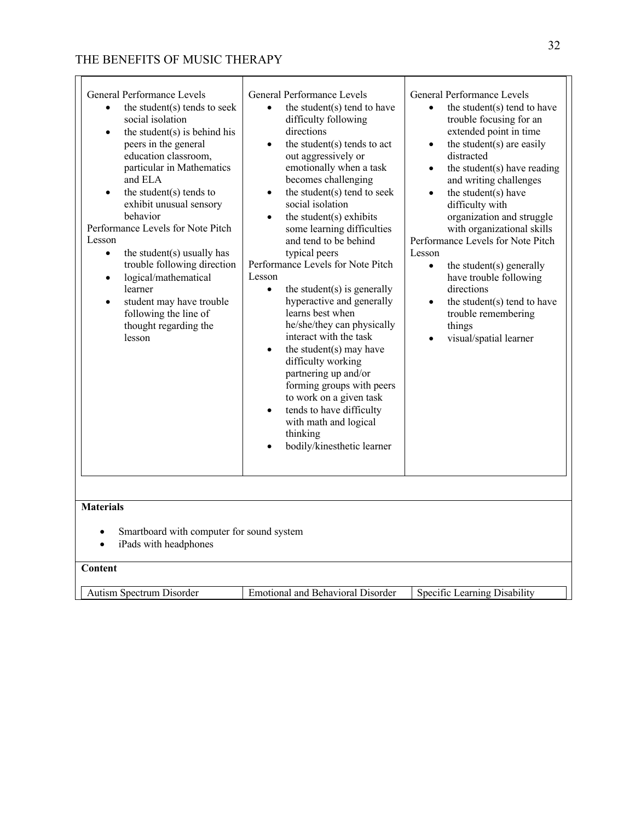| General Performance Levels<br>the student(s) tends to seek<br>social isolation<br>the student $(s)$ is behind his<br>$\bullet$<br>peers in the general<br>education classroom,<br>particular in Mathematics<br>and ELA<br>the student $(s)$ tends to<br>exhibit unusual sensory<br>behavior<br>Performance Levels for Note Pitch<br>Lesson<br>the student(s) usually has<br>$\bullet$<br>trouble following direction<br>logical/mathematical<br>$\bullet$<br>learner<br>student may have trouble<br>$\bullet$<br>following the line of<br>thought regarding the<br>lesson | General Performance Levels<br>the student(s) tend to have<br>difficulty following<br>directions<br>the student(s) tends to act<br>out aggressively or<br>emotionally when a task<br>becomes challenging<br>the student(s) tend to seek<br>$\bullet$<br>social isolation<br>the student $(s)$ exhibits<br>$\bullet$<br>some learning difficulties<br>and tend to be behind<br>typical peers<br>Performance Levels for Note Pitch<br>Lesson<br>the student $(s)$ is generally<br>$\bullet$<br>hyperactive and generally<br>learns best when<br>he/she/they can physically<br>interact with the task<br>the student(s) may have<br>difficulty working<br>partnering up and/or<br>forming groups with peers<br>to work on a given task<br>tends to have difficulty<br>with math and logical<br>thinking<br>bodily/kinesthetic learner | General Performance Levels<br>the student(s) tend to have<br>trouble focusing for an<br>extended point in time<br>the student(s) are easily<br>$\bullet$<br>distracted<br>the student(s) have reading<br>$\bullet$<br>and writing challenges<br>the student(s) have<br>$\bullet$<br>difficulty with<br>organization and struggle<br>with organizational skills<br>Performance Levels for Note Pitch<br>Lesson<br>the student(s) generally<br>$\bullet$<br>have trouble following<br>directions<br>the student(s) tend to have<br>$\bullet$<br>trouble remembering<br>things<br>visual/spatial learner |
|---------------------------------------------------------------------------------------------------------------------------------------------------------------------------------------------------------------------------------------------------------------------------------------------------------------------------------------------------------------------------------------------------------------------------------------------------------------------------------------------------------------------------------------------------------------------------|-----------------------------------------------------------------------------------------------------------------------------------------------------------------------------------------------------------------------------------------------------------------------------------------------------------------------------------------------------------------------------------------------------------------------------------------------------------------------------------------------------------------------------------------------------------------------------------------------------------------------------------------------------------------------------------------------------------------------------------------------------------------------------------------------------------------------------------|-------------------------------------------------------------------------------------------------------------------------------------------------------------------------------------------------------------------------------------------------------------------------------------------------------------------------------------------------------------------------------------------------------------------------------------------------------------------------------------------------------------------------------------------------------------------------------------------------------|
| <b>Materials</b><br>Smartboard with computer for sound system<br>iPads with headphones<br>$\bullet$                                                                                                                                                                                                                                                                                                                                                                                                                                                                       |                                                                                                                                                                                                                                                                                                                                                                                                                                                                                                                                                                                                                                                                                                                                                                                                                                   |                                                                                                                                                                                                                                                                                                                                                                                                                                                                                                                                                                                                       |
| Content                                                                                                                                                                                                                                                                                                                                                                                                                                                                                                                                                                   |                                                                                                                                                                                                                                                                                                                                                                                                                                                                                                                                                                                                                                                                                                                                                                                                                                   |                                                                                                                                                                                                                                                                                                                                                                                                                                                                                                                                                                                                       |
| Autism Spectrum Disorder                                                                                                                                                                                                                                                                                                                                                                                                                                                                                                                                                  | <b>Emotional and Behavioral Disorder</b>                                                                                                                                                                                                                                                                                                                                                                                                                                                                                                                                                                                                                                                                                                                                                                                          | Specific Learning Disability                                                                                                                                                                                                                                                                                                                                                                                                                                                                                                                                                                          |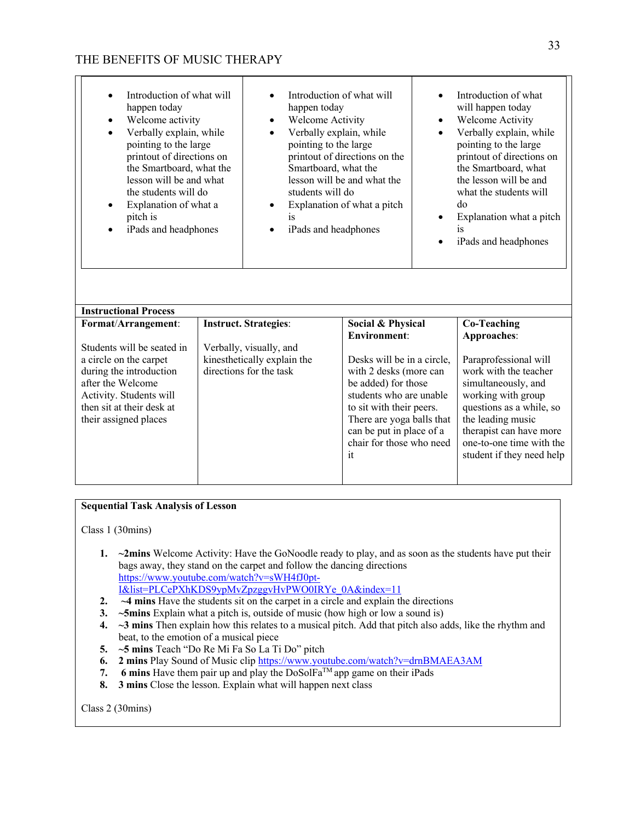| Introduction of what will<br>happen today<br>Welcome activity<br>$\bullet$<br>Verbally explain, while<br>$\bullet$<br>pointing to the large<br>printout of directions on<br>the Smartboard, what the<br>lesson will be and what<br>the students will do<br>Explanation of what a<br>pitch is<br>iPads and headphones | happen today<br>Welcome Activity<br>Verbally explain, while<br>$\bullet$<br>pointing to the large<br>Smartboard, what the<br>students will do<br>is<br>iPads and headphones | Introduction of what will<br>printout of directions on the<br>lesson will be and what the<br>Explanation of what a pitch                                                                                                                             | ٠<br>$\bullet$ | Introduction of what<br>will happen today<br>Welcome Activity<br>Verbally explain, while<br>pointing to the large<br>printout of directions on<br>the Smartboard, what<br>the lesson will be and<br>what the students will<br>do<br>Explanation what a pitch<br>is<br>iPads and headphones |
|----------------------------------------------------------------------------------------------------------------------------------------------------------------------------------------------------------------------------------------------------------------------------------------------------------------------|-----------------------------------------------------------------------------------------------------------------------------------------------------------------------------|------------------------------------------------------------------------------------------------------------------------------------------------------------------------------------------------------------------------------------------------------|----------------|--------------------------------------------------------------------------------------------------------------------------------------------------------------------------------------------------------------------------------------------------------------------------------------------|
| <b>Instructional Process</b>                                                                                                                                                                                                                                                                                         |                                                                                                                                                                             |                                                                                                                                                                                                                                                      |                |                                                                                                                                                                                                                                                                                            |
| Format/Arrangement:                                                                                                                                                                                                                                                                                                  | <b>Instruct. Strategies:</b>                                                                                                                                                | Social & Physical                                                                                                                                                                                                                                    |                | <b>Co-Teaching</b>                                                                                                                                                                                                                                                                         |
| Students will be seated in<br>a circle on the carpet<br>during the introduction<br>after the Welcome<br>Activity. Students will<br>then sit at their desk at<br>their assigned places                                                                                                                                | Verbally, visually, and<br>kinesthetically explain the<br>directions for the task                                                                                           | <b>Environment:</b><br>Desks will be in a circle,<br>with 2 desks (more can<br>be added) for those<br>students who are unable<br>to sit with their peers.<br>There are yoga balls that<br>can be put in place of a<br>chair for those who need<br>it |                | Approaches:<br>Paraprofessional will<br>work with the teacher<br>simultaneously, and<br>working with group<br>questions as a while, so<br>the leading music<br>therapist can have more<br>one-to-one time with the<br>student if they need help                                            |

### **Sequential Task Analysis of Lesson**

Class 1 (30mins)

- **1. ~2mins** Welcome Activity: Have the GoNoodle ready to play, and as soon as the students have put their bags away, they stand on the carpet and follow the dancing directions https://www.youtube.com/watch?v=sWH4fJ0pt-I&list=PLCePXhKDS9ypMvZpzggvHvPWO0IRYe\_0A&index=11
- **2. ~4 mins** Have the students sit on the carpet in a circle and explain the directions
- **3. ~5mins** Explain what a pitch is, outside of music (how high or low a sound is)
- **4. ~3 mins** Then explain how this relates to a musical pitch. Add that pitch also adds, like the rhythm and beat, to the emotion of a musical piece
- **5. ~5 mins** Teach "Do Re Mi Fa So La Ti Do" pitch
- **6. 2 mins** Play Sound of Music clip https://www.youtube.com/watch?v=drnBMAEA3AM
- **7. 6 mins** Have them pair up and play the  $DoSolFa^{TM}$  app game on their iPads
- **8. 3 mins** Close the lesson. Explain what will happen next class

Class 2 (30mins)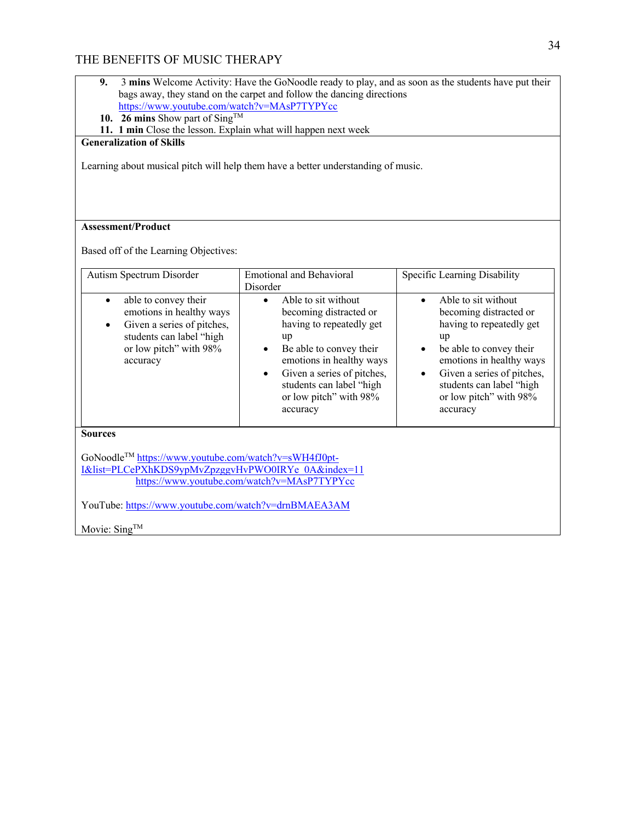|                                                                                                                                                                                                                                                                                                                                                                                                                                                                                                                                                                                                                                                                                          | bags away, they stand on the carpet and follow the dancing directions |                              |  |  |
|------------------------------------------------------------------------------------------------------------------------------------------------------------------------------------------------------------------------------------------------------------------------------------------------------------------------------------------------------------------------------------------------------------------------------------------------------------------------------------------------------------------------------------------------------------------------------------------------------------------------------------------------------------------------------------------|-----------------------------------------------------------------------|------------------------------|--|--|
| https://www.youtube.com/watch?v=MAsP7TYPYcc                                                                                                                                                                                                                                                                                                                                                                                                                                                                                                                                                                                                                                              |                                                                       |                              |  |  |
| 10. 26 mins Show part of Sing <sup>TM</sup>                                                                                                                                                                                                                                                                                                                                                                                                                                                                                                                                                                                                                                              |                                                                       |                              |  |  |
| 11. 1 min Close the lesson. Explain what will happen next week                                                                                                                                                                                                                                                                                                                                                                                                                                                                                                                                                                                                                           |                                                                       |                              |  |  |
| <b>Generalization of Skills</b>                                                                                                                                                                                                                                                                                                                                                                                                                                                                                                                                                                                                                                                          |                                                                       |                              |  |  |
| Learning about musical pitch will help them have a better understanding of music.                                                                                                                                                                                                                                                                                                                                                                                                                                                                                                                                                                                                        |                                                                       |                              |  |  |
| <b>Assessment/Product</b>                                                                                                                                                                                                                                                                                                                                                                                                                                                                                                                                                                                                                                                                |                                                                       |                              |  |  |
| Based off of the Learning Objectives:                                                                                                                                                                                                                                                                                                                                                                                                                                                                                                                                                                                                                                                    |                                                                       |                              |  |  |
| Autism Spectrum Disorder                                                                                                                                                                                                                                                                                                                                                                                                                                                                                                                                                                                                                                                                 | <b>Emotional and Behavioral</b><br>Disorder                           | Specific Learning Disability |  |  |
| Able to sit without<br>Able to sit without<br>able to convey their<br>$\bullet$<br>$\bullet$<br>$\bullet$<br>emotions in healthy ways<br>becoming distracted or<br>becoming distracted or<br>having to repeatedly get<br>Given a series of pitches,<br>having to repeatedly get<br>students can label "high<br>up<br>up<br>or low pitch" with 98%<br>Be able to convey their<br>be able to convey their<br>emotions in healthy ways<br>emotions in healthy ways<br>accuracy<br>Given a series of pitches,<br>Given a series of pitches,<br>$\bullet$<br>students can label "high<br>students can label "high<br>or low pitch" with 98%<br>or low pitch" with 98%<br>accuracy<br>accuracy |                                                                       |                              |  |  |
| <b>Sources</b><br>GoNoodle™ https://www.youtube.com/watch?v=sWH4fJ0pt-<br>I&list=PLCePXhKDS9ypMvZpzggvHvPWO0IRYe 0A&index=11                                                                                                                                                                                                                                                                                                                                                                                                                                                                                                                                                             |                                                                       |                              |  |  |
| https://www.youtube.com/watch?v=MAsP7TYPYcc                                                                                                                                                                                                                                                                                                                                                                                                                                                                                                                                                                                                                                              |                                                                       |                              |  |  |
| YouTube: https://www.youtube.com/watch?v=drnBMAEA3AM                                                                                                                                                                                                                                                                                                                                                                                                                                                                                                                                                                                                                                     |                                                                       |                              |  |  |

**9.** 3 **mins** Welcome Activity: Have the GoNoodle ready to play, and as soon as the students have put their

Movie: Sing<sup>TM</sup>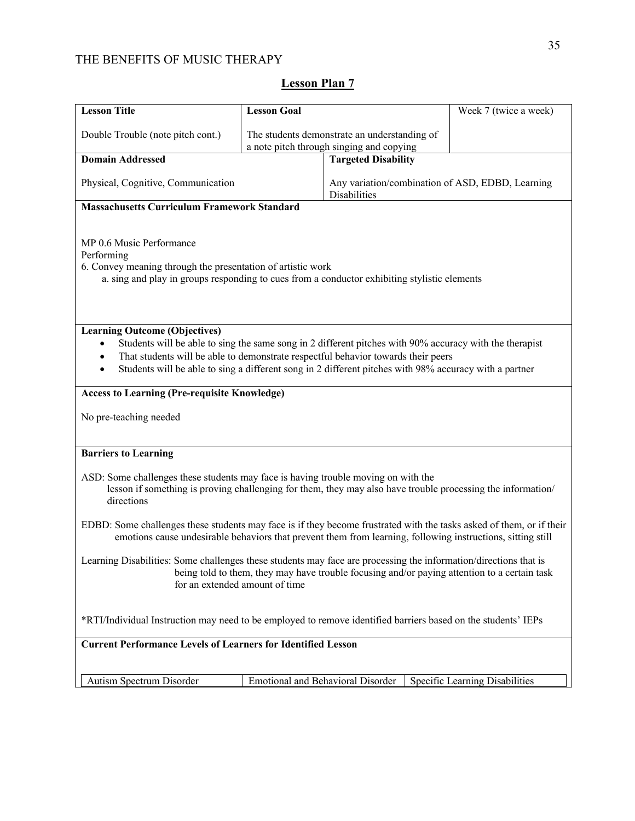| <b>Lesson Title</b>                                                                                                                                                                                                                                                                                                                                                      | <b>Lesson Goal</b>                                                                       |                                                                         | Week 7 (twice a week)          |  |
|--------------------------------------------------------------------------------------------------------------------------------------------------------------------------------------------------------------------------------------------------------------------------------------------------------------------------------------------------------------------------|------------------------------------------------------------------------------------------|-------------------------------------------------------------------------|--------------------------------|--|
| Double Trouble (note pitch cont.)                                                                                                                                                                                                                                                                                                                                        | The students demonstrate an understanding of<br>a note pitch through singing and copying |                                                                         |                                |  |
| <b>Domain Addressed</b>                                                                                                                                                                                                                                                                                                                                                  |                                                                                          | <b>Targeted Disability</b>                                              |                                |  |
| Physical, Cognitive, Communication                                                                                                                                                                                                                                                                                                                                       |                                                                                          | Any variation/combination of ASD, EDBD, Learning<br><b>Disabilities</b> |                                |  |
| <b>Massachusetts Curriculum Framework Standard</b>                                                                                                                                                                                                                                                                                                                       |                                                                                          |                                                                         |                                |  |
| MP 0.6 Music Performance<br>Performing<br>6. Convey meaning through the presentation of artistic work<br>a. sing and play in groups responding to cues from a conductor exhibiting stylistic elements                                                                                                                                                                    |                                                                                          |                                                                         |                                |  |
| <b>Learning Outcome (Objectives)</b><br>Students will be able to sing the same song in 2 different pitches with 90% accuracy with the therapist<br>That students will be able to demonstrate respectful behavior towards their peers<br>$\bullet$<br>Students will be able to sing a different song in 2 different pitches with 98% accuracy with a partner<br>$\bullet$ |                                                                                          |                                                                         |                                |  |
| <b>Access to Learning (Pre-requisite Knowledge)</b>                                                                                                                                                                                                                                                                                                                      |                                                                                          |                                                                         |                                |  |
| No pre-teaching needed                                                                                                                                                                                                                                                                                                                                                   |                                                                                          |                                                                         |                                |  |
| <b>Barriers to Learning</b>                                                                                                                                                                                                                                                                                                                                              |                                                                                          |                                                                         |                                |  |
| ASD: Some challenges these students may face is having trouble moving on with the<br>lesson if something is proving challenging for them, they may also have trouble processing the information/<br>directions                                                                                                                                                           |                                                                                          |                                                                         |                                |  |
| EDBD: Some challenges these students may face is if they become frustrated with the tasks asked of them, or if their<br>emotions cause undesirable behaviors that prevent them from learning, following instructions, sitting still                                                                                                                                      |                                                                                          |                                                                         |                                |  |
| Learning Disabilities: Some challenges these students may face are processing the information/directions that is<br>being told to them, they may have trouble focusing and/or paying attention to a certain task<br>for an extended amount of time                                                                                                                       |                                                                                          |                                                                         |                                |  |
| *RTI/Individual Instruction may need to be employed to remove identified barriers based on the students' IEPs                                                                                                                                                                                                                                                            |                                                                                          |                                                                         |                                |  |
| <b>Current Performance Levels of Learners for Identified Lesson</b>                                                                                                                                                                                                                                                                                                      |                                                                                          |                                                                         |                                |  |
|                                                                                                                                                                                                                                                                                                                                                                          |                                                                                          |                                                                         |                                |  |
| Autism Spectrum Disorder                                                                                                                                                                                                                                                                                                                                                 | <b>Emotional and Behavioral Disorder</b>                                                 |                                                                         | Specific Learning Disabilities |  |

# **Lesson Plan 7**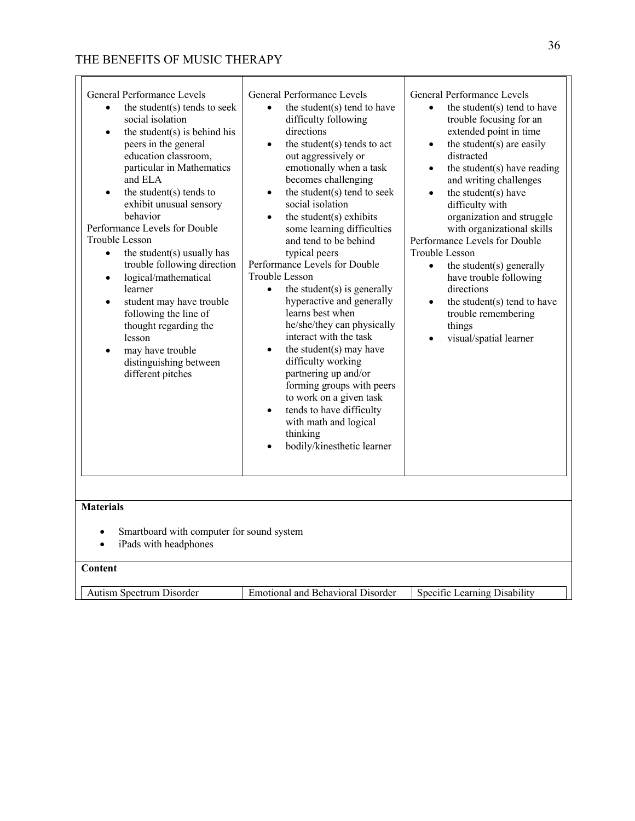| General Performance Levels<br>the student(s) tends to seek<br>$\bullet$<br>social isolation<br>the student $(s)$ is behind his<br>$\bullet$<br>peers in the general<br>education classroom,<br>particular in Mathematics<br>and ELA<br>the student(s) tends to<br>exhibit unusual sensory<br>behavior<br>Performance Levels for Double<br>Trouble Lesson<br>the student(s) usually has<br>$\bullet$<br>trouble following direction<br>logical/mathematical<br>$\bullet$<br>learner<br>student may have trouble<br>$\bullet$<br>following the line of<br>thought regarding the<br>lesson<br>may have trouble<br>$\bullet$<br>distinguishing between<br>different pitches | General Performance Levels<br>the student(s) tend to have<br>difficulty following<br>directions<br>the student(s) tends to act<br>$\bullet$<br>out aggressively or<br>emotionally when a task<br>becomes challenging<br>the student(s) tend to seek<br>$\bullet$<br>social isolation<br>the student $(s)$ exhibits<br>$\bullet$<br>some learning difficulties<br>and tend to be behind<br>typical peers<br>Performance Levels for Double<br>Trouble Lesson<br>the student $(s)$ is generally<br>$\bullet$<br>hyperactive and generally<br>learns best when<br>he/she/they can physically<br>interact with the task<br>the student(s) may have<br>$\bullet$<br>difficulty working<br>partnering up and/or<br>forming groups with peers<br>to work on a given task<br>tends to have difficulty<br>$\bullet$<br>with math and logical<br>thinking<br>bodily/kinesthetic learner | General Performance Levels<br>the student(s) tend to have<br>$\bullet$<br>trouble focusing for an<br>extended point in time<br>the student(s) are easily<br>$\bullet$<br>distracted<br>the student(s) have reading<br>$\bullet$<br>and writing challenges<br>the student(s) have<br>$\bullet$<br>difficulty with<br>organization and struggle<br>with organizational skills<br>Performance Levels for Double<br>Trouble Lesson<br>the student(s) generally<br>$\bullet$<br>have trouble following<br>directions<br>the student(s) tend to have<br>$\bullet$<br>trouble remembering<br>things<br>visual/spatial learner |
|-------------------------------------------------------------------------------------------------------------------------------------------------------------------------------------------------------------------------------------------------------------------------------------------------------------------------------------------------------------------------------------------------------------------------------------------------------------------------------------------------------------------------------------------------------------------------------------------------------------------------------------------------------------------------|------------------------------------------------------------------------------------------------------------------------------------------------------------------------------------------------------------------------------------------------------------------------------------------------------------------------------------------------------------------------------------------------------------------------------------------------------------------------------------------------------------------------------------------------------------------------------------------------------------------------------------------------------------------------------------------------------------------------------------------------------------------------------------------------------------------------------------------------------------------------------|------------------------------------------------------------------------------------------------------------------------------------------------------------------------------------------------------------------------------------------------------------------------------------------------------------------------------------------------------------------------------------------------------------------------------------------------------------------------------------------------------------------------------------------------------------------------------------------------------------------------|
| <b>Materials</b><br>Smartboard with computer for sound system<br>iPads with headphones<br>Content                                                                                                                                                                                                                                                                                                                                                                                                                                                                                                                                                                       |                                                                                                                                                                                                                                                                                                                                                                                                                                                                                                                                                                                                                                                                                                                                                                                                                                                                              |                                                                                                                                                                                                                                                                                                                                                                                                                                                                                                                                                                                                                        |
| Autism Spectrum Disorder                                                                                                                                                                                                                                                                                                                                                                                                                                                                                                                                                                                                                                                | <b>Emotional and Behavioral Disorder</b>                                                                                                                                                                                                                                                                                                                                                                                                                                                                                                                                                                                                                                                                                                                                                                                                                                     | Specific Learning Disability                                                                                                                                                                                                                                                                                                                                                                                                                                                                                                                                                                                           |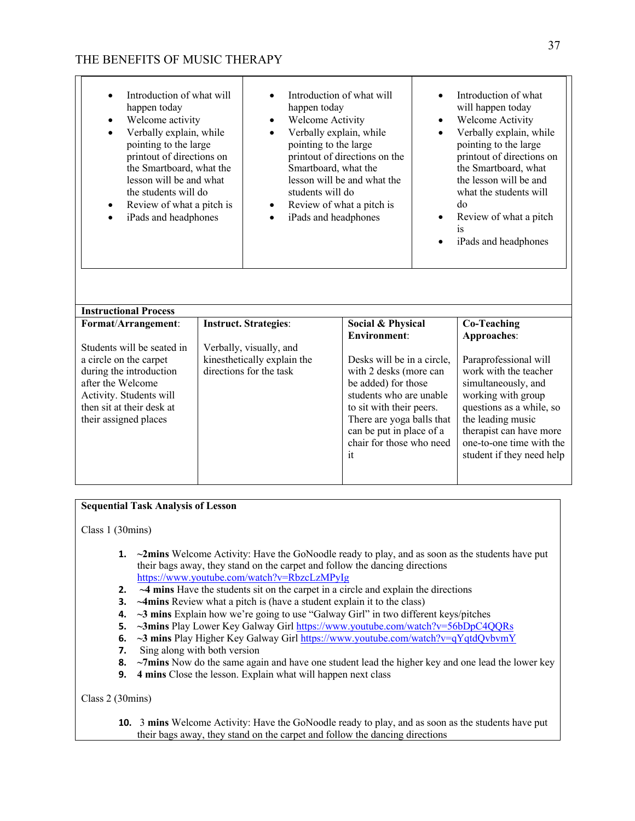| Introduction of what will<br>happen today<br>happen today<br>Welcome Activity<br>Welcome activity<br>$\bullet$<br>$\bullet$<br>Verbally explain, while<br>$\bullet$<br>pointing to the large<br>pointing to the large<br>printout of directions on<br>the Smartboard, what the<br>lesson will be and what<br>the students will do<br>students will do<br>Review of what a pitch is<br>iPads and headphones<br>$\bullet$ |  | Introduction of what will<br>Verbally explain, while<br>printout of directions on the<br>Smartboard, what the<br>lesson will be and what the<br>Review of what a pitch is<br>iPads and headphones | $\bullet$<br>$\bullet$<br>$\bullet$<br>$\bullet$     | Introduction of what<br>will happen today<br>Welcome Activity<br>Verbally explain, while<br>pointing to the large<br>printout of directions on<br>the Smartboard, what<br>the lesson will be and<br>what the students will<br>do<br>Review of what a pitch<br>1S<br>iPads and headphones |                                                     |
|-------------------------------------------------------------------------------------------------------------------------------------------------------------------------------------------------------------------------------------------------------------------------------------------------------------------------------------------------------------------------------------------------------------------------|--|---------------------------------------------------------------------------------------------------------------------------------------------------------------------------------------------------|------------------------------------------------------|------------------------------------------------------------------------------------------------------------------------------------------------------------------------------------------------------------------------------------------------------------------------------------------|-----------------------------------------------------|
| <b>Instructional Process</b>                                                                                                                                                                                                                                                                                                                                                                                            |  |                                                                                                                                                                                                   |                                                      |                                                                                                                                                                                                                                                                                          |                                                     |
| Format/Arrangement:                                                                                                                                                                                                                                                                                                                                                                                                     |  | <b>Instruct. Strategies:</b>                                                                                                                                                                      | Social & Physical                                    |                                                                                                                                                                                                                                                                                          | <b>Co-Teaching</b>                                  |
|                                                                                                                                                                                                                                                                                                                                                                                                                         |  |                                                                                                                                                                                                   | <b>Environment:</b>                                  |                                                                                                                                                                                                                                                                                          | Approaches:                                         |
| Students will be seated in                                                                                                                                                                                                                                                                                                                                                                                              |  | Verbally, visually, and                                                                                                                                                                           |                                                      |                                                                                                                                                                                                                                                                                          |                                                     |
| a circle on the carpet<br>during the introduction                                                                                                                                                                                                                                                                                                                                                                       |  | kinesthetically explain the<br>directions for the task                                                                                                                                            | Desks will be in a circle,<br>with 2 desks (more can |                                                                                                                                                                                                                                                                                          | Paraprofessional will<br>work with the teacher      |
| after the Welcome                                                                                                                                                                                                                                                                                                                                                                                                       |  |                                                                                                                                                                                                   | be added) for those                                  |                                                                                                                                                                                                                                                                                          | simultaneously, and                                 |
| Activity. Students will                                                                                                                                                                                                                                                                                                                                                                                                 |  |                                                                                                                                                                                                   | students who are unable                              |                                                                                                                                                                                                                                                                                          | working with group                                  |
| then sit at their desk at                                                                                                                                                                                                                                                                                                                                                                                               |  |                                                                                                                                                                                                   | to sit with their peers.                             |                                                                                                                                                                                                                                                                                          | questions as a while, so                            |
| their assigned places                                                                                                                                                                                                                                                                                                                                                                                                   |  |                                                                                                                                                                                                   | There are yoga balls that                            |                                                                                                                                                                                                                                                                                          | the leading music                                   |
|                                                                                                                                                                                                                                                                                                                                                                                                                         |  |                                                                                                                                                                                                   | can be put in place of a<br>chair for those who need |                                                                                                                                                                                                                                                                                          | therapist can have more<br>one-to-one time with the |
|                                                                                                                                                                                                                                                                                                                                                                                                                         |  |                                                                                                                                                                                                   | it                                                   |                                                                                                                                                                                                                                                                                          | student if they need help                           |

### **Sequential Task Analysis of Lesson**

Class 1 (30mins)

- **1. ~2mins** Welcome Activity: Have the GoNoodle ready to play, and as soon as the students have put their bags away, they stand on the carpet and follow the dancing directions https://www.youtube.com/watch?v=RbzcLzMPyIg
- **2. ~4 mins** Have the students sit on the carpet in a circle and explain the directions
- **3. ~4mins** Review what a pitch is (have a student explain it to the class)
- **4. ~3 mins** Explain how we're going to use "Galway Girl" in two different keys/pitches
- **5. ~3mins** Play Lower Key Galway Girl https://www.youtube.com/watch?v=56bDpC4QQRs
- **6.**  $\sim$  3 mins Play Higher Key Galway Girl https://www.youtube.com/watch?v=qYqtdQvbvmY
- **7.** Sing along with both version
- **8. ~7mins** Now do the same again and have one student lead the higher key and one lead the lower key
- **9. 4 mins** Close the lesson. Explain what will happen next class

Class 2 (30mins)

**10.** 3 **mins** Welcome Activity: Have the GoNoodle ready to play, and as soon as the students have put their bags away, they stand on the carpet and follow the dancing directions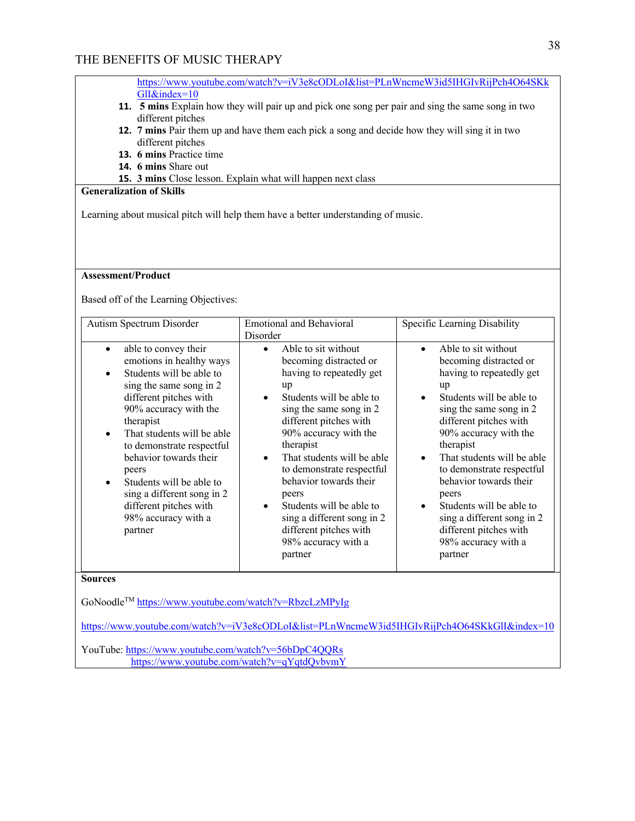|                 | https://www.youtube.com/watch?y=iV3e8cODLoI&list=PLnWncmeW3id5IHGIvRiiPch4O64SKk |
|-----------------|----------------------------------------------------------------------------------|
| $GII\&index=10$ |                                                                                  |

- **11. 5 mins** Explain how they will pair up and pick one song per pair and sing the same song in two different pitches
- **12. 7 mins** Pair them up and have them each pick a song and decide how they will sing it in two different pitches
- **13. 6 mins** Practice time
- **14. 6 mins** Share out
- **15. 3 mins** Close lesson. Explain what will happen next class

## **Generalization of Skills**

Learning about musical pitch will help them have a better understanding of music.

### **Assessment/Product**

Based off of the Learning Objectives:

| Autism Spectrum Disorder                                                                                                                                                                                                                                                                                                                                                                                 | <b>Emotional and Behavioral</b>                                                                                                                                                                                                                                                                                                                                                                                                         | Specific Learning Disability                                                                                                                                                                                                                                                                                                                                                                                                            |
|----------------------------------------------------------------------------------------------------------------------------------------------------------------------------------------------------------------------------------------------------------------------------------------------------------------------------------------------------------------------------------------------------------|-----------------------------------------------------------------------------------------------------------------------------------------------------------------------------------------------------------------------------------------------------------------------------------------------------------------------------------------------------------------------------------------------------------------------------------------|-----------------------------------------------------------------------------------------------------------------------------------------------------------------------------------------------------------------------------------------------------------------------------------------------------------------------------------------------------------------------------------------------------------------------------------------|
|                                                                                                                                                                                                                                                                                                                                                                                                          | Disorder                                                                                                                                                                                                                                                                                                                                                                                                                                |                                                                                                                                                                                                                                                                                                                                                                                                                                         |
| able to convey their<br>$\bullet$<br>emotions in healthy ways<br>Students will be able to<br>sing the same song in 2<br>different pitches with<br>90% accuracy with the<br>therapist<br>That students will be able<br>to demonstrate respectful<br>behavior towards their<br>peers<br>Students will be able to<br>sing a different song in 2<br>different pitches with<br>98% accuracy with a<br>partner | Able to sit without<br>becoming distracted or<br>having to repeatedly get<br>up<br>Students will be able to<br>sing the same song in 2<br>different pitches with<br>90% accuracy with the<br>therapist<br>That students will be able<br>$\bullet$<br>to demonstrate respectful<br>behavior towards their<br>peers<br>Students will be able to<br>sing a different song in 2<br>different pitches with<br>98% accuracy with a<br>partner | Able to sit without<br>becoming distracted or<br>having to repeatedly get<br>up<br>Students will be able to<br>sing the same song in 2<br>different pitches with<br>90% accuracy with the<br>therapist<br>That students will be able<br>$\bullet$<br>to demonstrate respectful<br>behavior towards their<br>peers<br>Students will be able to<br>sing a different song in 2<br>different pitches with<br>98% accuracy with a<br>partner |

### **Sources**

GoNoodleTM https://www.youtube.com/watch?v=RbzcLzMPyIg

https://www.youtube.com/watch?v=iV3e8cODLoI&list=PLnWncmeW3id5IHGIvRijPch4O64SKkGlI&index=10

YouTube: https://www.youtube.com/watch?v=56bDpC4QQRs https://www.youtube.com/watch?v=qYqtdQvbvmY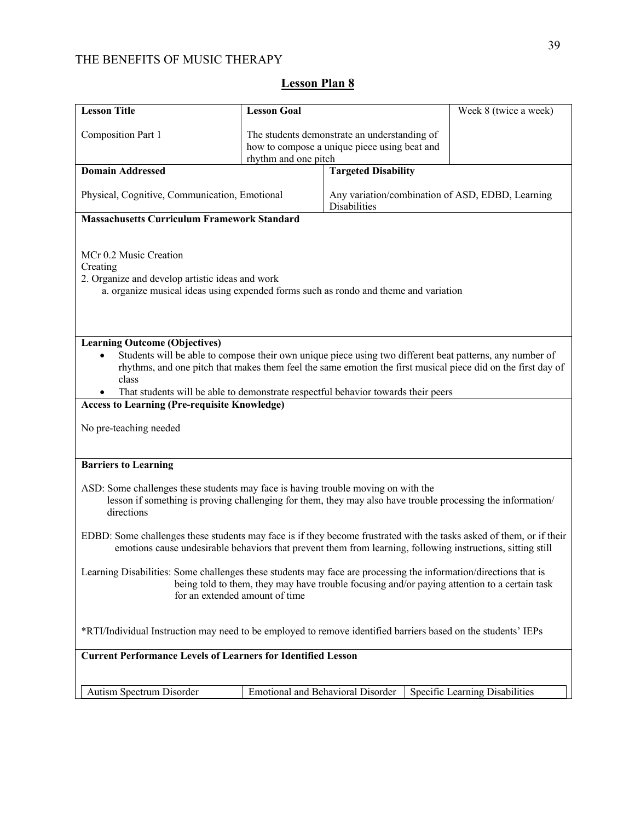| <b>Lesson Title</b>                                                                                                                                                                                                                                                                                                                                                                                                                             | <b>Lesson Goal</b>                           |                                                                  | Week 8 (twice a week)          |  |
|-------------------------------------------------------------------------------------------------------------------------------------------------------------------------------------------------------------------------------------------------------------------------------------------------------------------------------------------------------------------------------------------------------------------------------------------------|----------------------------------------------|------------------------------------------------------------------|--------------------------------|--|
| <b>Composition Part 1</b>                                                                                                                                                                                                                                                                                                                                                                                                                       |                                              | The students demonstrate an understanding of                     |                                |  |
|                                                                                                                                                                                                                                                                                                                                                                                                                                                 | how to compose a unique piece using beat and |                                                                  |                                |  |
|                                                                                                                                                                                                                                                                                                                                                                                                                                                 | rhythm and one pitch                         |                                                                  |                                |  |
| <b>Domain Addressed</b>                                                                                                                                                                                                                                                                                                                                                                                                                         |                                              | <b>Targeted Disability</b>                                       |                                |  |
| Physical, Cognitive, Communication, Emotional                                                                                                                                                                                                                                                                                                                                                                                                   |                                              | Any variation/combination of ASD, EDBD, Learning<br>Disabilities |                                |  |
| <b>Massachusetts Curriculum Framework Standard</b>                                                                                                                                                                                                                                                                                                                                                                                              |                                              |                                                                  |                                |  |
| MCr 0.2 Music Creation<br>Creating<br>2. Organize and develop artistic ideas and work<br>a. organize musical ideas using expended forms such as rondo and theme and variation                                                                                                                                                                                                                                                                   |                                              |                                                                  |                                |  |
| <b>Learning Outcome (Objectives)</b><br>Students will be able to compose their own unique piece using two different beat patterns, any number of<br>rhythms, and one pitch that makes them feel the same emotion the first musical piece did on the first day of<br>class<br>That students will be able to demonstrate respectful behavior towards their peers<br><b>Access to Learning (Pre-requisite Knowledge)</b><br>No pre-teaching needed |                                              |                                                                  |                                |  |
| <b>Barriers to Learning</b>                                                                                                                                                                                                                                                                                                                                                                                                                     |                                              |                                                                  |                                |  |
| ASD: Some challenges these students may face is having trouble moving on with the<br>lesson if something is proving challenging for them, they may also have trouble processing the information/<br>directions                                                                                                                                                                                                                                  |                                              |                                                                  |                                |  |
| EDBD: Some challenges these students may face is if they become frustrated with the tasks asked of them, or if their<br>emotions cause undesirable behaviors that prevent them from learning, following instructions, sitting still                                                                                                                                                                                                             |                                              |                                                                  |                                |  |
| Learning Disabilities: Some challenges these students may face are processing the information/directions that is<br>being told to them, they may have trouble focusing and/or paying attention to a certain task<br>for an extended amount of time                                                                                                                                                                                              |                                              |                                                                  |                                |  |
| *RTI/Individual Instruction may need to be employed to remove identified barriers based on the students' IEPs                                                                                                                                                                                                                                                                                                                                   |                                              |                                                                  |                                |  |
| <b>Current Performance Levels of Learners for Identified Lesson</b>                                                                                                                                                                                                                                                                                                                                                                             |                                              |                                                                  |                                |  |
| Autism Spectrum Disorder                                                                                                                                                                                                                                                                                                                                                                                                                        | <b>Emotional and Behavioral Disorder</b>     |                                                                  | Specific Learning Disabilities |  |

# **Lesson Plan 8**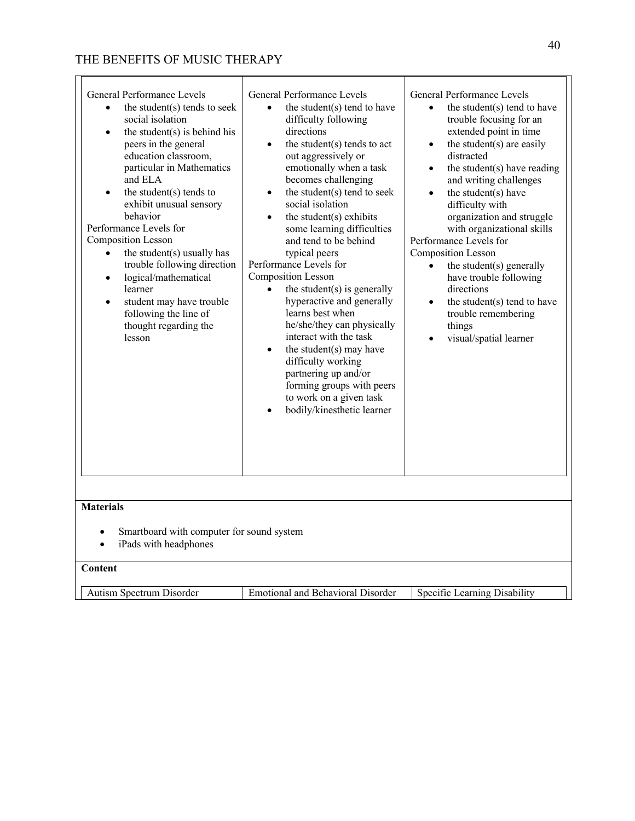| General Performance Levels<br>the student(s) tends to seek<br>$\bullet$<br>social isolation<br>the student $(s)$ is behind his<br>$\bullet$<br>peers in the general<br>education classroom,<br>particular in Mathematics<br>and ELA<br>the student $(s)$ tends to<br>exhibit unusual sensory<br>behavior<br>Performance Levels for<br><b>Composition Lesson</b><br>the student(s) usually has<br>$\bullet$<br>trouble following direction<br>logical/mathematical<br>$\bullet$<br>learner<br>student may have trouble<br>$\bullet$<br>following the line of<br>thought regarding the<br>lesson | General Performance Levels<br>the student(s) tend to have<br>difficulty following<br>directions<br>the student(s) tends to act<br>out aggressively or<br>emotionally when a task<br>becomes challenging<br>the student(s) tend to seek<br>$\bullet$<br>social isolation<br>the student(s) exhibits<br>some learning difficulties<br>and tend to be behind<br>typical peers<br>Performance Levels for<br><b>Composition Lesson</b><br>the student $(s)$ is generally<br>$\bullet$<br>hyperactive and generally<br>learns best when<br>he/she/they can physically<br>interact with the task<br>the student(s) may have<br>$\bullet$<br>difficulty working<br>partnering up and/or<br>forming groups with peers<br>to work on a given task<br>bodily/kinesthetic learner | General Performance Levels<br>the student(s) tend to have<br>$\bullet$<br>trouble focusing for an<br>extended point in time<br>the student(s) are easily<br>$\bullet$<br>distracted<br>the student $(s)$ have reading<br>$\bullet$<br>and writing challenges<br>the student(s) have<br>$\bullet$<br>difficulty with<br>organization and struggle<br>with organizational skills<br>Performance Levels for<br><b>Composition Lesson</b><br>the student(s) generally<br>have trouble following<br>directions<br>the student(s) tend to have<br>$\bullet$<br>trouble remembering<br>things<br>visual/spatial learner |
|------------------------------------------------------------------------------------------------------------------------------------------------------------------------------------------------------------------------------------------------------------------------------------------------------------------------------------------------------------------------------------------------------------------------------------------------------------------------------------------------------------------------------------------------------------------------------------------------|-----------------------------------------------------------------------------------------------------------------------------------------------------------------------------------------------------------------------------------------------------------------------------------------------------------------------------------------------------------------------------------------------------------------------------------------------------------------------------------------------------------------------------------------------------------------------------------------------------------------------------------------------------------------------------------------------------------------------------------------------------------------------|------------------------------------------------------------------------------------------------------------------------------------------------------------------------------------------------------------------------------------------------------------------------------------------------------------------------------------------------------------------------------------------------------------------------------------------------------------------------------------------------------------------------------------------------------------------------------------------------------------------|
| <b>Materials</b>                                                                                                                                                                                                                                                                                                                                                                                                                                                                                                                                                                               |                                                                                                                                                                                                                                                                                                                                                                                                                                                                                                                                                                                                                                                                                                                                                                       |                                                                                                                                                                                                                                                                                                                                                                                                                                                                                                                                                                                                                  |
| Smartboard with computer for sound system<br>$\bullet$<br>iPads with headphones<br>$\bullet$<br>Content                                                                                                                                                                                                                                                                                                                                                                                                                                                                                        |                                                                                                                                                                                                                                                                                                                                                                                                                                                                                                                                                                                                                                                                                                                                                                       |                                                                                                                                                                                                                                                                                                                                                                                                                                                                                                                                                                                                                  |
| Autism Spectrum Disorder                                                                                                                                                                                                                                                                                                                                                                                                                                                                                                                                                                       | <b>Emotional and Behavioral Disorder</b>                                                                                                                                                                                                                                                                                                                                                                                                                                                                                                                                                                                                                                                                                                                              | Specific Learning Disability                                                                                                                                                                                                                                                                                                                                                                                                                                                                                                                                                                                     |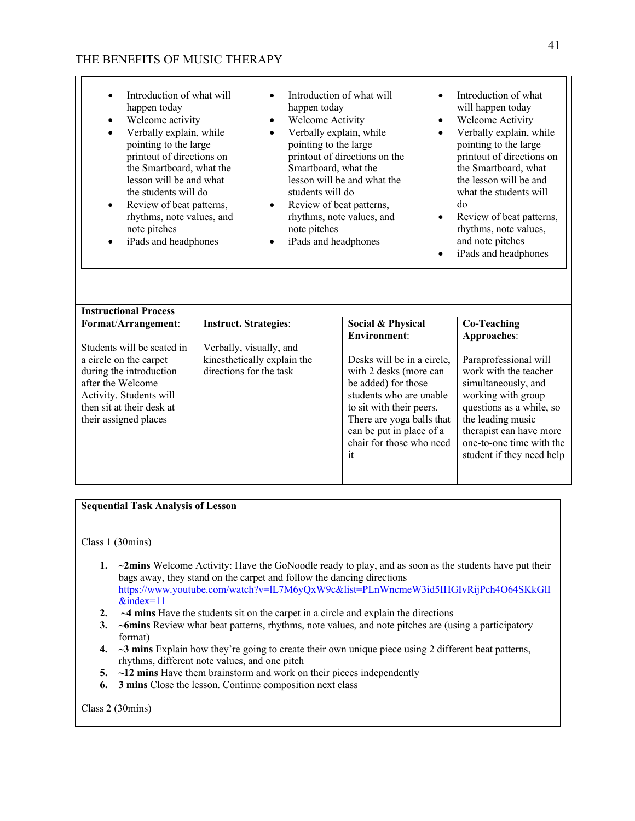| Introduction of what will<br>happen today<br>Welcome activity<br>Verbally explain, while<br>٠<br>pointing to the large<br>printout of directions on<br>the Smartboard, what the<br>lesson will be and what<br>the students will do<br>Review of beat patterns,<br>$\bullet$<br>rhythms, note values, and<br>note pitches<br>iPads and headphones | Introduction of what will<br>٠<br>happen today<br><b>Welcome Activity</b><br>$\bullet$<br>Verbally explain, while<br>$\bullet$<br>pointing to the large<br>printout of directions on the<br>Smartboard, what the<br>lesson will be and what the<br>students will do<br>Review of beat patterns,<br>$\bullet$<br>rhythms, note values, and<br>note pitches<br>iPads and headphones<br>٠ |                                                                                                                                                                                                                                                      | $\bullet$<br>$\bullet$<br>$\bullet$<br>$\bullet$ | Introduction of what<br>will happen today<br>Welcome Activity<br>Verbally explain, while<br>pointing to the large<br>printout of directions on<br>the Smartboard, what<br>the lesson will be and<br>what the students will<br>do<br>Review of beat patterns,<br>rhythms, note values,<br>and note pitches<br>iPads and headphones |
|--------------------------------------------------------------------------------------------------------------------------------------------------------------------------------------------------------------------------------------------------------------------------------------------------------------------------------------------------|----------------------------------------------------------------------------------------------------------------------------------------------------------------------------------------------------------------------------------------------------------------------------------------------------------------------------------------------------------------------------------------|------------------------------------------------------------------------------------------------------------------------------------------------------------------------------------------------------------------------------------------------------|--------------------------------------------------|-----------------------------------------------------------------------------------------------------------------------------------------------------------------------------------------------------------------------------------------------------------------------------------------------------------------------------------|
| <b>Instructional Process</b>                                                                                                                                                                                                                                                                                                                     |                                                                                                                                                                                                                                                                                                                                                                                        |                                                                                                                                                                                                                                                      |                                                  |                                                                                                                                                                                                                                                                                                                                   |
| Format/Arrangement:                                                                                                                                                                                                                                                                                                                              | <b>Instruct. Strategies:</b>                                                                                                                                                                                                                                                                                                                                                           | Social & Physical                                                                                                                                                                                                                                    |                                                  | <b>Co-Teaching</b>                                                                                                                                                                                                                                                                                                                |
| Students will be seated in<br>a circle on the carpet<br>during the introduction<br>after the Welcome<br>Activity. Students will<br>then sit at their desk at<br>their assigned places                                                                                                                                                            | Verbally, visually, and<br>kinesthetically explain the<br>directions for the task                                                                                                                                                                                                                                                                                                      | <b>Environment:</b><br>Desks will be in a circle,<br>with 2 desks (more can<br>be added) for those<br>students who are unable<br>to sit with their peers.<br>There are yoga balls that<br>can be put in place of a<br>chair for those who need<br>it |                                                  | Approaches:<br>Paraprofessional will<br>work with the teacher<br>simultaneously, and<br>working with group<br>questions as a while, so<br>the leading music<br>therapist can have more<br>one-to-one time with the<br>student if they need help                                                                                   |

### **Sequential Task Analysis of Lesson**

Class 1 (30mins)

- **1. ~2mins** Welcome Activity: Have the GoNoodle ready to play, and as soon as the students have put their bags away, they stand on the carpet and follow the dancing directions https://www.youtube.com/watch?v=lL7M6yQxW9c&list=PLnWncmeW3id5IHGIvRijPch4O64SKkGlI &index=11
- **2. ~4 mins** Have the students sit on the carpet in a circle and explain the directions
- **3. ~6mins** Review what beat patterns, rhythms, note values, and note pitches are (using a participatory format)
- **4. ~3 mins** Explain how they're going to create their own unique piece using 2 different beat patterns, rhythms, different note values, and one pitch
- **5.**  $\sim$  **12 mins** Have them brainstorm and work on their pieces independently
- **6. 3 mins** Close the lesson. Continue composition next class

Class 2 (30mins)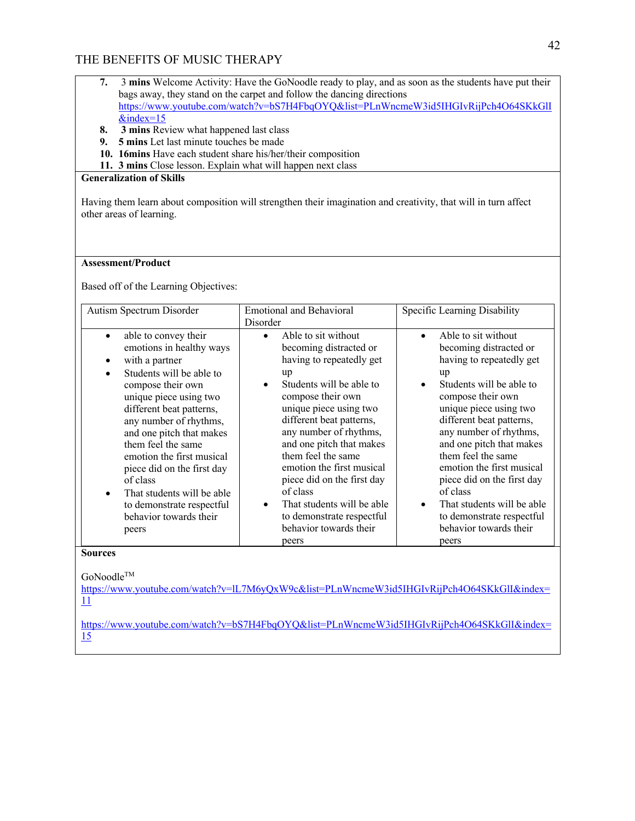- **7.** 3 **mins** Welcome Activity: Have the GoNoodle ready to play, and as soon as the students have put their bags away, they stand on the carpet and follow the dancing directions https://www.youtube.com/watch?v=bS7H4FbqOYQ&list=PLnWncmeW3id5IHGIvRijPch4O64SKkGlI  $&$ index=15
- **8. 3 mins** Review what happened last class
- **9. 5 mins** Let last minute touches be made
- **10. 16mins** Have each student share his/her/their composition
- **11. 3 mins** Close lesson. Explain what will happen next class

### **Generalization of Skills**

Having them learn about composition will strengthen their imagination and creativity, that will in turn affect other areas of learning.

### **Assessment/Product**

Based off of the Learning Objectives:

| Autism Spectrum Disorder                                                                                                                                                                                                                                                                                                                                                                                                                                          | <b>Emotional and Behavioral</b>                                                                                                                                                                                                                                                                                                                                                                                                                      | Specific Learning Disability                                                                                                                                                                                                                                                                                                                                                                                                                                      |
|-------------------------------------------------------------------------------------------------------------------------------------------------------------------------------------------------------------------------------------------------------------------------------------------------------------------------------------------------------------------------------------------------------------------------------------------------------------------|------------------------------------------------------------------------------------------------------------------------------------------------------------------------------------------------------------------------------------------------------------------------------------------------------------------------------------------------------------------------------------------------------------------------------------------------------|-------------------------------------------------------------------------------------------------------------------------------------------------------------------------------------------------------------------------------------------------------------------------------------------------------------------------------------------------------------------------------------------------------------------------------------------------------------------|
|                                                                                                                                                                                                                                                                                                                                                                                                                                                                   | Disorder                                                                                                                                                                                                                                                                                                                                                                                                                                             |                                                                                                                                                                                                                                                                                                                                                                                                                                                                   |
| able to convey their<br>$\bullet$<br>emotions in healthy ways<br>with a partner<br>Students will be able to<br>$\bullet$<br>compose their own<br>unique piece using two<br>different beat patterns,<br>any number of rhythms,<br>and one pitch that makes<br>them feel the same<br>emotion the first musical<br>piece did on the first day<br>of class<br>That students will be able<br>$\bullet$<br>to demonstrate respectful<br>behavior towards their<br>peers | Able to sit without<br>becoming distracted or<br>having to repeatedly get<br>up<br>Students will be able to<br>compose their own<br>unique piece using two<br>different beat patterns,<br>any number of rhythms,<br>and one pitch that makes<br>them feel the same<br>emotion the first musical<br>piece did on the first day<br>of class<br>That students will be able<br>$\bullet$<br>to demonstrate respectful<br>behavior towards their<br>peers | Able to sit without<br>$\bullet$<br>becoming distracted or<br>having to repeatedly get<br>up<br>Students will be able to<br>compose their own<br>unique piece using two<br>different beat patterns,<br>any number of rhythms,<br>and one pitch that makes<br>them feel the same<br>emotion the first musical<br>piece did on the first day<br>of class<br>That students will be able<br>$\bullet$<br>to demonstrate respectful<br>behavior towards their<br>peers |
| <b>Sources</b>                                                                                                                                                                                                                                                                                                                                                                                                                                                    |                                                                                                                                                                                                                                                                                                                                                                                                                                                      |                                                                                                                                                                                                                                                                                                                                                                                                                                                                   |
| GoNoodle™                                                                                                                                                                                                                                                                                                                                                                                                                                                         |                                                                                                                                                                                                                                                                                                                                                                                                                                                      |                                                                                                                                                                                                                                                                                                                                                                                                                                                                   |

https://www.youtube.com/watch?v=lL7M6yQxW9c&list=PLnWncmeW3id5IHGIvRijPch4O64SKkGlI&index= 11

https://www.youtube.com/watch?v=bS7H4FbqOYQ&list=PLnWncmeW3id5IHGIvRijPch4O64SKkGlI&index= 15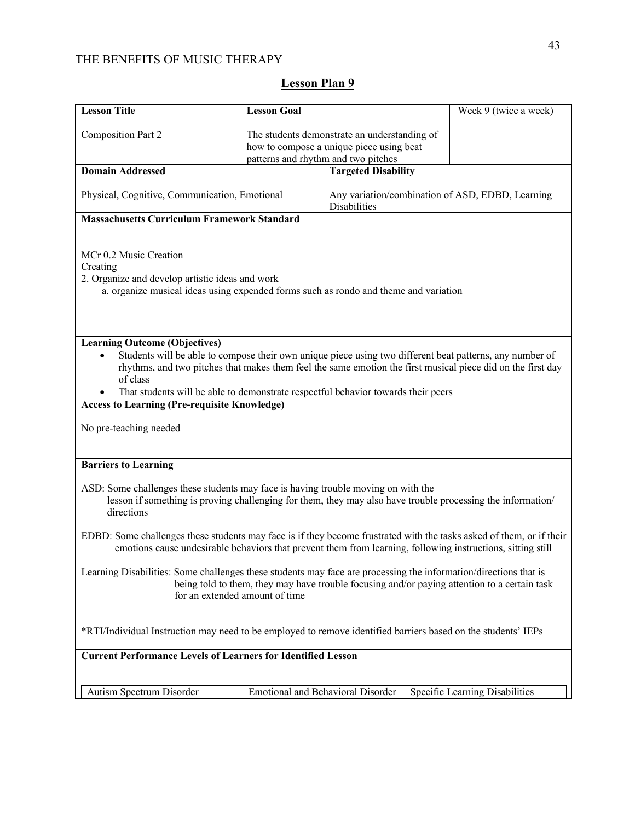| <b>Lesson Title</b>                                                                                                                                                                                                                                | <b>Lesson Goal</b>                                                                                                                                                                                                                                                                                           |                                                                                          | Week 9 (twice a week)          |  |  |
|----------------------------------------------------------------------------------------------------------------------------------------------------------------------------------------------------------------------------------------------------|--------------------------------------------------------------------------------------------------------------------------------------------------------------------------------------------------------------------------------------------------------------------------------------------------------------|------------------------------------------------------------------------------------------|--------------------------------|--|--|
| <b>Composition Part 2</b>                                                                                                                                                                                                                          | patterns and rhythm and two pitches                                                                                                                                                                                                                                                                          | The students demonstrate an understanding of<br>how to compose a unique piece using beat |                                |  |  |
| <b>Domain Addressed</b>                                                                                                                                                                                                                            |                                                                                                                                                                                                                                                                                                              | <b>Targeted Disability</b>                                                               |                                |  |  |
| Physical, Cognitive, Communication, Emotional                                                                                                                                                                                                      |                                                                                                                                                                                                                                                                                                              | Any variation/combination of ASD, EDBD, Learning<br><b>Disabilities</b>                  |                                |  |  |
| <b>Massachusetts Curriculum Framework Standard</b>                                                                                                                                                                                                 |                                                                                                                                                                                                                                                                                                              |                                                                                          |                                |  |  |
| MCr 0.2 Music Creation<br>Creating<br>2. Organize and develop artistic ideas and work<br>a. organize musical ideas using expended forms such as rondo and theme and variation                                                                      |                                                                                                                                                                                                                                                                                                              |                                                                                          |                                |  |  |
| <b>Learning Outcome (Objectives)</b>                                                                                                                                                                                                               |                                                                                                                                                                                                                                                                                                              |                                                                                          |                                |  |  |
| of class                                                                                                                                                                                                                                           | Students will be able to compose their own unique piece using two different beat patterns, any number of<br>rhythms, and two pitches that makes them feel the same emotion the first musical piece did on the first day<br>That students will be able to demonstrate respectful behavior towards their peers |                                                                                          |                                |  |  |
| <b>Access to Learning (Pre-requisite Knowledge)</b>                                                                                                                                                                                                |                                                                                                                                                                                                                                                                                                              |                                                                                          |                                |  |  |
| No pre-teaching needed                                                                                                                                                                                                                             |                                                                                                                                                                                                                                                                                                              |                                                                                          |                                |  |  |
| <b>Barriers to Learning</b>                                                                                                                                                                                                                        |                                                                                                                                                                                                                                                                                                              |                                                                                          |                                |  |  |
| ASD: Some challenges these students may face is having trouble moving on with the<br>lesson if something is proving challenging for them, they may also have trouble processing the information/<br>directions                                     |                                                                                                                                                                                                                                                                                                              |                                                                                          |                                |  |  |
| EDBD: Some challenges these students may face is if they become frustrated with the tasks asked of them, or if their<br>emotions cause undesirable behaviors that prevent them from learning, following instructions, sitting still                |                                                                                                                                                                                                                                                                                                              |                                                                                          |                                |  |  |
| Learning Disabilities: Some challenges these students may face are processing the information/directions that is<br>being told to them, they may have trouble focusing and/or paying attention to a certain task<br>for an extended amount of time |                                                                                                                                                                                                                                                                                                              |                                                                                          |                                |  |  |
| *RTI/Individual Instruction may need to be employed to remove identified barriers based on the students' IEPs                                                                                                                                      |                                                                                                                                                                                                                                                                                                              |                                                                                          |                                |  |  |
| <b>Current Performance Levels of Learners for Identified Lesson</b>                                                                                                                                                                                |                                                                                                                                                                                                                                                                                                              |                                                                                          |                                |  |  |
| Autism Spectrum Disorder                                                                                                                                                                                                                           | <b>Emotional and Behavioral Disorder</b>                                                                                                                                                                                                                                                                     |                                                                                          | Specific Learning Disabilities |  |  |
|                                                                                                                                                                                                                                                    |                                                                                                                                                                                                                                                                                                              |                                                                                          |                                |  |  |

# **Lesson Plan 9**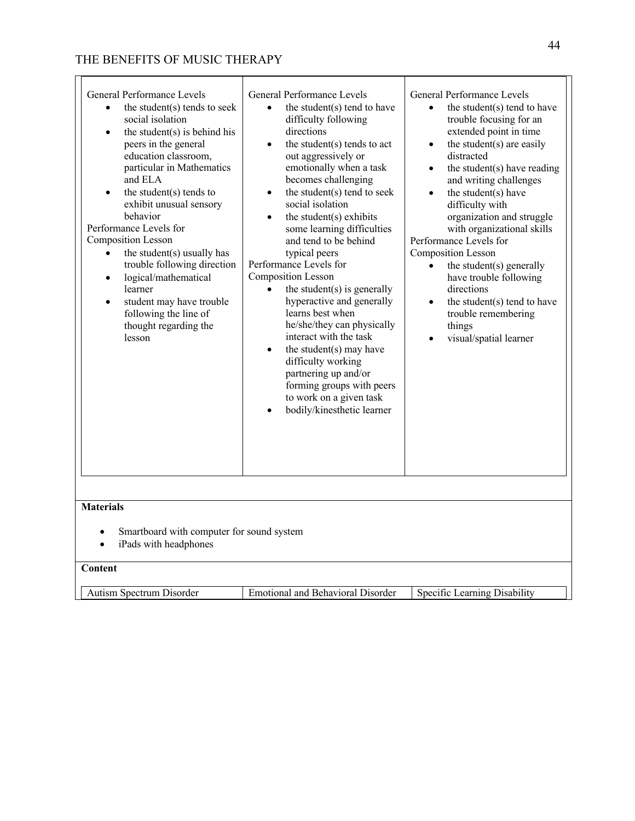| General Performance Levels<br>the student(s) tends to seek<br>$\bullet$<br>social isolation<br>the student $(s)$ is behind his<br>$\bullet$<br>peers in the general<br>education classroom,<br>particular in Mathematics<br>and ELA<br>the student $(s)$ tends to<br>exhibit unusual sensory<br>behavior<br>Performance Levels for<br><b>Composition Lesson</b><br>the student(s) usually has<br>$\bullet$<br>trouble following direction<br>logical/mathematical<br>$\bullet$<br>learner<br>student may have trouble<br>$\bullet$<br>following the line of<br>thought regarding the<br>lesson | General Performance Levels<br>the student(s) tend to have<br>difficulty following<br>directions<br>the student(s) tends to act<br>out aggressively or<br>emotionally when a task<br>becomes challenging<br>the student(s) tend to seek<br>$\bullet$<br>social isolation<br>the student(s) exhibits<br>some learning difficulties<br>and tend to be behind<br>typical peers<br>Performance Levels for<br><b>Composition Lesson</b><br>the student $(s)$ is generally<br>$\bullet$<br>hyperactive and generally<br>learns best when<br>he/she/they can physically<br>interact with the task<br>the student(s) may have<br>$\bullet$<br>difficulty working<br>partnering up and/or<br>forming groups with peers<br>to work on a given task<br>bodily/kinesthetic learner | General Performance Levels<br>the student(s) tend to have<br>$\bullet$<br>trouble focusing for an<br>extended point in time<br>the student(s) are easily<br>$\bullet$<br>distracted<br>the student $(s)$ have reading<br>$\bullet$<br>and writing challenges<br>the student(s) have<br>$\bullet$<br>difficulty with<br>organization and struggle<br>with organizational skills<br>Performance Levels for<br><b>Composition Lesson</b><br>the student(s) generally<br>have trouble following<br>directions<br>the student(s) tend to have<br>$\bullet$<br>trouble remembering<br>things<br>visual/spatial learner |
|------------------------------------------------------------------------------------------------------------------------------------------------------------------------------------------------------------------------------------------------------------------------------------------------------------------------------------------------------------------------------------------------------------------------------------------------------------------------------------------------------------------------------------------------------------------------------------------------|-----------------------------------------------------------------------------------------------------------------------------------------------------------------------------------------------------------------------------------------------------------------------------------------------------------------------------------------------------------------------------------------------------------------------------------------------------------------------------------------------------------------------------------------------------------------------------------------------------------------------------------------------------------------------------------------------------------------------------------------------------------------------|------------------------------------------------------------------------------------------------------------------------------------------------------------------------------------------------------------------------------------------------------------------------------------------------------------------------------------------------------------------------------------------------------------------------------------------------------------------------------------------------------------------------------------------------------------------------------------------------------------------|
| <b>Materials</b>                                                                                                                                                                                                                                                                                                                                                                                                                                                                                                                                                                               |                                                                                                                                                                                                                                                                                                                                                                                                                                                                                                                                                                                                                                                                                                                                                                       |                                                                                                                                                                                                                                                                                                                                                                                                                                                                                                                                                                                                                  |
| Smartboard with computer for sound system<br>$\bullet$<br>iPads with headphones<br>$\bullet$<br>Content                                                                                                                                                                                                                                                                                                                                                                                                                                                                                        |                                                                                                                                                                                                                                                                                                                                                                                                                                                                                                                                                                                                                                                                                                                                                                       |                                                                                                                                                                                                                                                                                                                                                                                                                                                                                                                                                                                                                  |
| Autism Spectrum Disorder                                                                                                                                                                                                                                                                                                                                                                                                                                                                                                                                                                       | <b>Emotional and Behavioral Disorder</b>                                                                                                                                                                                                                                                                                                                                                                                                                                                                                                                                                                                                                                                                                                                              | Specific Learning Disability                                                                                                                                                                                                                                                                                                                                                                                                                                                                                                                                                                                     |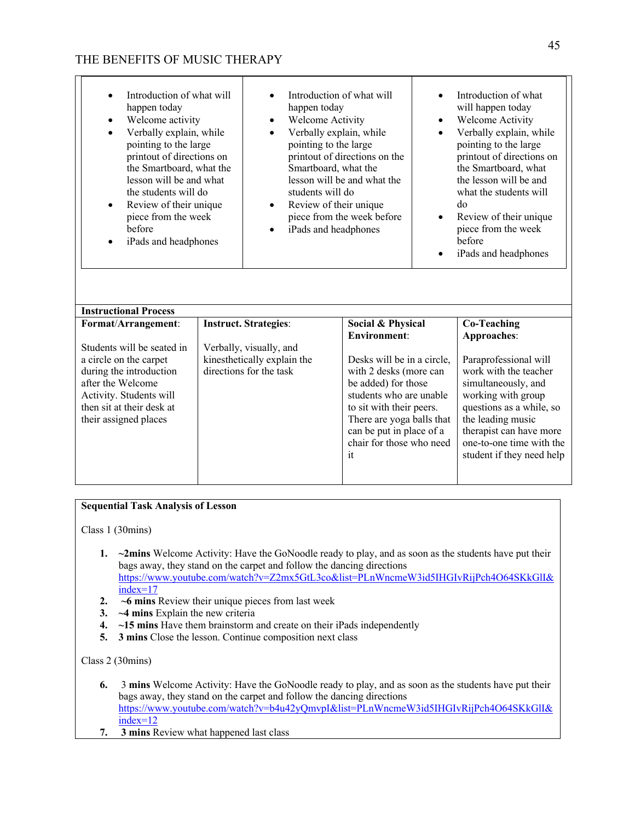| Introduction of what will<br>happen today<br>Welcome activity<br>Verbally explain, while<br>$\bullet$<br>pointing to the large<br>printout of directions on<br>the Smartboard, what the<br>lesson will be and what<br>the students will do<br>Review of their unique<br>$\bullet$<br>piece from the week<br>before<br>iPads and headphones |                                                         | Introduction of what will<br>happen today<br>Welcome Activity<br>$\bullet$<br>Verbally explain, while<br>$\bullet$<br>pointing to the large<br>printout of directions on the<br>Smartboard, what the<br>lesson will be and what the<br>students will do<br>Review of their unique<br>$\bullet$<br>piece from the week before<br>iPads and headphones |                                                                                                                                                                                                                               | $\bullet$<br>$\bullet$<br>$\bullet$ | Introduction of what<br>will happen today<br>Welcome Activity<br>Verbally explain, while<br>pointing to the large<br>printout of directions on<br>the Smartboard, what<br>the lesson will be and<br>what the students will<br>do<br>Review of their unique<br>piece from the week<br>before<br>iPads and headphones |
|--------------------------------------------------------------------------------------------------------------------------------------------------------------------------------------------------------------------------------------------------------------------------------------------------------------------------------------------|---------------------------------------------------------|------------------------------------------------------------------------------------------------------------------------------------------------------------------------------------------------------------------------------------------------------------------------------------------------------------------------------------------------------|-------------------------------------------------------------------------------------------------------------------------------------------------------------------------------------------------------------------------------|-------------------------------------|---------------------------------------------------------------------------------------------------------------------------------------------------------------------------------------------------------------------------------------------------------------------------------------------------------------------|
| <b>Instructional Process</b>                                                                                                                                                                                                                                                                                                               |                                                         |                                                                                                                                                                                                                                                                                                                                                      |                                                                                                                                                                                                                               |                                     |                                                                                                                                                                                                                                                                                                                     |
| Format/Arrangement:<br>Students will be seated in                                                                                                                                                                                                                                                                                          | <b>Instruct. Strategies:</b><br>Verbally, visually, and |                                                                                                                                                                                                                                                                                                                                                      | Social & Physical<br><b>Environment:</b>                                                                                                                                                                                      |                                     | <b>Co-Teaching</b><br>Approaches:                                                                                                                                                                                                                                                                                   |
| a circle on the carpet<br>during the introduction<br>after the Welcome<br>Activity. Students will<br>then sit at their desk at<br>their assigned places                                                                                                                                                                                    |                                                         | kinesthetically explain the<br>directions for the task                                                                                                                                                                                                                                                                                               | Desks will be in a circle,<br>with 2 desks (more can<br>be added) for those<br>students who are unable<br>to sit with their peers.<br>There are yoga balls that<br>can be put in place of a<br>chair for those who need<br>it |                                     | Paraprofessional will<br>work with the teacher<br>simultaneously, and<br>working with group<br>questions as a while, so<br>the leading music<br>therapist can have more<br>one-to-one time with the<br>student if they need help                                                                                    |

### **Sequential Task Analysis of Lesson**

Class 1 (30mins)

- **1. ~2mins** Welcome Activity: Have the GoNoodle ready to play, and as soon as the students have put their bags away, they stand on the carpet and follow the dancing directions https://www.youtube.com/watch?v=Z2mx5GtL3co&list=PLnWncmeW3id5IHGIvRijPch4O64SKkGlI& index=17
- **2. ~6 mins** Review their unique pieces from last week
- **3. ~4 mins** Explain the new criteria
- **4. ~15 mins** Have them brainstorm and create on their iPads independently
- **5. 3 mins** Close the lesson. Continue composition next class

## Class 2 (30mins)

- **6.** 3 **mins** Welcome Activity: Have the GoNoodle ready to play, and as soon as the students have put their bags away, they stand on the carpet and follow the dancing directions https://www.youtube.com/watch?v=b4u42yQmvpI&list=PLnWncmeW3id5IHGIvRijPch4O64SKkGlI& index=12
- **7. 3 mins** Review what happened last class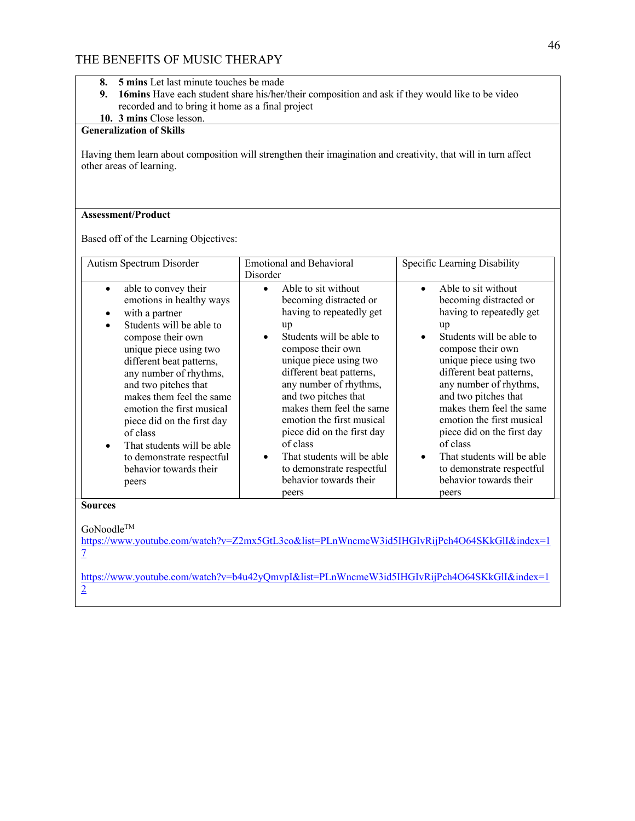- **8. 5 mins** Let last minute touches be made
- **9. 16mins** Have each student share his/her/their composition and ask if they would like to be video recorded and to bring it home as a final project

## **10. 3 mins** Close lesson.

## **Generalization of Skills**

Having them learn about composition will strengthen their imagination and creativity, that will in turn affect other areas of learning.

### **Assessment/Product**

Based off of the Learning Objectives:

## **Sources**

GoNoodle™

https://www.youtube.com/watch?v=Z2mx5GtL3co&list=PLnWncmeW3id5IHGIvRijPch4O64SKkGlI&index=1 7

https://www.youtube.com/watch?v=b4u42yQmvpI&list=PLnWncmeW3id5IHGIvRijPch4O64SKkGlI&index=1 2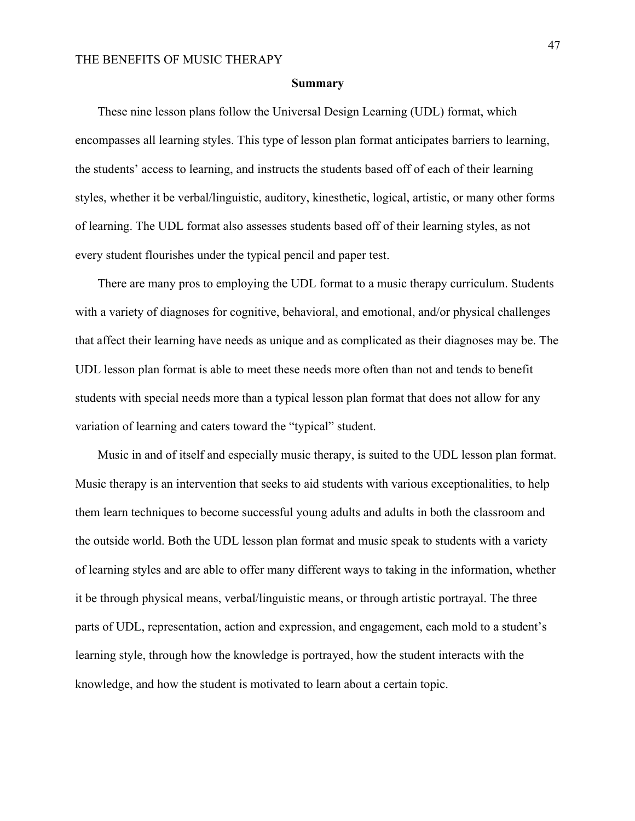#### **Summary**

 These nine lesson plans follow the Universal Design Learning (UDL) format, which encompasses all learning styles. This type of lesson plan format anticipates barriers to learning, the students' access to learning, and instructs the students based off of each of their learning styles, whether it be verbal/linguistic, auditory, kinesthetic, logical, artistic, or many other forms of learning. The UDL format also assesses students based off of their learning styles, as not every student flourishes under the typical pencil and paper test.

There are many pros to employing the UDL format to a music therapy curriculum. Students with a variety of diagnoses for cognitive, behavioral, and emotional, and/or physical challenges that affect their learning have needs as unique and as complicated as their diagnoses may be. The UDL lesson plan format is able to meet these needs more often than not and tends to benefit students with special needs more than a typical lesson plan format that does not allow for any variation of learning and caters toward the "typical" student.

Music in and of itself and especially music therapy, is suited to the UDL lesson plan format. Music therapy is an intervention that seeks to aid students with various exceptionalities, to help them learn techniques to become successful young adults and adults in both the classroom and the outside world. Both the UDL lesson plan format and music speak to students with a variety of learning styles and are able to offer many different ways to taking in the information, whether it be through physical means, verbal/linguistic means, or through artistic portrayal. The three parts of UDL, representation, action and expression, and engagement, each mold to a student's learning style, through how the knowledge is portrayed, how the student interacts with the knowledge, and how the student is motivated to learn about a certain topic.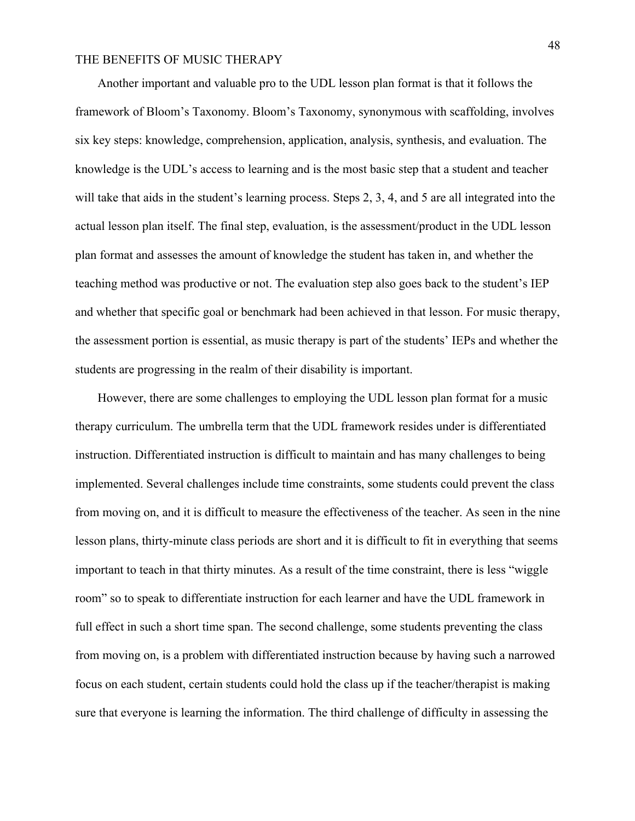Another important and valuable pro to the UDL lesson plan format is that it follows the framework of Bloom's Taxonomy. Bloom's Taxonomy, synonymous with scaffolding, involves six key steps: knowledge, comprehension, application, analysis, synthesis, and evaluation. The knowledge is the UDL's access to learning and is the most basic step that a student and teacher will take that aids in the student's learning process. Steps 2, 3, 4, and 5 are all integrated into the actual lesson plan itself. The final step, evaluation, is the assessment/product in the UDL lesson plan format and assesses the amount of knowledge the student has taken in, and whether the teaching method was productive or not. The evaluation step also goes back to the student's IEP and whether that specific goal or benchmark had been achieved in that lesson. For music therapy, the assessment portion is essential, as music therapy is part of the students' IEPs and whether the students are progressing in the realm of their disability is important.

However, there are some challenges to employing the UDL lesson plan format for a music therapy curriculum. The umbrella term that the UDL framework resides under is differentiated instruction. Differentiated instruction is difficult to maintain and has many challenges to being implemented. Several challenges include time constraints, some students could prevent the class from moving on, and it is difficult to measure the effectiveness of the teacher. As seen in the nine lesson plans, thirty-minute class periods are short and it is difficult to fit in everything that seems important to teach in that thirty minutes. As a result of the time constraint, there is less "wiggle room" so to speak to differentiate instruction for each learner and have the UDL framework in full effect in such a short time span. The second challenge, some students preventing the class from moving on, is a problem with differentiated instruction because by having such a narrowed focus on each student, certain students could hold the class up if the teacher/therapist is making sure that everyone is learning the information. The third challenge of difficulty in assessing the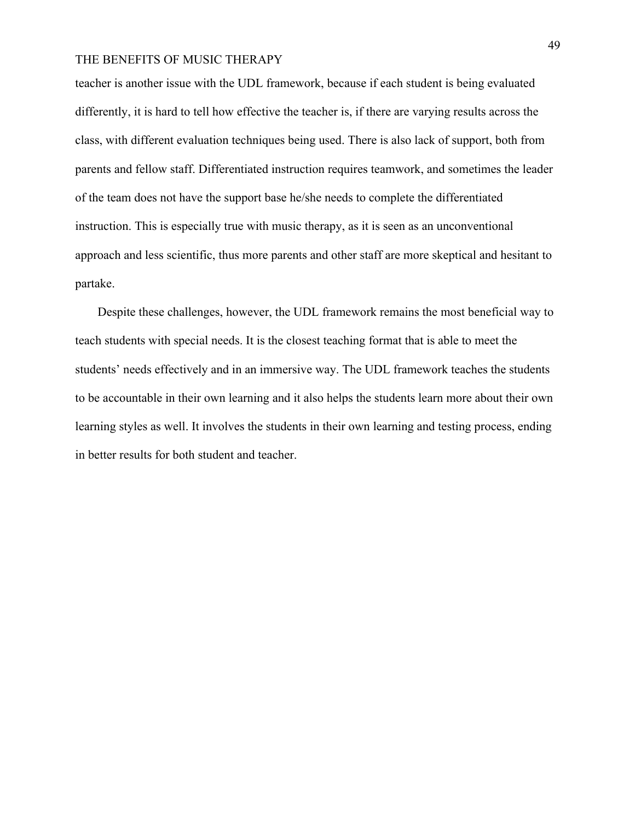teacher is another issue with the UDL framework, because if each student is being evaluated differently, it is hard to tell how effective the teacher is, if there are varying results across the class, with different evaluation techniques being used. There is also lack of support, both from parents and fellow staff. Differentiated instruction requires teamwork, and sometimes the leader of the team does not have the support base he/she needs to complete the differentiated instruction. This is especially true with music therapy, as it is seen as an unconventional approach and less scientific, thus more parents and other staff are more skeptical and hesitant to partake.

Despite these challenges, however, the UDL framework remains the most beneficial way to teach students with special needs. It is the closest teaching format that is able to meet the students' needs effectively and in an immersive way. The UDL framework teaches the students to be accountable in their own learning and it also helps the students learn more about their own learning styles as well. It involves the students in their own learning and testing process, ending in better results for both student and teacher.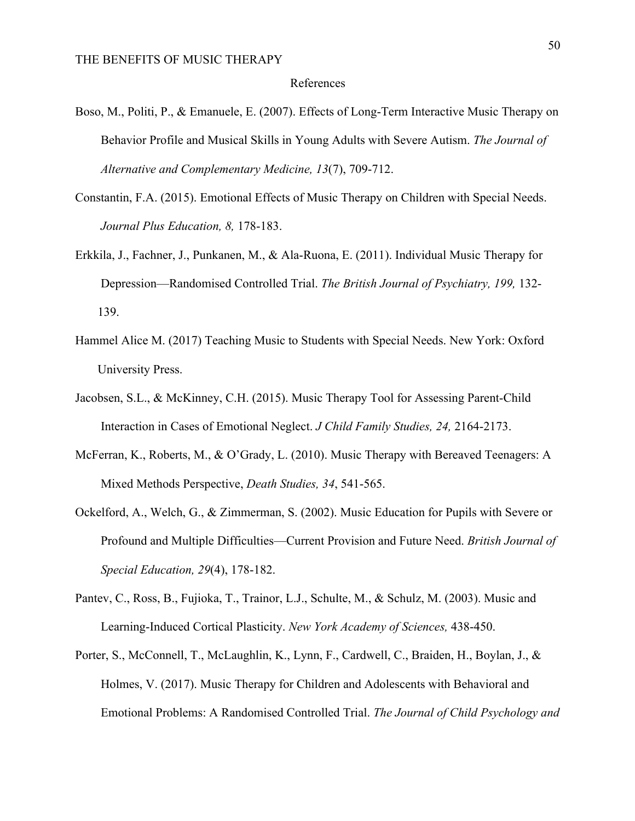### References

- Boso, M., Politi, P., & Emanuele, E. (2007). Effects of Long-Term Interactive Music Therapy on Behavior Profile and Musical Skills in Young Adults with Severe Autism. *The Journal of Alternative and Complementary Medicine, 13*(7), 709-712.
- Constantin, F.A. (2015). Emotional Effects of Music Therapy on Children with Special Needs. *Journal Plus Education, 8,* 178-183.
- Erkkila, J., Fachner, J., Punkanen, M., & Ala-Ruona, E. (2011). Individual Music Therapy for Depression—Randomised Controlled Trial. *The British Journal of Psychiatry, 199,* 132- 139.
- Hammel Alice M. (2017) Teaching Music to Students with Special Needs. New York: Oxford University Press.
- Jacobsen, S.L., & McKinney, C.H. (2015). Music Therapy Tool for Assessing Parent-Child Interaction in Cases of Emotional Neglect. *J Child Family Studies, 24,* 2164-2173.
- McFerran, K., Roberts, M., & O'Grady, L. (2010). Music Therapy with Bereaved Teenagers: A Mixed Methods Perspective, *Death Studies, 34*, 541-565.
- Ockelford, A., Welch, G., & Zimmerman, S. (2002). Music Education for Pupils with Severe or Profound and Multiple Difficulties—Current Provision and Future Need. *British Journal of Special Education, 29*(4), 178-182.
- Pantev, C., Ross, B., Fujioka, T., Trainor, L.J., Schulte, M., & Schulz, M. (2003). Music and Learning-Induced Cortical Plasticity. *New York Academy of Sciences,* 438-450.
- Porter, S., McConnell, T., McLaughlin, K., Lynn, F., Cardwell, C., Braiden, H., Boylan, J., & Holmes, V. (2017). Music Therapy for Children and Adolescents with Behavioral and Emotional Problems: A Randomised Controlled Trial. *The Journal of Child Psychology and*